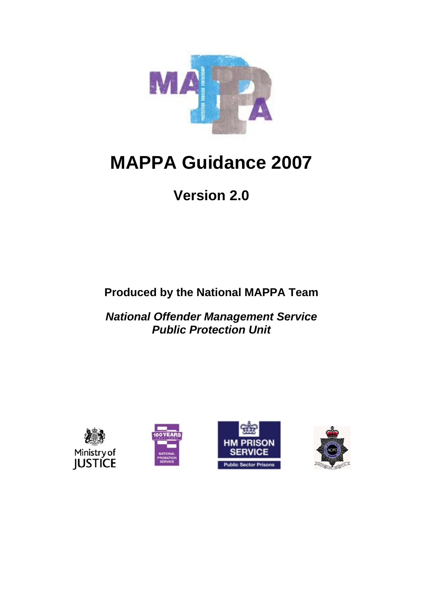

# **MAPPA Guidance 2007**

# **Version 2.0**

**Produced by the National MAPPA Team** 

*National Offender Management Service Public Protection Unit* 







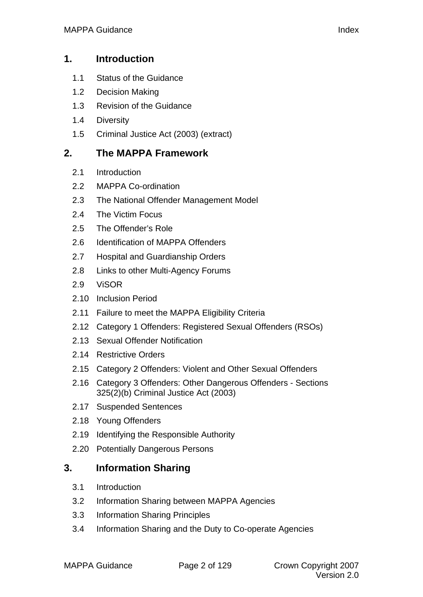## **1. [Introduction](#page-7-0)**

- 1.1 [Status of the Guidance](#page-7-0)
- 1.2 [Decision Making](#page-7-0)
- 1.3 [Revision of the Guidance](#page-8-0)
- 1.4 [Diversity](#page-8-0)
- 1.5 [Criminal Justice Act \(2003\) \(extract\)](#page-9-0)

# **2. [The MAPPA Framework](#page-13-0)**

- 2.1 [Introduction](#page-13-0)
- 2.2 [MAPPA Co-ordination](#page-13-0)
- 2.3 [The National Offender Management Model](#page-14-0)
- 2.4 [The Victim Focus](#page-15-0)
- 2.5 [The Offender's Role](#page-18-0)
- 2.6 [Identification of MAPPA Offenders](#page-19-0)
- 2.7 [Hospital and Guardianship Orders](#page-19-0)
- 2.8 [Links to other Multi-Agency Forums](#page-20-0)
- 2.9 [ViSOR](#page-20-0)
- 2.10 [Inclusion Period](#page-20-0)
- 2.11 [Failure to meet the MAPPA Eligibility Criteria](#page-21-0)
- 2.12 [Category 1 Offenders: Registered Sexual Offenders \(RSOs\)](#page-21-0)
- 2.13 [Sexual Offender Notification](#page-21-0)
- 2.14 [Restrictive Orders](#page-22-0)
- 2.15 [Category 2 Offenders: Violent and Other Sexual Offenders](#page-23-0)
- 2.16 [Category 3 Offenders: Other Dangerous Offenders Sections](#page-24-0)  325(2)(b) Criminal Justice Act (2003)
- 2.17 [Suspended Sentences](#page-25-0)
- 2.18 [Young Offenders](#page-25-0)
- 2.19 [Identifying the Responsible Authority](#page-25-0)
- 2.20 [Potentially Dangerous Persons](#page-26-0)

# **3. [Information Sharing](#page-28-0)**

- 3.1 [Introduction](#page-28-0)
- 3.2 [Information Sharing between MAPPA Agencies](#page-28-0)
- 3.3 [Information Sharing Principles](#page-29-0)
- 3.4 [Information Sharing and the Duty to Co-operate Agencies](#page-30-0)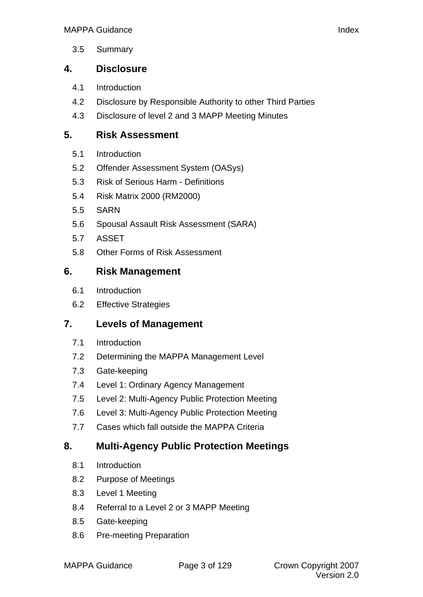[3.5 Summary](#page-31-0)

# **4. [Disclosure](#page-32-0)**

- 4.1 [Introduction](#page-32-0)
- 4.2 [Disclosure by Responsible Authority to other Third Parties](#page-33-0)
- 4.3 [Disclosure of level 2 and 3 MAPP Meeting Minutes](#page-35-0)

# **5. [Risk Assessment](#page-37-0)**

- 5.1 [Introduction](#page-37-0)
- 5.2 [Offender Assessment System \(OASys\)](#page-37-0)
- 5.3 [Risk of Serious Harm Definitions](#page-38-0)
- 5.4 [Risk Matrix 2000 \(RM2000\)](#page-39-0)
- 5.5 [SARN](#page-39-0)
- 5.6 [Spousal Assault Risk Assessment \(SARA\)](#page-39-0)
- 5.7 [ASSET](#page-39-0)
- 5.8 [Other Forms of Risk Assessment](#page-39-0)

# **6. [Risk Management](#page-41-0)**

- 6.1 [Introduction](#page-41-0)
- 6.2 [Effective Strategies](#page-41-0)

## **7. [Levels of Management](#page-42-0)**

- 7.1 [Introduction](#page-42-0)
- 7.2 [Determining the MAPPA Management Level](#page-42-0)
- 7.3 [Gate-keeping](#page-42-0)
- 7.4 [Level 1: Ordinary Agency Management](#page-42-0)
- 7.5 [Level 2: Multi-Agency Public Protection Meeting](#page-43-0)
- 7.6 [Level 3: Multi-Agency Public Protection Meeting](#page-44-0)
- 7.7 [Cases which fall outside the MAPPA Criteria](#page-46-0)

# **8. [Multi-Agency Public Protection Meetings](#page-47-0)**

- 8.1 [Introduction](#page-47-0)
- 8.2 [Purpose of Meetings](#page-47-0)
- 8.3 [Level 1 Meeting](#page-47-0)
- 8.4 [Referral to a Level 2 or 3 MAPP Meeting](#page-47-0)
- 8.5 [Gate-keeping](#page-48-0)
- 8.6 [Pre-meeting Preparation](#page-48-0)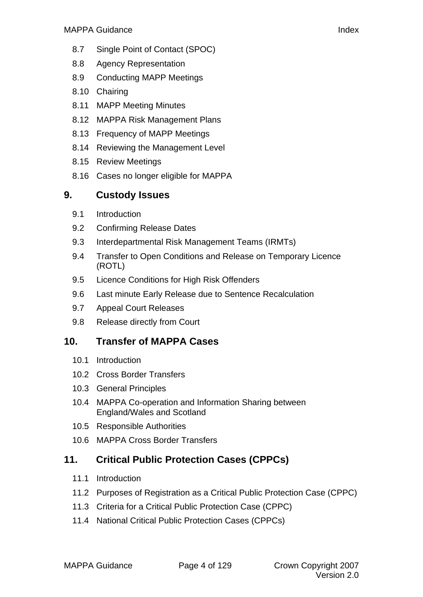- 8.7 [Single Point of Contact \(SPOC\)](#page-49-0)
- 8.8 [Agency Representation](#page-49-0)
- 8.9 [Conducting MAPP Meetings](#page-51-0)
- 8.10 [Chairing](#page-51-0)
- 8.11 [MAPP Meeting Minutes](#page-52-0)
- 8.12 [MAPPA Risk Management Plans](#page-52-0)
- 8.13 [Frequency of MAPP Meetings](#page-53-0)
- 8.14 [Reviewing the Management Level](#page-53-0)
- 8.15 [Review Meetings](#page-54-0)
- 8.16 [Cases no longer eligible for MAPPA](#page-55-0)

# **9. [Custody Issues](#page-56-0)**

- 9.1 [Introduction](#page-56-0)
- 9.2 [Confirming Release Dates](#page-57-0)
- 9.3 [Interdepartmental Risk Management Teams \(IRMTs\)](#page-57-0)
- 9.4 [Transfer to Open Conditions and Release on Temporary Licence](#page-57-0)  (ROTL)
- 9.5 [Licence Conditions for High Risk Offenders](#page-58-0)
- 9.6 [Last minute Early Release due to Sentence Recalculation](#page-59-0)
- 9.7 [Appeal Court Releases](#page-60-0)
- 9.8 [Release directly from Court](#page-60-0)

# **10. [Transfer of MAPPA Cases](#page-61-0)**

- [10.1 Introduction](#page-61-0)
- 10.2 [Cross Border Transfers](#page-63-0)
- 10.3 [General Principles](#page-63-0)
- 10.4 [MAPPA Co-operation and Information Sharing between](#page-65-0)  England/Wales and Scotland
- 10.5 [Responsible Authorities](#page-65-0)
- 10.6 [MAPPA Cross Border Transfers](#page-66-0)

# **11. [Critical Public Protection Cases \(CPPCs\)](#page-67-0)**

- [11.1 Introduction](#page-67-0)
- 11.2 [Purposes of Registration as a Critical Public Protection Case \(CPPC\)](#page-67-0)
- 11.3 [Criteria for a Critical Public Protection Case \(CPPC\)](#page-67-0)
- 11.4 [National Critical Public Protection Cases \(CPPCs\)](#page-68-0)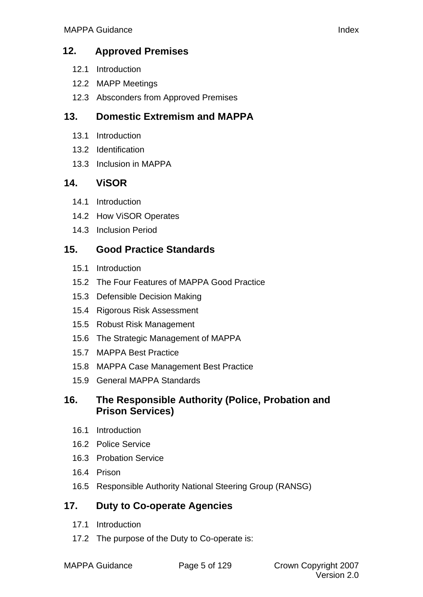## **12. [Approved Premises](#page-70-0)**

- [12.1 Introduction](#page-70-0)
- 12.2 [MAPP Meetings](#page-70-0)
- 12.3 [Absconders from Approved Premises](#page-70-0)

# **13. [Domestic Extremism and MAPPA](#page-72-0)**

- 13.1 [Introduction](#page-72-0)
- 13.2 [Identification](#page-72-0)
- 13.3 [Inclusion in MAPPA](#page-72-0)

# **14. [ViSOR](#page-74-0)**

- 14.1 [Introduction](#page-74-0)
- 14.2 [How ViSOR Operates](#page-74-0)
- 14.3 [Inclusion Period](#page-74-0)

# **15. [Good Practice Standards](#page-76-0)**

- 15.1 [Introduction](#page-76-0)
- 15.2 [The Four Features of MAPPA Good Practice](#page-76-0)
- 15.3 [Defensible Decision Making](#page-76-0)
- 15.4 [Rigorous Risk Assessment](#page-76-0)
- 15.5 [Robust Risk Management](#page-77-0)
- 15.6 [The Strategic Management of MAPPA](#page-78-0)
- 15.7 [MAPPA Best Practice](#page-78-0)
- 15.8 [MAPPA Case Management Best Practice](#page-79-0)
- 15.9 [General MAPPA Standards](#page-81-0)

# **16. [The Responsible Authority \(Police, Probation and](#page-84-0)  Prison Services)**

- 16.1 [Introduction](#page-84-0)
- 16.2 [Police Service](#page-84-0)
- 16.3 [Probation Service](#page-84-0)
- 16.4 [Prison](#page-85-0)
- 16.5 [Responsible Authority National Steering Group \(RANSG\)](#page-86-0)

# **17. [Duty to Co-operate Agencies](#page-89-0)**

- 17.1 [Introduction](#page-89-0)
- 17.2 [The purpose of the Duty to Co-operate is:](#page-89-0)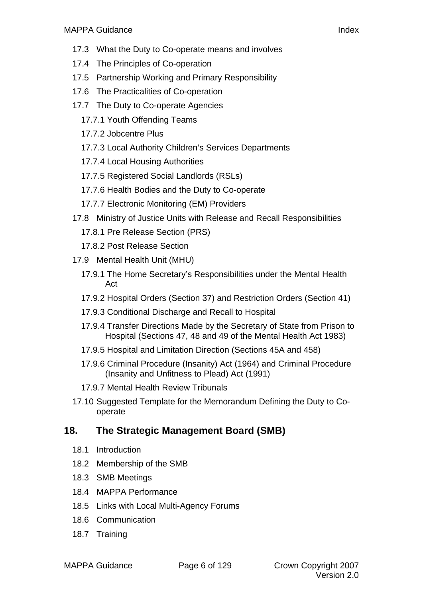- 17.3 [What the Duty to Co-operate means and involves](#page-89-0)
- 17.4 [The Principles of Co-operation](#page-90-0)
- 17.5 [Partnership Working and Primary Responsibility](#page-90-0)
- 17.6 [The Practicalities of Co-operation](#page-91-0)
- 17.7 [The Duty to Co-operate Agencies](#page-91-0)
	- [17.7.1 Youth Offending Teams](#page-92-0)
	- [17.7.2 Jobcentre Plus](#page-93-0)
	- [17.7.3 Local Authority C](#page-93-0)hildren's Services Departments
	- [17.7.4 Local Housing Authorities](#page-94-0)
	- [17.7.5 Registered Social Landlords \(RSLs\)](#page-95-0)
	- [17.7.6 Health Bodies and the Duty to Co-operate](#page-96-0)
	- [17.7.7 Electronic Monitoring \(EM\) Providers](#page-97-0)
- 17.8 [Ministry of Justice Units with Release and Recall Responsibilities](#page-99-0)
	- [17.8.1 Pre Release Section \(PRS\)](#page-100-0)
	- [17.8.2 Post Release Section](#page-100-0)
- 17.9 [Mental Health Unit \(MHU\)](#page-101-0)
	- [17.9.1 The Home Secretary's Responsibilities under the Mental Health](#page-102-0)  Act
	- [17.9.2 Hospital Orders \(Section 37\) and Restriction Orders \(Section 41\)](#page-102-0)
	- [17.9.3 Conditional Discharge and Recall to Hospital](#page-103-0)
	- [17.9.4 Transfer Directions Made by the Secretary of State from Prison to](#page-103-0)  Hospital (Sections 47, 48 and 49 of the Mental Health Act 1983)
	- [17.9.5 Hospital and Limitation Direction \(Sections 45A and 458\)](#page-103-0)
	- [17.9.6 Criminal Procedure \(Insanity\) Act \(1964\) and Criminal Procedure](#page-104-0)  (Insanity and Unfitness to Plead) Act (1991)
	- [17.9.7 Mental Health Review Tribunals](#page-104-0)
- 17.10 [Suggested Template for the Memorandum Defining the Duty to Co](#page-104-0)operate

# **18. [The Strategic Management Board \(SMB\)](#page-105-0)**

- 18.1 [Introduction](#page-107-0)
- 18.2 [Membership of the SMB](#page-107-0)
- 18.3 [SMB Meetings](#page-107-0)
- 18.4 [MAPPA Performance](#page-109-0)
- 18.5 [Links with Local Multi-Agency Forums](#page-110-0)
- 18.6 [Communication](#page-110-0)
- 18.7 [Training](#page-110-0)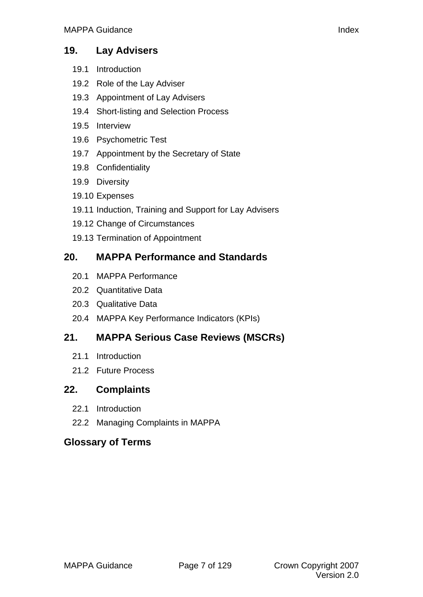## **19. [Lay Advisers](#page-111-0)**

- 19.1 [Introduction](#page-113-0)
- 19.2 [Role of the Lay Adviser](#page-113-0)
- 19.3 [Appointment of Lay Advisers](#page-113-0)
- 19.4 [Short-listing and Selection Process](#page-114-0)
- 19.5 [Interview](#page-115-0)
- 19.6 [Psychometric Test](#page-115-0)
- 19.7 [Appointment by the Secretary of State](#page-116-0)
- 19.8 [Confidentiality](#page-116-0)
- 19.9 [Diversity](#page-116-0)
- 19.10 [Expenses](#page-116-0)
- 19.11 [Induction, Training and Support for Lay Advisers](#page-117-0)
- 19.12 [Change of Circumstances](#page-117-0)
- 19.13 [Termination of Appointment](#page-118-0)

# **20. [MAPPA Performance and Standards](#page-118-0)**

- 20.1 [MAPPA Performance](#page-119-0)
- 20.2 [Quantitative Data](#page-119-0)
- 20.3 [Qualitative Data](#page-119-0)
- 20.4 [MAPPA Key Performance Indicators \(KPIs\)](#page-120-0)

# **21. [MAPPA Serious Case Reviews \(MSCRs\)](#page-121-0)**

- 21.1 [Introduction](#page-122-0)
- 21.2 [Future Process](#page-122-0)

# **22. [Complaints](#page-122-0)**

- 22.1 [Introduction](#page-123-0)
- 22.2 [Managing Complaints in MAPPA](#page-123-0)

# **[Glossary of Terms](#page-123-0)**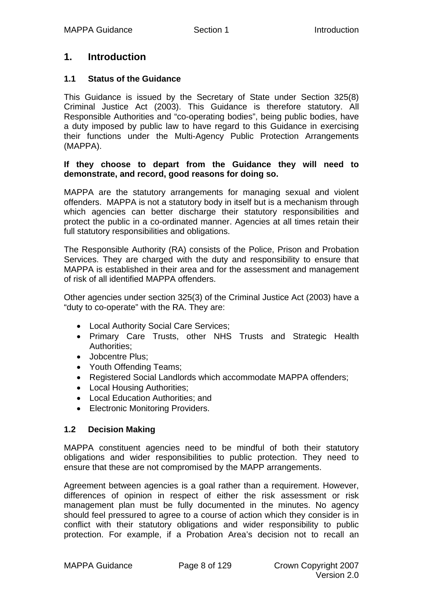## <span id="page-7-0"></span>**1. Introduction**

#### **1.1 Status of the Guidance**

This Guidance is issued by the Secretary of State under Section 325(8) Criminal Justice Act (2003). This Guidance is therefore statutory. All Responsible Authorities and "co-operating bodies", being public bodies, have a duty imposed by public law to have regard to this Guidance in exercising their functions under the Multi-Agency Public Protection Arrangements (MAPPA).

#### **If they choose to depart from the Guidance they will need to demonstrate, and record, good reasons for doing so.**

MAPPA are the statutory arrangements for managing sexual and violent offenders. MAPPA is not a statutory body in itself but is a mechanism through which agencies can better discharge their statutory responsibilities and protect the public in a co-ordinated manner. Agencies at all times retain their full statutory responsibilities and obligations.

The Responsible Authority (RA) consists of the Police, Prison and Probation Services. They are charged with the duty and responsibility to ensure that MAPPA is established in their area and for the assessment and management of risk of all identified MAPPA offenders.

Other agencies under section 325(3) of the Criminal Justice Act (2003) have a "duty to co-operate" with the RA. They are:

- Local Authority Social Care Services;
- Primary Care Trusts, other NHS Trusts and Strategic Health Authorities:
- Jobcentre Plus:
- Youth Offending Teams;
- Registered Social Landlords which accommodate MAPPA offenders;
- Local Housing Authorities;
- Local Education Authorities; and
- Electronic Monitoring Providers.

#### **1.2 Decision Making**

MAPPA constituent agencies need to be mindful of both their statutory obligations and wider responsibilities to public protection. They need to ensure that these are not compromised by the MAPP arrangements.

Agreement between agencies is a goal rather than a requirement. However, differences of opinion in respect of either the risk assessment or risk management plan must be fully documented in the minutes. No agency should feel pressured to agree to a course of action which they consider is in conflict with their statutory obligations and wider responsibility to public protection. For example, if a Probation Area's decision not to recall an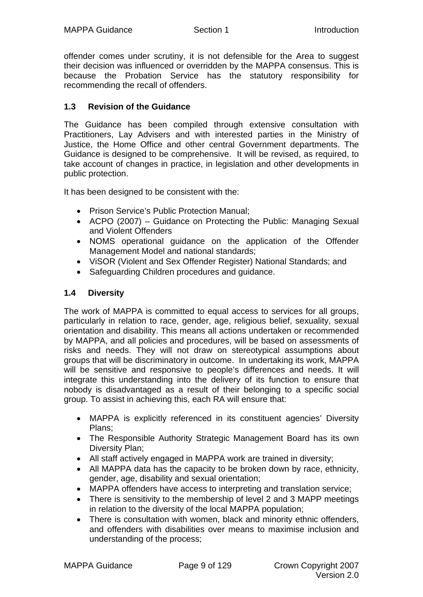<span id="page-8-0"></span>offender comes under scrutiny, it is not defensible for the Area to suggest their decision was influenced or overridden by the MAPPA consensus. This is because the Probation Service has the statutory responsibility for recommending the recall of offenders.

#### **1.3 Revision of the Guidance**

The Guidance has been compiled through extensive consultation with Practitioners, Lay Advisers and with interested parties in the Ministry of Justice, the Home Office and other central Government departments. The Guidance is designed to be comprehensive. It will be revised, as required, to take account of changes in practice, in legislation and other developments in public protection.

It has been designed to be consistent with the:

- Prison Service's Public Protection Manual;
- ACPO (2007) Guidance on Protecting the Public: Managing Sexual and Violent Offenders
- NOMS operational guidance on the application of the Offender Management Model and national standards;
- ViSOR (Violent and Sex Offender Register) National Standards; and
- Safeguarding Children procedures and guidance.

#### **1.4 Diversity**

The work of MAPPA is committed to equal access to services for all groups, particularly in relation to race, gender, age, religious belief, sexuality, sexual orientation and disability. This means all actions undertaken or recommended by MAPPA, and all policies and procedures, will be based on assessments of risks and needs. They will not draw on stereotypical assumptions about groups that will be discriminatory in outcome. In undertaking its work, MAPPA will be sensitive and responsive to people's differences and needs. It will integrate this understanding into the delivery of its function to ensure that nobody is disadvantaged as a result of their belonging to a specific social group. To assist in achieving this, each RA will ensure that:

- MAPPA is explicitly referenced in its constituent agencies' Diversity Plans;
- The Responsible Authority Strategic Management Board has its own Diversity Plan;
- All staff actively engaged in MAPPA work are trained in diversity;
- All MAPPA data has the capacity to be broken down by race, ethnicity, gender, age, disability and sexual orientation;
- MAPPA offenders have access to interpreting and translation service;
- There is sensitivity to the membership of level 2 and 3 MAPP meetings in relation to the diversity of the local MAPPA population;
- There is consultation with women, black and minority ethnic offenders, and offenders with disabilities over means to maximise inclusion and understanding of the process;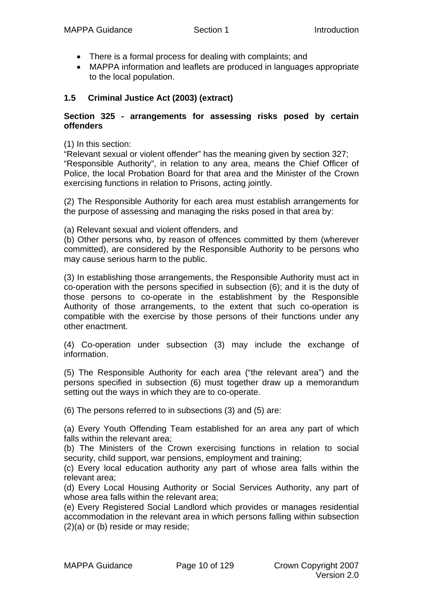- <span id="page-9-0"></span>• There is a formal process for dealing with complaints; and
- MAPPA information and leaflets are produced in languages appropriate to the local population.

#### **1.5 Criminal Justice Act (2003) (extract)**

#### **Section 325 - arrangements for assessing risks posed by certain offenders**

(1) In this section:

"Relevant sexual or violent offender" has the meaning given by section 327; "Responsible Authority", in relation to any area, means the Chief Officer of Police, the local Probation Board for that area and the Minister of the Crown exercising functions in relation to Prisons, acting jointly.

(2) The Responsible Authority for each area must establish arrangements for the purpose of assessing and managing the risks posed in that area by:

(a) Relevant sexual and violent offenders, and

(b) Other persons who, by reason of offences committed by them (wherever committed), are considered by the Responsible Authority to be persons who may cause serious harm to the public.

(3) In establishing those arrangements, the Responsible Authority must act in co-operation with the persons specified in subsection (6); and it is the duty of those persons to co-operate in the establishment by the Responsible Authority of those arrangements, to the extent that such co-operation is compatible with the exercise by those persons of their functions under any other enactment.

(4) Co-operation under subsection (3) may include the exchange of information.

(5) The Responsible Authority for each area ("the relevant area") and the persons specified in subsection (6) must together draw up a memorandum setting out the ways in which they are to co-operate.

(6) The persons referred to in subsections (3) and (5) are:

(a) Every Youth Offending Team established for an area any part of which falls within the relevant area;

(b) The Ministers of the Crown exercising functions in relation to social security, child support, war pensions, employment and training;

(c) Every local education authority any part of whose area falls within the relevant area;

(d) Every Local Housing Authority or Social Services Authority, any part of whose area falls within the relevant area;

(e) Every Registered Social Landlord which provides or manages residential accommodation in the relevant area in which persons falling within subsection (2)(a) or (b) reside or may reside;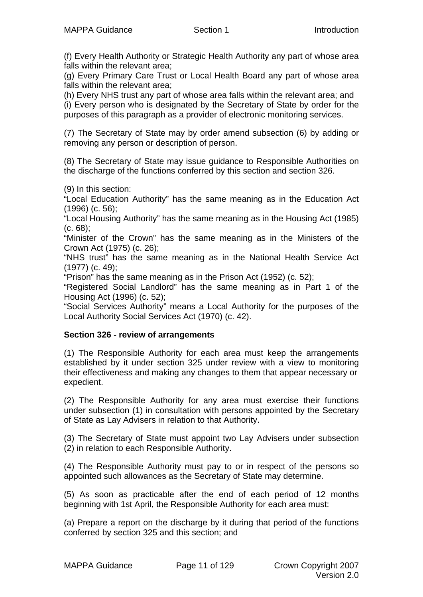(f) Every Health Authority or Strategic Health Authority any part of whose area falls within the relevant area;

(g) Every Primary Care Trust or Local Health Board any part of whose area falls within the relevant area;

(h) Every NHS trust any part of whose area falls within the relevant area; and (i) Every person who is designated by the Secretary of State by order for the purposes of this paragraph as a provider of electronic monitoring services.

(7) The Secretary of State may by order amend subsection (6) by adding or removing any person or description of person.

(8) The Secretary of State may issue guidance to Responsible Authorities on the discharge of the functions conferred by this section and section 326.

(9) In this section:

"Local Education Authority" has the same meaning as in the Education Act (1996) (c. 56);

"Local Housing Authority" has the same meaning as in the Housing Act (1985) (c. 68);

"Minister of the Crown" has the same meaning as in the Ministers of the Crown Act (1975) (c. 26);

"NHS trust" has the same meaning as in the National Health Service Act (1977) (c. 49);

"Prison" has the same meaning as in the Prison Act (1952) (c. 52);

"Registered Social Landlord" has the same meaning as in Part 1 of the Housing Act (1996) (c. 52);

"Social Services Authority" means a Local Authority for the purposes of the Local Authority Social Services Act (1970) (c. 42).

#### **Section 326 - review of arrangements**

(1) The Responsible Authority for each area must keep the arrangements established by it under section 325 under review with a view to monitoring their effectiveness and making any changes to them that appear necessary or expedient.

(2) The Responsible Authority for any area must exercise their functions under subsection (1) in consultation with persons appointed by the Secretary of State as Lay Advisers in relation to that Authority.

(3) The Secretary of State must appoint two Lay Advisers under subsection (2) in relation to each Responsible Authority.

(4) The Responsible Authority must pay to or in respect of the persons so appointed such allowances as the Secretary of State may determine.

(5) As soon as practicable after the end of each period of 12 months beginning with 1st April, the Responsible Authority for each area must:

(a) Prepare a report on the discharge by it during that period of the functions conferred by section 325 and this section; and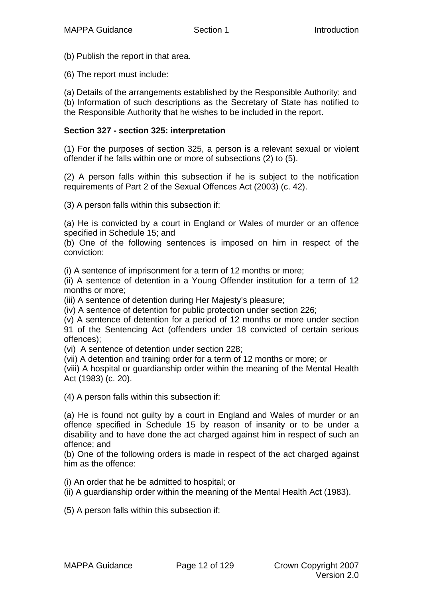(b) Publish the report in that area.

(6) The report must include:

(a) Details of the arrangements established by the Responsible Authority; and (b) Information of such descriptions as the Secretary of State has notified to the Responsible Authority that he wishes to be included in the report.

#### **Section 327 - section 325: interpretation**

(1) For the purposes of section 325, a person is a relevant sexual or violent offender if he falls within one or more of subsections (2) to (5).

(2) A person falls within this subsection if he is subject to the notification requirements of Part 2 of the Sexual Offences Act (2003) (c. 42).

(3) A person falls within this subsection if:

(a) He is convicted by a court in England or Wales of murder or an offence specified in Schedule 15; and

(b) One of the following sentences is imposed on him in respect of the conviction:

(i) A sentence of imprisonment for a term of 12 months or more;

(ii) A sentence of detention in a Young Offender institution for a term of 12 months or more;

(iii) A sentence of detention during Her Majesty's pleasure;

(iv) A sentence of detention for public protection under section 226;

(v) A sentence of detention for a period of 12 months or more under section 91 of the Sentencing Act (offenders under 18 convicted of certain serious offences);

(vi) A sentence of detention under section 228;

(vii) A detention and training order for a term of 12 months or more; or

(viii) A hospital or guardianship order within the meaning of the Mental Health Act (1983) (c. 20).

(4) A person falls within this subsection if:

(a) He is found not guilty by a court in England and Wales of murder or an offence specified in Schedule 15 by reason of insanity or to be under a disability and to have done the act charged against him in respect of such an offence; and

(b) One of the following orders is made in respect of the act charged against him as the offence:

(i) An order that he be admitted to hospital; or

(ii) A guardianship order within the meaning of the Mental Health Act (1983).

(5) A person falls within this subsection if: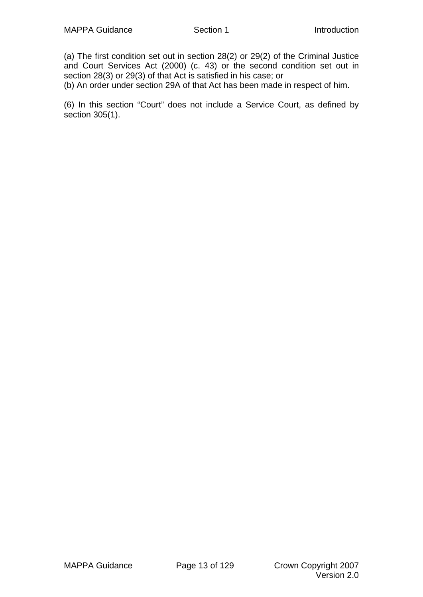(a) The first condition set out in section 28(2) or 29(2) of the Criminal Justice and Court Services Act (2000) (c. 43) or the second condition set out in section 28(3) or 29(3) of that Act is satisfied in his case; or

(b) An order under section 29A of that Act has been made in respect of him.

(6) In this section "Court" does not include a Service Court, as defined by section 305(1).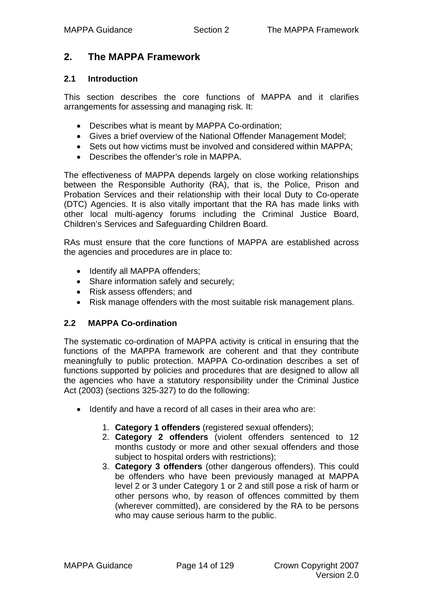## <span id="page-13-0"></span>**2. The MAPPA Framework**

#### **2.1 Introduction**

This section describes the core functions of MAPPA and it clarifies arrangements for assessing and managing risk. It:

- Describes what is meant by MAPPA Co-ordination;
- Gives a brief overview of the National Offender Management Model;
- Sets out how victims must be involved and considered within MAPPA;
- Describes the offender's role in MAPPA.

The effectiveness of MAPPA depends largely on close working relationships between the Responsible Authority (RA), that is, the Police, Prison and Probation Services and their relationship with their local Duty to Co-operate (DTC) Agencies. It is also vitally important that the RA has made links with other local multi-agency forums including the Criminal Justice Board, Children's Services and Safeguarding Children Board.

RAs must ensure that the core functions of MAPPA are established across the agencies and procedures are in place to:

- Identify all MAPPA offenders;
- Share information safely and securely;
- Risk assess offenders; and
- Risk manage offenders with the most suitable risk management plans.

#### **2.2 MAPPA Co-ordination**

The systematic co-ordination of MAPPA activity is critical in ensuring that the functions of the MAPPA framework are coherent and that they contribute meaningfully to public protection. MAPPA Co-ordination describes a set of functions supported by policies and procedures that are designed to allow all the agencies who have a statutory responsibility under the Criminal Justice Act (2003) (sections 325-327) to do the following:

- Identify and have a record of all cases in their area who are:
	- 1. **Category 1 offenders** (registered sexual offenders);
	- 2. **Category 2 offenders** (violent offenders sentenced to 12 months custody or more and other sexual offenders and those subject to hospital orders with restrictions);
	- 3. **Category 3 offenders** (other dangerous offenders). This could be offenders who have been previously managed at MAPPA level 2 or 3 under Category 1 or 2 and still pose a risk of harm or other persons who, by reason of offences committed by them (wherever committed), are considered by the RA to be persons who may cause serious harm to the public.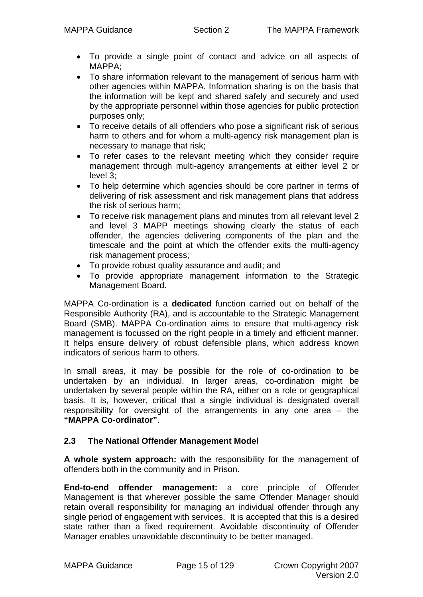- <span id="page-14-0"></span>• To provide a single point of contact and advice on all aspects of MAPPA;
- To share information relevant to the management of serious harm with other agencies within MAPPA. Information sharing is on the basis that the information will be kept and shared safely and securely and used by the appropriate personnel within those agencies for public protection purposes only;
- To receive details of all offenders who pose a significant risk of serious harm to others and for whom a multi-agency risk management plan is necessary to manage that risk;
- To refer cases to the relevant meeting which they consider require management through multi-agency arrangements at either level 2 or level 3;
- To help determine which agencies should be core partner in terms of delivering of risk assessment and risk management plans that address the risk of serious harm;
- To receive risk management plans and minutes from all relevant level 2 and level 3 MAPP meetings showing clearly the status of each offender, the agencies delivering components of the plan and the timescale and the point at which the offender exits the multi-agency risk management process;
- To provide robust quality assurance and audit; and
- To provide appropriate management information to the Strategic Management Board.

MAPPA Co-ordination is a **dedicated** function carried out on behalf of the Responsible Authority (RA), and is accountable to the Strategic Management Board (SMB). MAPPA Co-ordination aims to ensure that multi-agency risk management is focussed on the right people in a timely and efficient manner. It helps ensure delivery of robust defensible plans, which address known indicators of serious harm to others.

In small areas, it may be possible for the role of co-ordination to be undertaken by an individual. In larger areas, co-ordination might be undertaken by several people within the RA, either on a role or geographical basis. It is, however, critical that a single individual is designated overall responsibility for oversight of the arrangements in any one area – the **"MAPPA Co-ordinator"**.

#### **2.3 The National Offender Management Model**

**A whole system approach:** with the responsibility for the management of offenders both in the community and in Prison.

**End-to-end offender management:** a core principle of Offender Management is that wherever possible the same Offender Manager should retain overall responsibility for managing an individual offender through any single period of engagement with services. It is accepted that this is a desired state rather than a fixed requirement. Avoidable discontinuity of Offender Manager enables unavoidable discontinuity to be better managed.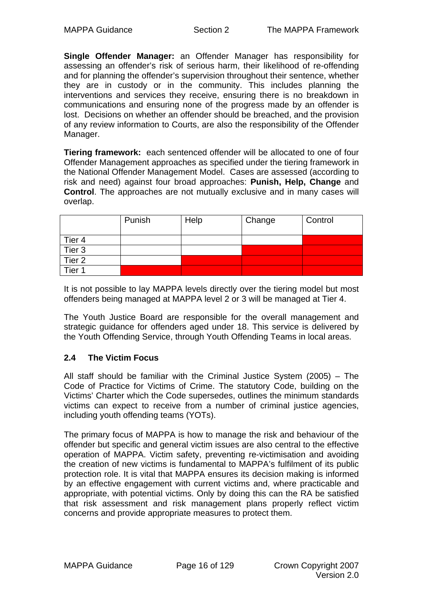<span id="page-15-0"></span>**Single Offender Manager:** an Offender Manager has responsibility for assessing an offender's risk of serious harm, their likelihood of re-offending and for planning the offender's supervision throughout their sentence, whether they are in custody or in the community. This includes planning the interventions and services they receive, ensuring there is no breakdown in communications and ensuring none of the progress made by an offender is lost. Decisions on whether an offender should be breached, and the provision of any review information to Courts, are also the responsibility of the Offender Manager.

**Tiering framework:** each sentenced offender will be allocated to one of four Offender Management approaches as specified under the tiering framework in the National Offender Management Model. Cases are assessed (according to risk and need) against four broad approaches: **Punish, Help, Change** and **Control**. The approaches are not mutually exclusive and in many cases will overlap.

|                   | Punish | Help | Change | Control |
|-------------------|--------|------|--------|---------|
| Tier 4            |        |      |        |         |
| Tier <sub>3</sub> |        |      |        |         |
| Tier <sub>2</sub> |        |      |        |         |
| Tier <sub>1</sub> |        |      |        |         |

It is not possible to lay MAPPA levels directly over the tiering model but most offenders being managed at MAPPA level 2 or 3 will be managed at Tier 4.

The Youth Justice Board are responsible for the overall management and strategic guidance for offenders aged under 18. This service is delivered by the Youth Offending Service, through Youth Offending Teams in local areas.

#### **2.4 The Victim Focus**

All staff should be familiar with the Criminal Justice System (2005) – The Code of Practice for Victims of Crime. The statutory Code, building on the Victims' Charter which the Code supersedes, outlines the minimum standards victims can expect to receive from a number of criminal justice agencies, including youth offending teams (YOTs).

The primary focus of MAPPA is how to manage the risk and behaviour of the offender but specific and general victim issues are also central to the effective operation of MAPPA. Victim safety, preventing re-victimisation and avoiding the creation of new victims is fundamental to MAPPA's fulfilment of its public protection role. It is vital that MAPPA ensures its decision making is informed by an effective engagement with current victims and, where practicable and appropriate, with potential victims. Only by doing this can the RA be satisfied that risk assessment and risk management plans properly reflect victim concerns and provide appropriate measures to protect them.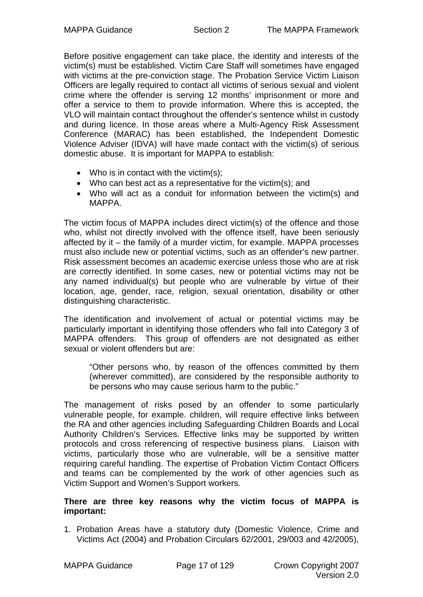Before positive engagement can take place, the identity and interests of the victim(s) must be established. Victim Care Staff will sometimes have engaged with victims at the pre-conviction stage. The Probation Service Victim Liaison Officers are legally required to contact all victims of serious sexual and violent crime where the offender is serving 12 months' imprisonment or more and offer a service to them to provide information. Where this is accepted, the VLO will maintain contact throughout the offender's sentence whilst in custody and during licence. In those areas where a Multi-Agency Risk Assessment Conference (MARAC) has been established, the Independent Domestic Violence Adviser (IDVA) will have made contact with the victim(s) of serious domestic abuse. It is important for MAPPA to establish:

- Who is in contact with the victim(s):
- Who can best act as a representative for the victim(s); and
- Who will act as a conduit for information between the victim(s) and MAPPA.

The victim focus of MAPPA includes direct victim(s) of the offence and those who, whilst not directly involved with the offence itself, have been seriously affected by it – the family of a murder victim, for example. MAPPA processes must also include new or potential victims, such as an offender's new partner. Risk assessment becomes an academic exercise unless those who are at risk are correctly identified. In some cases, new or potential victims may not be any named individual(s) but people who are vulnerable by virtue of their location, age, gender, race, religion, sexual orientation, disability or other distinguishing characteristic.

The identification and involvement of actual or potential victims may be particularly important in identifying those offenders who fall into Category 3 of MAPPA offenders. This group of offenders are not designated as either sexual or violent offenders but are:

"Other persons who, by reason of the offences committed by them (wherever committed), are considered by the responsible authority to be persons who may cause serious harm to the public."

The management of risks posed by an offender to some particularly vulnerable people, for example. children, will require effective links between the RA and other agencies including Safeguarding Children Boards and Local Authority Children's Services. Effective links may be supported by written protocols and cross referencing of respective business plans. Liaison with victims, particularly those who are vulnerable, will be a sensitive matter requiring careful handling. The expertise of Probation Victim Contact Officers and teams can be complemented by the work of other agencies such as Victim Support and Women's Support workers.

#### **There are three key reasons why the victim focus of MAPPA is important:**

1. Probation Areas have a statutory duty (Domestic Violence, Crime and Victims Act (2004) and Probation Circulars 62/2001, 29/003 and 42/2005),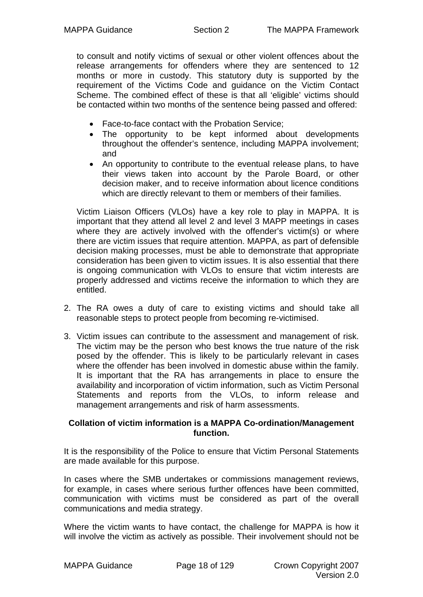to consult and notify victims of sexual or other violent offences about the release arrangements for offenders where they are sentenced to 12 months or more in custody. This statutory duty is supported by the requirement of the Victims Code and guidance on the Victim Contact Scheme. The combined effect of these is that all 'eligible' victims should be contacted within two months of the sentence being passed and offered:

- Face-to-face contact with the Probation Service;
- The opportunity to be kept informed about developments throughout the offender's sentence, including MAPPA involvement; and
- An opportunity to contribute to the eventual release plans, to have their views taken into account by the Parole Board, or other decision maker, and to receive information about licence conditions which are directly relevant to them or members of their families.

Victim Liaison Officers (VLOs) have a key role to play in MAPPA. It is important that they attend all level 2 and level 3 MAPP meetings in cases where they are actively involved with the offender's victim(s) or where there are victim issues that require attention. MAPPA, as part of defensible decision making processes, must be able to demonstrate that appropriate consideration has been given to victim issues. It is also essential that there is ongoing communication with VLOs to ensure that victim interests are properly addressed and victims receive the information to which they are entitled.

- 2. The RA owes a duty of care to existing victims and should take all reasonable steps to protect people from becoming re-victimised.
- 3. Victim issues can contribute to the assessment and management of risk. The victim may be the person who best knows the true nature of the risk posed by the offender. This is likely to be particularly relevant in cases where the offender has been involved in domestic abuse within the family. It is important that the RA has arrangements in place to ensure the availability and incorporation of victim information, such as Victim Personal Statements and reports from the VLOs, to inform release and management arrangements and risk of harm assessments.

#### **Collation of victim information is a MAPPA Co-ordination/Management function.**

It is the responsibility of the Police to ensure that Victim Personal Statements are made available for this purpose.

In cases where the SMB undertakes or commissions management reviews, for example, in cases where serious further offences have been committed, communication with victims must be considered as part of the overall communications and media strategy.

Where the victim wants to have contact, the challenge for MAPPA is how it will involve the victim as actively as possible. Their involvement should not be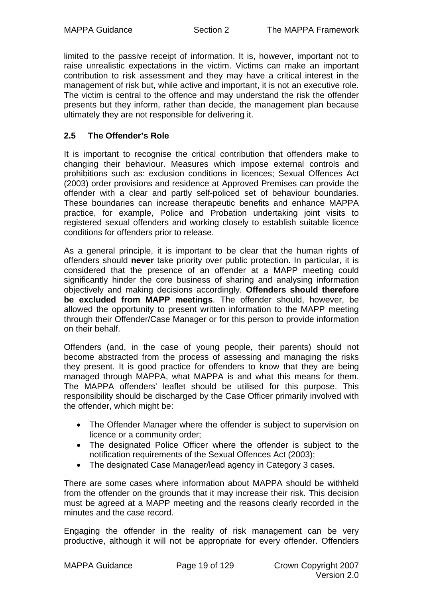<span id="page-18-0"></span>limited to the passive receipt of information. It is, however, important not to raise unrealistic expectations in the victim. Victims can make an important contribution to risk assessment and they may have a critical interest in the management of risk but, while active and important, it is not an executive role. The victim is central to the offence and may understand the risk the offender presents but they inform, rather than decide, the management plan because ultimately they are not responsible for delivering it.

#### **2.5 The Offender's Role**

It is important to recognise the critical contribution that offenders make to changing their behaviour. Measures which impose external controls and prohibitions such as: exclusion conditions in licences; Sexual Offences Act (2003) order provisions and residence at Approved Premises can provide the offender with a clear and partly self-policed set of behaviour boundaries. These boundaries can increase therapeutic benefits and enhance MAPPA practice, for example, Police and Probation undertaking joint visits to registered sexual offenders and working closely to establish suitable licence conditions for offenders prior to release.

As a general principle, it is important to be clear that the human rights of offenders should **never** take priority over public protection. In particular, it is considered that the presence of an offender at a MAPP meeting could significantly hinder the core business of sharing and analysing information objectively and making decisions accordingly. **Offenders should therefore be excluded from MAPP meetings**. The offender should, however, be allowed the opportunity to present written information to the MAPP meeting through their Offender/Case Manager or for this person to provide information on their behalf.

Offenders (and, in the case of young people, their parents) should not become abstracted from the process of assessing and managing the risks they present. It is good practice for offenders to know that they are being managed through MAPPA, what MAPPA is and what this means for them. The MAPPA offenders' leaflet should be utilised for this purpose. This responsibility should be discharged by the Case Officer primarily involved with the offender, which might be:

- The Offender Manager where the offender is subject to supervision on licence or a community order;
- The designated Police Officer where the offender is subject to the notification requirements of the Sexual Offences Act (2003);
- The designated Case Manager/lead agency in Category 3 cases.

There are some cases where information about MAPPA should be withheld from the offender on the grounds that it may increase their risk. This decision must be agreed at a MAPP meeting and the reasons clearly recorded in the minutes and the case record.

Engaging the offender in the reality of risk management can be very productive, although it will not be appropriate for every offender. Offenders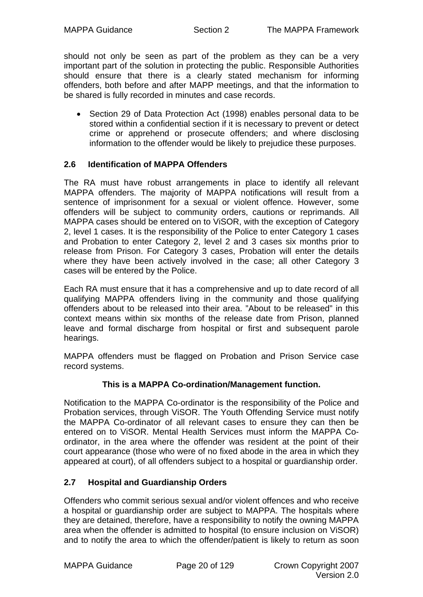<span id="page-19-0"></span>should not only be seen as part of the problem as they can be a very important part of the solution in protecting the public. Responsible Authorities should ensure that there is a clearly stated mechanism for informing offenders, both before and after MAPP meetings, and that the information to be shared is fully recorded in minutes and case records.

• Section 29 of Data Protection Act (1998) enables personal data to be stored within a confidential section if it is necessary to prevent or detect crime or apprehend or prosecute offenders; and where disclosing information to the offender would be likely to prejudice these purposes.

#### **2.6 Identification of MAPPA Offenders**

The RA must have robust arrangements in place to identify all relevant MAPPA offenders. The majority of MAPPA notifications will result from a sentence of imprisonment for a sexual or violent offence. However, some offenders will be subject to community orders, cautions or reprimands. All MAPPA cases should be entered on to ViSOR, with the exception of Category 2, level 1 cases. It is the responsibility of the Police to enter Category 1 cases and Probation to enter Category 2, level 2 and 3 cases six months prior to release from Prison. For Category 3 cases, Probation will enter the details where they have been actively involved in the case; all other Category 3 cases will be entered by the Police.

Each RA must ensure that it has a comprehensive and up to date record of all qualifying MAPPA offenders living in the community and those qualifying offenders about to be released into their area. "About to be released" in this context means within six months of the release date from Prison, planned leave and formal discharge from hospital or first and subsequent parole hearings.

MAPPA offenders must be flagged on Probation and Prison Service case record systems.

#### **This is a MAPPA Co-ordination/Management function.**

Notification to the MAPPA Co-ordinator is the responsibility of the Police and Probation services, through ViSOR. The Youth Offending Service must notify the MAPPA Co-ordinator of all relevant cases to ensure they can then be entered on to ViSOR. Mental Health Services must inform the MAPPA Coordinator, in the area where the offender was resident at the point of their court appearance (those who were of no fixed abode in the area in which they appeared at court), of all offenders subject to a hospital or guardianship order.

#### **2.7 Hospital and Guardianship Orders**

Offenders who commit serious sexual and/or violent offences and who receive a hospital or guardianship order are subject to MAPPA. The hospitals where they are detained, therefore, have a responsibility to notify the owning MAPPA area when the offender is admitted to hospital (to ensure inclusion on ViSOR) and to notify the area to which the offender/patient is likely to return as soon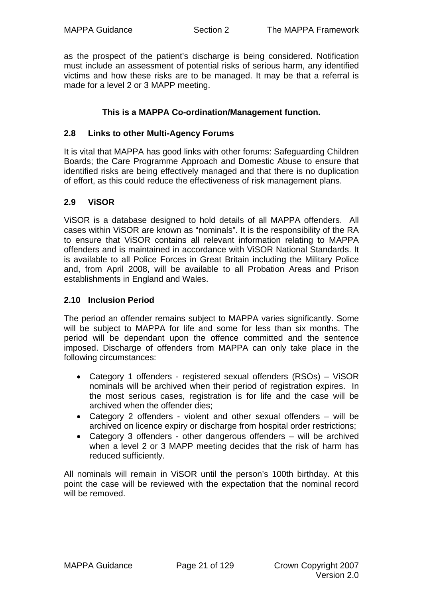<span id="page-20-0"></span>as the prospect of the patient's discharge is being considered. Notification must include an assessment of potential risks of serious harm, any identified victims and how these risks are to be managed. It may be that a referral is made for a level 2 or 3 MAPP meeting.

#### **This is a MAPPA Co-ordination/Management function.**

#### **2.8 Links to other Multi-Agency Forums**

It is vital that MAPPA has good links with other forums: Safeguarding Children Boards; the Care Programme Approach and Domestic Abuse to ensure that identified risks are being effectively managed and that there is no duplication of effort, as this could reduce the effectiveness of risk management plans.

#### **2.9 ViSOR**

ViSOR is a database designed to hold details of all MAPPA offenders. All cases within ViSOR are known as "nominals". It is the responsibility of the RA to ensure that ViSOR contains all relevant information relating to MAPPA offenders and is maintained in accordance with ViSOR National Standards. It is available to all Police Forces in Great Britain including the Military Police and, from April 2008, will be available to all Probation Areas and Prison establishments in England and Wales.

#### **2.10 Inclusion Period**

The period an offender remains subject to MAPPA varies significantly. Some will be subject to MAPPA for life and some for less than six months. The period will be dependant upon the offence committed and the sentence imposed. Discharge of offenders from MAPPA can only take place in the following circumstances:

- Category 1 offenders registered sexual offenders (RSOs) ViSOR nominals will be archived when their period of registration expires. In the most serious cases, registration is for life and the case will be archived when the offender dies;
- Category 2 offenders violent and other sexual offenders will be archived on licence expiry or discharge from hospital order restrictions;
- Category 3 offenders other dangerous offenders will be archived when a level 2 or 3 MAPP meeting decides that the risk of harm has reduced sufficiently.

All nominals will remain in ViSOR until the person's 100th birthday. At this point the case will be reviewed with the expectation that the nominal record will be removed.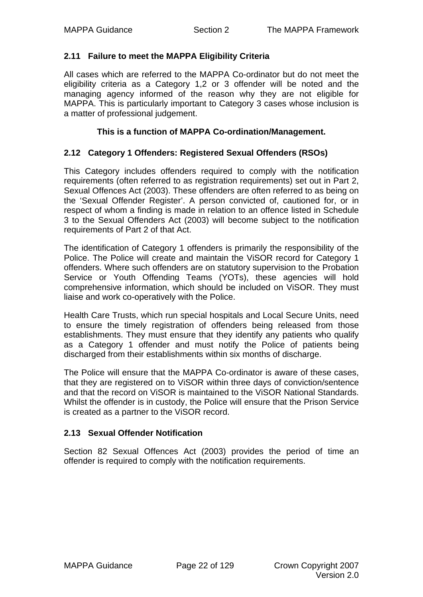#### <span id="page-21-0"></span>**2.11 Failure to meet the MAPPA Eligibility Criteria**

All cases which are referred to the MAPPA Co-ordinator but do not meet the eligibility criteria as a Category 1,2 or 3 offender will be noted and the managing agency informed of the reason why they are not eligible for MAPPA. This is particularly important to Category 3 cases whose inclusion is a matter of professional judgement.

#### **This is a function of MAPPA Co-ordination/Management.**

#### **2.12 Category 1 Offenders: Registered Sexual Offenders (RSOs)**

This Category includes offenders required to comply with the notification requirements (often referred to as registration requirements) set out in Part 2, Sexual Offences Act (2003). These offenders are often referred to as being on the 'Sexual Offender Register'. A person convicted of, cautioned for, or in respect of whom a finding is made in relation to an offence listed in Schedule 3 to the Sexual Offenders Act (2003) will become subject to the notification requirements of Part 2 of that Act.

The identification of Category 1 offenders is primarily the responsibility of the Police. The Police will create and maintain the ViSOR record for Category 1 offenders. Where such offenders are on statutory supervision to the Probation Service or Youth Offending Teams (YOTs), these agencies will hold comprehensive information, which should be included on ViSOR. They must liaise and work co-operatively with the Police.

Health Care Trusts, which run special hospitals and Local Secure Units, need to ensure the timely registration of offenders being released from those establishments. They must ensure that they identify any patients who qualify as a Category 1 offender and must notify the Police of patients being discharged from their establishments within six months of discharge.

The Police will ensure that the MAPPA Co-ordinator is aware of these cases, that they are registered on to ViSOR within three days of conviction/sentence and that the record on ViSOR is maintained to the ViSOR National Standards. Whilst the offender is in custody, the Police will ensure that the Prison Service is created as a partner to the ViSOR record.

#### **2.13 Sexual Offender Notification**

Section 82 Sexual Offences Act (2003) provides the period of time an offender is required to comply with the notification requirements.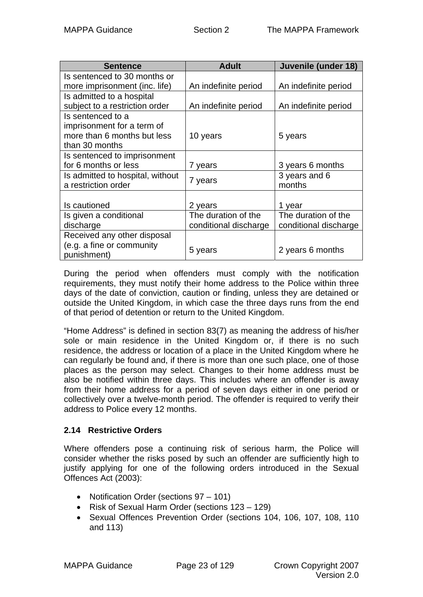<span id="page-22-0"></span>

| <b>Sentence</b>                  | <b>Adult</b>          | Juvenile (under 18)   |
|----------------------------------|-----------------------|-----------------------|
| Is sentenced to 30 months or     |                       |                       |
| more imprisonment (inc. life)    | An indefinite period  | An indefinite period  |
| Is admitted to a hospital        |                       |                       |
| subject to a restriction order   | An indefinite period  | An indefinite period  |
| Is sentenced to a                |                       |                       |
| imprisonment for a term of       |                       |                       |
| more than 6 months but less      | 10 years              | 5 years               |
| than 30 months                   |                       |                       |
| Is sentenced to imprisonment     |                       |                       |
| for 6 months or less             | 7 years               | 3 years 6 months      |
| Is admitted to hospital, without | 7 years               | 3 years and 6         |
| a restriction order              |                       | months                |
|                                  |                       |                       |
| Is cautioned                     | 2 years               | 1 year                |
| Is given a conditional           | The duration of the   | The duration of the   |
| discharge                        | conditional discharge | conditional discharge |
| Received any other disposal      |                       |                       |
| (e.g. a fine or community        |                       | 2 years 6 months      |
| punishment)                      | 5 years               |                       |

During the period when offenders must comply with the notification requirements, they must notify their home address to the Police within three days of the date of conviction, caution or finding, unless they are detained or outside the United Kingdom, in which case the three days runs from the end of that period of detention or return to the United Kingdom.

"Home Address" is defined in section 83(7) as meaning the address of his/her sole or main residence in the United Kingdom or, if there is no such residence, the address or location of a place in the United Kingdom where he can regularly be found and, if there is more than one such place, one of those places as the person may select. Changes to their home address must be also be notified within three days. This includes where an offender is away from their home address for a period of seven days either in one period or collectively over a twelve-month period. The offender is required to verify their address to Police every 12 months.

#### **2.14 Restrictive Orders**

Where offenders pose a continuing risk of serious harm, the Police will consider whether the risks posed by such an offender are sufficiently high to justify applying for one of the following orders introduced in the Sexual Offences Act (2003):

- Notification Order (sections 97 101)
- Risk of Sexual Harm Order (sections 123 129)
- Sexual Offences Prevention Order (sections 104, 106, 107, 108, 110 and 113)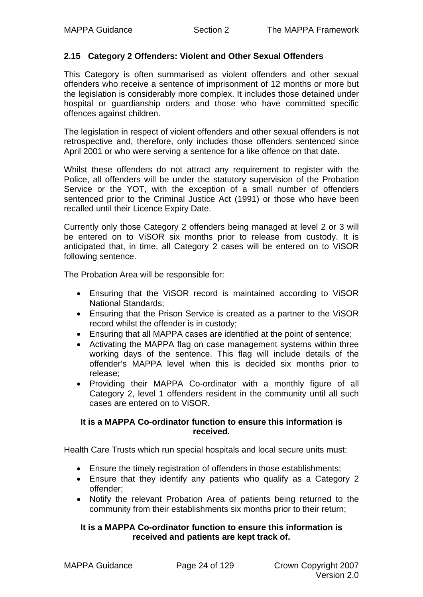#### <span id="page-23-0"></span>**2.15 Category 2 Offenders: Violent and Other Sexual Offenders**

This Category is often summarised as violent offenders and other sexual offenders who receive a sentence of imprisonment of 12 months or more but the legislation is considerably more complex. It includes those detained under hospital or guardianship orders and those who have committed specific offences against children.

The legislation in respect of violent offenders and other sexual offenders is not retrospective and, therefore, only includes those offenders sentenced since April 2001 or who were serving a sentence for a like offence on that date.

Whilst these offenders do not attract any requirement to register with the Police, all offenders will be under the statutory supervision of the Probation Service or the YOT, with the exception of a small number of offenders sentenced prior to the Criminal Justice Act (1991) or those who have been recalled until their Licence Expiry Date.

Currently only those Category 2 offenders being managed at level 2 or 3 will be entered on to ViSOR six months prior to release from custody. It is anticipated that, in time, all Category 2 cases will be entered on to ViSOR following sentence.

The Probation Area will be responsible for:

- Ensuring that the ViSOR record is maintained according to ViSOR National Standards;
- Ensuring that the Prison Service is created as a partner to the ViSOR record whilst the offender is in custody;
- Ensuring that all MAPPA cases are identified at the point of sentence;
- Activating the MAPPA flag on case management systems within three working days of the sentence. This flag will include details of the offender's MAPPA level when this is decided six months prior to release;
- Providing their MAPPA Co-ordinator with a monthly figure of all Category 2, level 1 offenders resident in the community until all such cases are entered on to ViSOR.

#### **It is a MAPPA Co-ordinator function to ensure this information is received.**

Health Care Trusts which run special hospitals and local secure units must:

- Ensure the timely registration of offenders in those establishments;
- Ensure that they identify any patients who qualify as a Category 2 offender;
- Notify the relevant Probation Area of patients being returned to the community from their establishments six months prior to their return;

#### **It is a MAPPA Co-ordinator function to ensure this information is received and patients are kept track of.**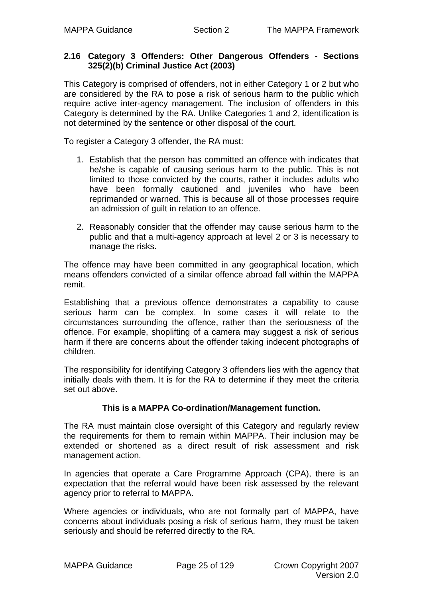#### <span id="page-24-0"></span>**2.16 Category 3 Offenders: Other Dangerous Offenders - Sections 325(2)(b) Criminal Justice Act (2003)**

This Category is comprised of offenders, not in either Category 1 or 2 but who are considered by the RA to pose a risk of serious harm to the public which require active inter-agency management. The inclusion of offenders in this Category is determined by the RA. Unlike Categories 1 and 2, identification is not determined by the sentence or other disposal of the court.

To register a Category 3 offender, the RA must:

- 1. Establish that the person has committed an offence with indicates that he/she is capable of causing serious harm to the public. This is not limited to those convicted by the courts, rather it includes adults who have been formally cautioned and juveniles who have been reprimanded or warned. This is because all of those processes require an admission of guilt in relation to an offence.
- 2. Reasonably consider that the offender may cause serious harm to the public and that a multi-agency approach at level 2 or 3 is necessary to manage the risks.

The offence may have been committed in any geographical location, which means offenders convicted of a similar offence abroad fall within the MAPPA remit.

Establishing that a previous offence demonstrates a capability to cause serious harm can be complex. In some cases it will relate to the circumstances surrounding the offence, rather than the seriousness of the offence. For example, shoplifting of a camera may suggest a risk of serious harm if there are concerns about the offender taking indecent photographs of children.

The responsibility for identifying Category 3 offenders lies with the agency that initially deals with them. It is for the RA to determine if they meet the criteria set out above.

#### **This is a MAPPA Co-ordination/Management function.**

The RA must maintain close oversight of this Category and regularly review the requirements for them to remain within MAPPA. Their inclusion may be extended or shortened as a direct result of risk assessment and risk management action.

In agencies that operate a Care Programme Approach (CPA), there is an expectation that the referral would have been risk assessed by the relevant agency prior to referral to MAPPA.

Where agencies or individuals, who are not formally part of MAPPA, have concerns about individuals posing a risk of serious harm, they must be taken seriously and should be referred directly to the RA.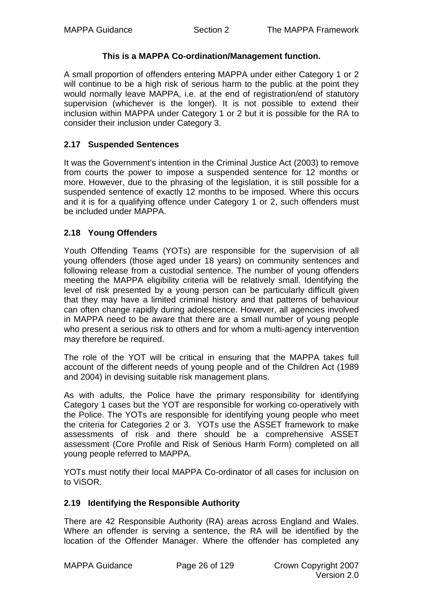#### **This is a MAPPA Co-ordination/Management function.**

<span id="page-25-0"></span>A small proportion of offenders entering MAPPA under either Category 1 or 2 will continue to be a high risk of serious harm to the public at the point they would normally leave MAPPA, i.e. at the end of registration/end of statutory supervision (whichever is the longer). It is not possible to extend their inclusion within MAPPA under Category 1 or 2 but it is possible for the RA to consider their inclusion under Category 3.

#### **2.17 Suspended Sentences**

It was the Government's intention in the Criminal Justice Act (2003) to remove from courts the power to impose a suspended sentence for 12 months or more. However, due to the phrasing of the legislation, it is still possible for a suspended sentence of exactly 12 months to be imposed. Where this occurs and it is for a qualifying offence under Category 1 or 2, such offenders must be included under MAPPA.

#### **2.18 Young Offenders**

Youth Offending Teams (YOTs) are responsible for the supervision of all young offenders (those aged under 18 years) on community sentences and following release from a custodial sentence. The number of young offenders meeting the MAPPA eligibility criteria will be relatively small. Identifying the level of risk presented by a young person can be particularly difficult given that they may have a limited criminal history and that patterns of behaviour can often change rapidly during adolescence. However, all agencies involved in MAPPA need to be aware that there are a small number of young people who present a serious risk to others and for whom a multi-agency intervention may therefore be required.

The role of the YOT will be critical in ensuring that the MAPPA takes full account of the different needs of young people and of the Children Act (1989 and 2004) in devising suitable risk management plans.

As with adults, the Police have the primary responsibility for identifying Category 1 cases but the YOT are responsible for working co-operatively with the Police. The YOTs are responsible for identifying young people who meet the criteria for Categories 2 or 3. YOTs use the ASSET framework to make assessments of risk and there should be a comprehensive ASSET assessment (Core Profile and Risk of Serious Harm Form) completed on all young people referred to MAPPA.

YOTs must notify their local MAPPA Co-ordinator of all cases for inclusion on to ViSOR.

#### **2.19 Identifying the Responsible Authority**

There are 42 Responsible Authority (RA) areas across England and Wales. Where an offender is serving a sentence, the RA will be identified by the location of the Offender Manager. Where the offender has completed any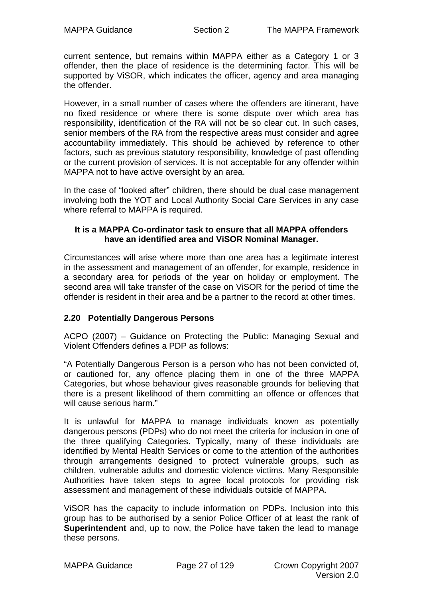<span id="page-26-0"></span>current sentence, but remains within MAPPA either as a Category 1 or 3 offender, then the place of residence is the determining factor. This will be supported by ViSOR, which indicates the officer, agency and area managing the offender.

However, in a small number of cases where the offenders are itinerant, have no fixed residence or where there is some dispute over which area has responsibility, identification of the RA will not be so clear cut. In such cases, senior members of the RA from the respective areas must consider and agree accountability immediately. This should be achieved by reference to other factors, such as previous statutory responsibility, knowledge of past offending or the current provision of services. It is not acceptable for any offender within MAPPA not to have active oversight by an area.

In the case of "looked after" children, there should be dual case management involving both the YOT and Local Authority Social Care Services in any case where referral to MAPPA is required.

#### **It is a MAPPA Co-ordinator task to ensure that all MAPPA offenders have an identified area and ViSOR Nominal Manager.**

Circumstances will arise where more than one area has a legitimate interest in the assessment and management of an offender, for example, residence in a secondary area for periods of the year on holiday or employment. The second area will take transfer of the case on ViSOR for the period of time the offender is resident in their area and be a partner to the record at other times.

#### **2.20 Potentially Dangerous Persons**

ACPO (2007) – Guidance on Protecting the Public: Managing Sexual and Violent Offenders defines a PDP as follows:

"A Potentially Dangerous Person is a person who has not been convicted of, or cautioned for, any offence placing them in one of the three MAPPA Categories, but whose behaviour gives reasonable grounds for believing that there is a present likelihood of them committing an offence or offences that will cause serious harm."

It is unlawful for MAPPA to manage individuals known as potentially dangerous persons (PDPs) who do not meet the criteria for inclusion in one of the three qualifying Categories. Typically, many of these individuals are identified by Mental Health Services or come to the attention of the authorities through arrangements designed to protect vulnerable groups, such as children, vulnerable adults and domestic violence victims. Many Responsible Authorities have taken steps to agree local protocols for providing risk assessment and management of these individuals outside of MAPPA.

ViSOR has the capacity to include information on PDPs. Inclusion into this group has to be authorised by a senior Police Officer of at least the rank of **Superintendent** and, up to now, the Police have taken the lead to manage these persons.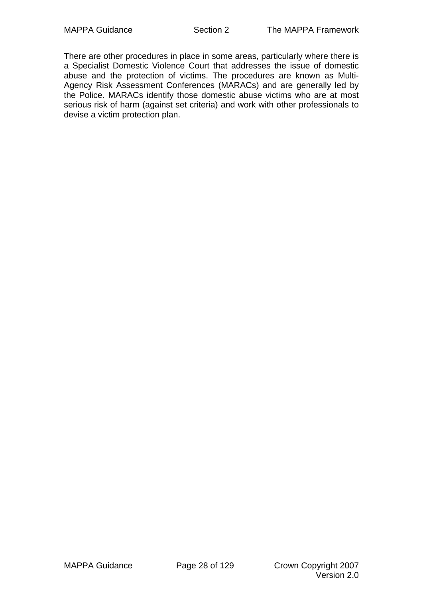There are other procedures in place in some areas, particularly where there is a Specialist Domestic Violence Court that addresses the issue of domestic abuse and the protection of victims. The procedures are known as Multi-Agency Risk Assessment Conferences (MARACs) and are generally led by the Police. MARACs identify those domestic abuse victims who are at most serious risk of harm (against set criteria) and work with other professionals to devise a victim protection plan.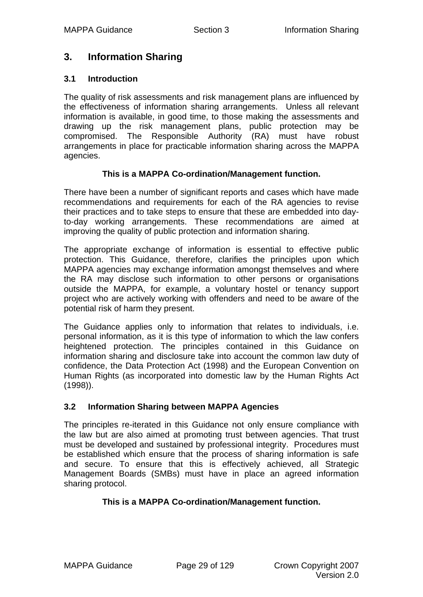## <span id="page-28-0"></span>**3. Information Sharing**

#### **3.1 Introduction**

The quality of risk assessments and risk management plans are influenced by the effectiveness of information sharing arrangements. Unless all relevant information is available, in good time, to those making the assessments and drawing up the risk management plans, public protection may be compromised. The Responsible Authority (RA) must have robust arrangements in place for practicable information sharing across the MAPPA agencies.

#### **This is a MAPPA Co-ordination/Management function.**

There have been a number of significant reports and cases which have made recommendations and requirements for each of the RA agencies to revise their practices and to take steps to ensure that these are embedded into dayto-day working arrangements. These recommendations are aimed at improving the quality of public protection and information sharing.

The appropriate exchange of information is essential to effective public protection. This Guidance, therefore, clarifies the principles upon which MAPPA agencies may exchange information amongst themselves and where the RA may disclose such information to other persons or organisations outside the MAPPA, for example, a voluntary hostel or tenancy support project who are actively working with offenders and need to be aware of the potential risk of harm they present.

The Guidance applies only to information that relates to individuals, i.e. personal information, as it is this type of information to which the law confers heightened protection. The principles contained in this Guidance on information sharing and disclosure take into account the common law duty of confidence, the Data Protection Act (1998) and the European Convention on Human Rights (as incorporated into domestic law by the Human Rights Act (1998)).

#### **3.2 Information Sharing between MAPPA Agencies**

The principles re-iterated in this Guidance not only ensure compliance with the law but are also aimed at promoting trust between agencies. That trust must be developed and sustained by professional integrity. Procedures must be established which ensure that the process of sharing information is safe and secure. To ensure that this is effectively achieved, all Strategic Management Boards (SMBs) must have in place an agreed information sharing protocol.

#### **This is a MAPPA Co-ordination/Management function.**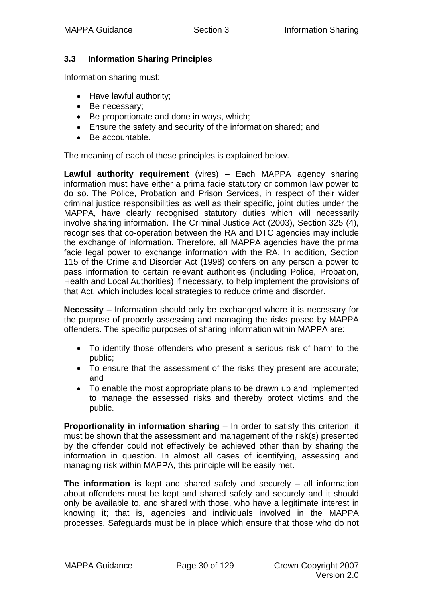#### <span id="page-29-0"></span>**3.3 Information Sharing Principles**

Information sharing must:

- Have lawful authority;
- Be necessary;
- Be proportionate and done in ways, which;
- Ensure the safety and security of the information shared; and
- Be accountable.

The meaning of each of these principles is explained below.

**Lawful authority requirement** (vires) – Each MAPPA agency sharing information must have either a prima facie statutory or common law power to do so. The Police, Probation and Prison Services, in respect of their wider criminal justice responsibilities as well as their specific, joint duties under the MAPPA, have clearly recognised statutory duties which will necessarily involve sharing information. The Criminal Justice Act (2003), Section 325 (4), recognises that co-operation between the RA and DTC agencies may include the exchange of information. Therefore, all MAPPA agencies have the prima facie legal power to exchange information with the RA. In addition, Section 115 of the Crime and Disorder Act (1998) confers on any person a power to pass information to certain relevant authorities (including Police, Probation, Health and Local Authorities) if necessary, to help implement the provisions of that Act, which includes local strategies to reduce crime and disorder.

**Necessity** – Information should only be exchanged where it is necessary for the purpose of properly assessing and managing the risks posed by MAPPA offenders. The specific purposes of sharing information within MAPPA are:

- To identify those offenders who present a serious risk of harm to the public;
- To ensure that the assessment of the risks they present are accurate; and
- To enable the most appropriate plans to be drawn up and implemented to manage the assessed risks and thereby protect victims and the public.

**Proportionality in information sharing** – In order to satisfy this criterion, it must be shown that the assessment and management of the risk(s) presented by the offender could not effectively be achieved other than by sharing the information in question. In almost all cases of identifying, assessing and managing risk within MAPPA, this principle will be easily met.

**The information is** kept and shared safely and securely – all information about offenders must be kept and shared safely and securely and it should only be available to, and shared with those, who have a legitimate interest in knowing it; that is, agencies and individuals involved in the MAPPA processes. Safeguards must be in place which ensure that those who do not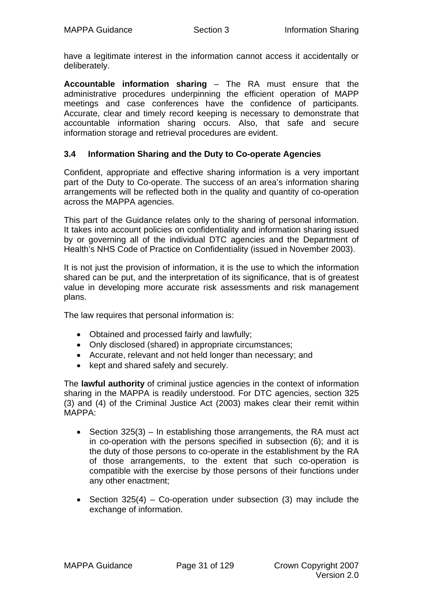<span id="page-30-0"></span>have a legitimate interest in the information cannot access it accidentally or deliberately.

**Accountable information sharing** – The RA must ensure that the administrative procedures underpinning the efficient operation of MAPP meetings and case conferences have the confidence of participants. Accurate, clear and timely record keeping is necessary to demonstrate that accountable information sharing occurs. Also, that safe and secure information storage and retrieval procedures are evident.

#### **3.4 Information Sharing and the Duty to Co-operate Agencies**

Confident, appropriate and effective sharing information is a very important part of the Duty to Co-operate. The success of an area's information sharing arrangements will be reflected both in the quality and quantity of co-operation across the MAPPA agencies.

This part of the Guidance relates only to the sharing of personal information. It takes into account policies on confidentiality and information sharing issued by or governing all of the individual DTC agencies and the Department of Health's NHS Code of Practice on Confidentiality (issued in November 2003).

It is not just the provision of information, it is the use to which the information shared can be put, and the interpretation of its significance, that is of greatest value in developing more accurate risk assessments and risk management plans.

The law requires that personal information is:

- Obtained and processed fairly and lawfully;
- Only disclosed (shared) in appropriate circumstances;
- Accurate, relevant and not held longer than necessary; and
- kept and shared safely and securely.

The **lawful authority** of criminal justice agencies in the context of information sharing in the MAPPA is readily understood. For DTC agencies, section 325 (3) and (4) of the Criminal Justice Act (2003) makes clear their remit within MAPPA:

- Section 325(3) In establishing those arrangements, the RA must act in co-operation with the persons specified in subsection (6); and it is the duty of those persons to co-operate in the establishment by the RA of those arrangements, to the extent that such co-operation is compatible with the exercise by those persons of their functions under any other enactment;
- Section  $325(4)$  Co-operation under subsection (3) may include the exchange of information.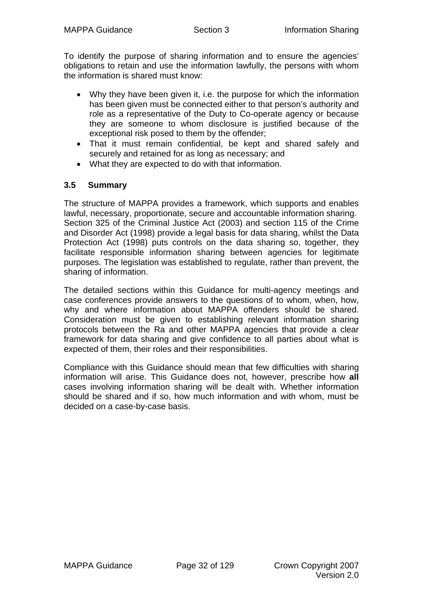<span id="page-31-0"></span>To identify the purpose of sharing information and to ensure the agencies' obligations to retain and use the information lawfully, the persons with whom the information is shared must know:

- Why they have been given it, i.e. the purpose for which the information has been given must be connected either to that person's authority and role as a representative of the Duty to Co-operate agency or because they are someone to whom disclosure is justified because of the exceptional risk posed to them by the offender;
- That it must remain confidential, be kept and shared safely and securely and retained for as long as necessary; and
- What they are expected to do with that information.

#### **3.5 Summary**

The structure of MAPPA provides a framework, which supports and enables lawful, necessary, proportionate, secure and accountable information sharing. Section 325 of the Criminal Justice Act (2003) and section 115 of the Crime and Disorder Act (1998) provide a legal basis for data sharing, whilst the Data Protection Act (1998) puts controls on the data sharing so, together, they facilitate responsible information sharing between agencies for legitimate purposes. The legislation was established to regulate, rather than prevent, the sharing of information.

The detailed sections within this Guidance for multi-agency meetings and case conferences provide answers to the questions of to whom, when, how, why and where information about MAPPA offenders should be shared. Consideration must be given to establishing relevant information sharing protocols between the Ra and other MAPPA agencies that provide a clear framework for data sharing and give confidence to all parties about what is expected of them, their roles and their responsibilities.

Compliance with this Guidance should mean that few difficulties with sharing information will arise. This Guidance does not, however, prescribe how **all** cases involving information sharing will be dealt with. Whether information should be shared and if so, how much information and with whom, must be decided on a case-by-case basis.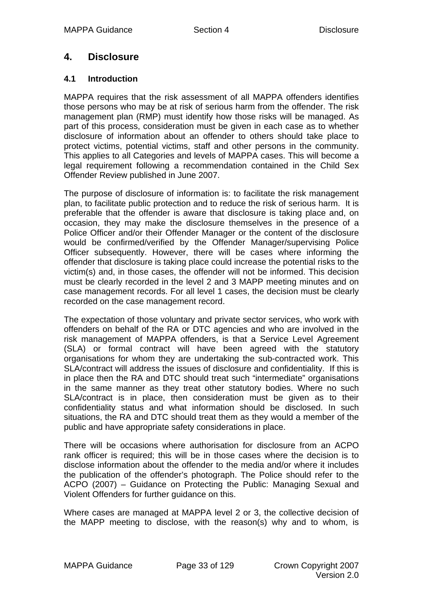# <span id="page-32-0"></span>**4. Disclosure**

#### **4.1 Introduction**

MAPPA requires that the risk assessment of all MAPPA offenders identifies those persons who may be at risk of serious harm from the offender. The risk management plan (RMP) must identify how those risks will be managed. As part of this process, consideration must be given in each case as to whether disclosure of information about an offender to others should take place to protect victims, potential victims, staff and other persons in the community. This applies to all Categories and levels of MAPPA cases. This will become a legal requirement following a recommendation contained in the Child Sex Offender Review published in June 2007.

The purpose of disclosure of information is: to facilitate the risk management plan, to facilitate public protection and to reduce the risk of serious harm. It is preferable that the offender is aware that disclosure is taking place and, on occasion, they may make the disclosure themselves in the presence of a Police Officer and/or their Offender Manager or the content of the disclosure would be confirmed/verified by the Offender Manager/supervising Police Officer subsequently. However, there will be cases where informing the offender that disclosure is taking place could increase the potential risks to the victim(s) and, in those cases, the offender will not be informed. This decision must be clearly recorded in the level 2 and 3 MAPP meeting minutes and on case management records. For all level 1 cases, the decision must be clearly recorded on the case management record.

The expectation of those voluntary and private sector services, who work with offenders on behalf of the RA or DTC agencies and who are involved in the risk management of MAPPA offenders, is that a Service Level Agreement (SLA) or formal contract will have been agreed with the statutory organisations for whom they are undertaking the sub-contracted work. This SLA/contract will address the issues of disclosure and confidentiality. If this is in place then the RA and DTC should treat such "intermediate" organisations in the same manner as they treat other statutory bodies. Where no such SLA/contract is in place, then consideration must be given as to their confidentiality status and what information should be disclosed. In such situations, the RA and DTC should treat them as they would a member of the public and have appropriate safety considerations in place.

There will be occasions where authorisation for disclosure from an ACPO rank officer is required; this will be in those cases where the decision is to disclose information about the offender to the media and/or where it includes the publication of the offender's photograph. The Police should refer to the ACPO (2007) – Guidance on Protecting the Public: Managing Sexual and Violent Offenders for further guidance on this.

Where cases are managed at MAPPA level 2 or 3, the collective decision of the MAPP meeting to disclose, with the reason(s) why and to whom, is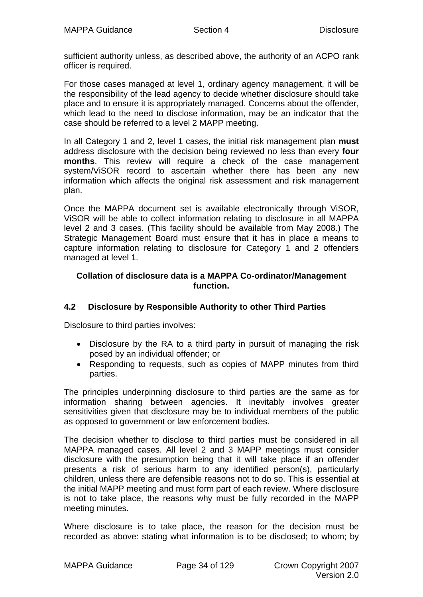<span id="page-33-0"></span>sufficient authority unless, as described above, the authority of an ACPO rank officer is required.

For those cases managed at level 1, ordinary agency management, it will be the responsibility of the lead agency to decide whether disclosure should take place and to ensure it is appropriately managed. Concerns about the offender, which lead to the need to disclose information, may be an indicator that the case should be referred to a level 2 MAPP meeting.

In all Category 1 and 2, level 1 cases, the initial risk management plan **must**  address disclosure with the decision being reviewed no less than every **four months**. This review will require a check of the case management system/ViSOR record to ascertain whether there has been any new information which affects the original risk assessment and risk management plan.

Once the MAPPA document set is available electronically through ViSOR, ViSOR will be able to collect information relating to disclosure in all MAPPA level 2 and 3 cases. (This facility should be available from May 2008.) The Strategic Management Board must ensure that it has in place a means to capture information relating to disclosure for Category 1 and 2 offenders managed at level 1.

#### **Collation of disclosure data is a MAPPA Co-ordinator/Management function.**

#### **4.2 Disclosure by Responsible Authority to other Third Parties**

Disclosure to third parties involves:

- Disclosure by the RA to a third party in pursuit of managing the risk posed by an individual offender; or
- Responding to requests, such as copies of MAPP minutes from third parties.

The principles underpinning disclosure to third parties are the same as for information sharing between agencies. It inevitably involves greater sensitivities given that disclosure may be to individual members of the public as opposed to government or law enforcement bodies.

The decision whether to disclose to third parties must be considered in all MAPPA managed cases. All level 2 and 3 MAPP meetings must consider disclosure with the presumption being that it will take place if an offender presents a risk of serious harm to any identified person(s), particularly children, unless there are defensible reasons not to do so. This is essential at the initial MAPP meeting and must form part of each review. Where disclosure is not to take place, the reasons why must be fully recorded in the MAPP meeting minutes.

Where disclosure is to take place, the reason for the decision must be recorded as above: stating what information is to be disclosed; to whom; by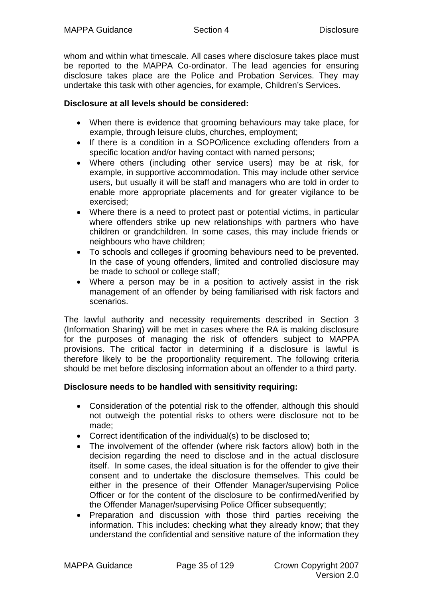whom and within what timescale. All cases where disclosure takes place must be reported to the MAPPA Co-ordinator. The lead agencies for ensuring disclosure takes place are the Police and Probation Services. They may undertake this task with other agencies, for example, Children's Services.

#### **Disclosure at all levels should be considered:**

- When there is evidence that grooming behaviours may take place, for example, through leisure clubs, churches, employment;
- If there is a condition in a SOPO/licence excluding offenders from a specific location and/or having contact with named persons;
- Where others (including other service users) may be at risk, for example, in supportive accommodation. This may include other service users, but usually it will be staff and managers who are told in order to enable more appropriate placements and for greater vigilance to be exercised;
- Where there is a need to protect past or potential victims, in particular where offenders strike up new relationships with partners who have children or grandchildren. In some cases, this may include friends or neighbours who have children;
- To schools and colleges if grooming behaviours need to be prevented. In the case of young offenders, limited and controlled disclosure may be made to school or college staff;
- Where a person may be in a position to actively assist in the risk management of an offender by being familiarised with risk factors and scenarios.

The lawful authority and necessity requirements described in Section 3 (Information Sharing) will be met in cases where the RA is making disclosure for the purposes of managing the risk of offenders subject to MAPPA provisions. The critical factor in determining if a disclosure is lawful is therefore likely to be the proportionality requirement. The following criteria should be met before disclosing information about an offender to a third party.

#### **Disclosure needs to be handled with sensitivity requiring:**

- Consideration of the potential risk to the offender, although this should not outweigh the potential risks to others were disclosure not to be made;
- Correct identification of the individual(s) to be disclosed to;
- The involvement of the offender (where risk factors allow) both in the decision regarding the need to disclose and in the actual disclosure itself. In some cases, the ideal situation is for the offender to give their consent and to undertake the disclosure themselves. This could be either in the presence of their Offender Manager/supervising Police Officer or for the content of the disclosure to be confirmed/verified by the Offender Manager/supervising Police Officer subsequently;
- Preparation and discussion with those third parties receiving the information. This includes: checking what they already know; that they understand the confidential and sensitive nature of the information they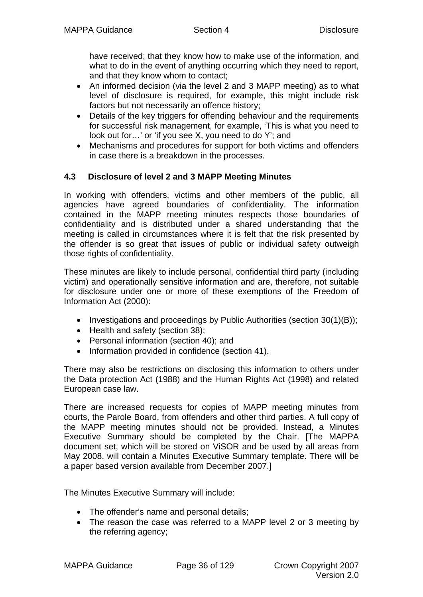<span id="page-35-0"></span>have received; that they know how to make use of the information, and what to do in the event of anything occurring which they need to report, and that they know whom to contact;

- An informed decision (via the level 2 and 3 MAPP meeting) as to what level of disclosure is required, for example, this might include risk factors but not necessarily an offence history;
- Details of the key triggers for offending behaviour and the requirements for successful risk management, for example, 'This is what you need to look out for...' or 'if you see X, you need to do Y'; and
- Mechanisms and procedures for support for both victims and offenders in case there is a breakdown in the processes.

#### **4.3 Disclosure of level 2 and 3 MAPP Meeting Minutes**

In working with offenders, victims and other members of the public, all agencies have agreed boundaries of confidentiality. The information contained in the MAPP meeting minutes respects those boundaries of confidentiality and is distributed under a shared understanding that the meeting is called in circumstances where it is felt that the risk presented by the offender is so great that issues of public or individual safety outweigh those rights of confidentiality.

These minutes are likely to include personal, confidential third party (including victim) and operationally sensitive information and are, therefore, not suitable for disclosure under one or more of these exemptions of the Freedom of Information Act (2000):

- Investigations and proceedings by Public Authorities (section 30(1)(B));
- Health and safety (section 38);
- Personal information (section 40); and
- Information provided in confidence (section 41).

There may also be restrictions on disclosing this information to others under the Data protection Act (1988) and the Human Rights Act (1998) and related European case law.

There are increased requests for copies of MAPP meeting minutes from courts, the Parole Board, from offenders and other third parties. A full copy of the MAPP meeting minutes should not be provided. Instead, a Minutes Executive Summary should be completed by the Chair. [The MAPPA document set, which will be stored on ViSOR and be used by all areas from May 2008, will contain a Minutes Executive Summary template. There will be a paper based version available from December 2007.]

The Minutes Executive Summary will include:

- The offender's name and personal details;
- The reason the case was referred to a MAPP level 2 or 3 meeting by the referring agency;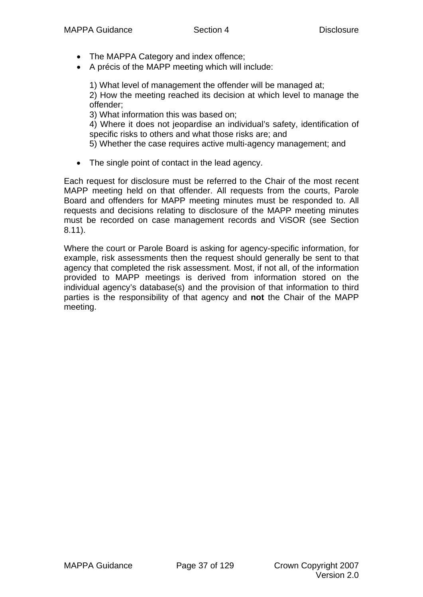- The MAPPA Category and index offence;
- A précis of the MAPP meeting which will include:

1) What level of management the offender will be managed at;

 2) How the meeting reached its decision at which level to manage the offender;

3) What information this was based on;

 4) Where it does not jeopardise an individual's safety, identification of specific risks to others and what those risks are; and

5) Whether the case requires active multi-agency management; and

• The single point of contact in the lead agency.

Each request for disclosure must be referred to the Chair of the most recent MAPP meeting held on that offender. All requests from the courts, Parole Board and offenders for MAPP meeting minutes must be responded to. All requests and decisions relating to disclosure of the MAPP meeting minutes must be recorded on case management records and ViSOR (see Section 8.11).

Where the court or Parole Board is asking for agency-specific information, for example, risk assessments then the request should generally be sent to that agency that completed the risk assessment. Most, if not all, of the information provided to MAPP meetings is derived from information stored on the individual agency's database(s) and the provision of that information to third parties is the responsibility of that agency and **not** the Chair of the MAPP meeting.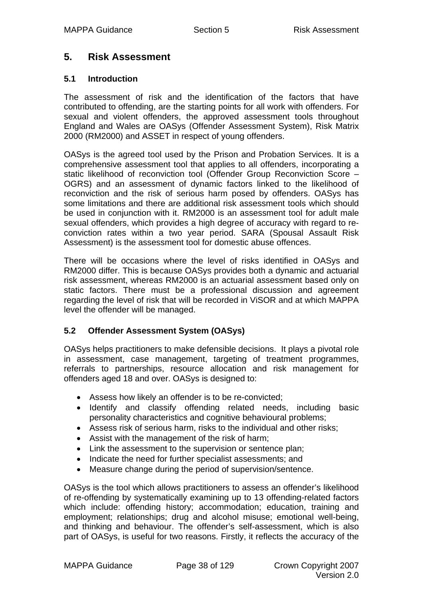# **5. Risk Assessment**

### **5.1 Introduction**

The assessment of risk and the identification of the factors that have contributed to offending, are the starting points for all work with offenders. For sexual and violent offenders, the approved assessment tools throughout England and Wales are OASys (Offender Assessment System), Risk Matrix 2000 (RM2000) and ASSET in respect of young offenders.

OASys is the agreed tool used by the Prison and Probation Services. It is a comprehensive assessment tool that applies to all offenders, incorporating a static likelihood of reconviction tool (Offender Group Reconviction Score – OGRS) and an assessment of dynamic factors linked to the likelihood of reconviction and the risk of serious harm posed by offenders. OASys has some limitations and there are additional risk assessment tools which should be used in conjunction with it. RM2000 is an assessment tool for adult male sexual offenders, which provides a high degree of accuracy with regard to reconviction rates within a two year period. SARA (Spousal Assault Risk Assessment) is the assessment tool for domestic abuse offences.

There will be occasions where the level of risks identified in OASys and RM2000 differ. This is because OASys provides both a dynamic and actuarial risk assessment, whereas RM2000 is an actuarial assessment based only on static factors. There must be a professional discussion and agreement regarding the level of risk that will be recorded in ViSOR and at which MAPPA level the offender will be managed.

# **5.2 Offender Assessment System (OASys)**

OASys helps practitioners to make defensible decisions. It plays a pivotal role in assessment, case management, targeting of treatment programmes, referrals to partnerships, resource allocation and risk management for offenders aged 18 and over. OASys is designed to:

- Assess how likely an offender is to be re-convicted;
- Identify and classify offending related needs, including basic personality characteristics and cognitive behavioural problems;
- Assess risk of serious harm, risks to the individual and other risks;
- Assist with the management of the risk of harm;
- Link the assessment to the supervision or sentence plan;
- Indicate the need for further specialist assessments; and
- Measure change during the period of supervision/sentence.

OASys is the tool which allows practitioners to assess an offender's likelihood of re-offending by systematically examining up to 13 offending-related factors which include: offending history; accommodation; education, training and employment; relationships; drug and alcohol misuse; emotional well-being, and thinking and behaviour. The offender's self-assessment, which is also part of OASys, is useful for two reasons. Firstly, it reflects the accuracy of the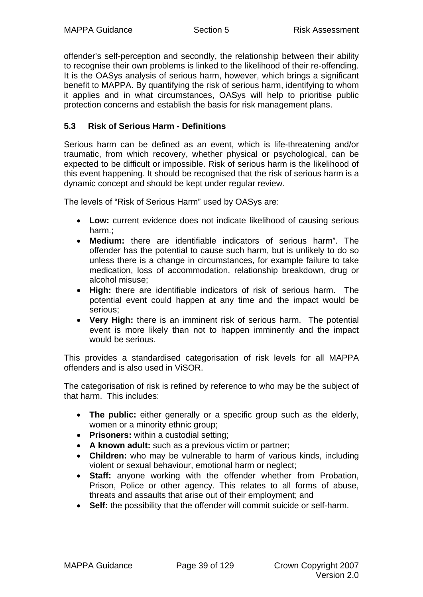offender's self-perception and secondly, the relationship between their ability to recognise their own problems is linked to the likelihood of their re-offending. It is the OASys analysis of serious harm, however, which brings a significant benefit to MAPPA. By quantifying the risk of serious harm, identifying to whom it applies and in what circumstances, OASys will help to prioritise public protection concerns and establish the basis for risk management plans.

# **5.3 Risk of Serious Harm - Definitions**

Serious harm can be defined as an event, which is life-threatening and/or traumatic, from which recovery, whether physical or psychological, can be expected to be difficult or impossible. Risk of serious harm is the likelihood of this event happening. It should be recognised that the risk of serious harm is a dynamic concept and should be kept under regular review.

The levels of "Risk of Serious Harm" used by OASys are:

- **Low:** current evidence does not indicate likelihood of causing serious harm.;
- **Medium:** there are identifiable indicators of serious harm". The offender has the potential to cause such harm, but is unlikely to do so unless there is a change in circumstances, for example failure to take medication, loss of accommodation, relationship breakdown, drug or alcohol misuse;
- **High:** there are identifiable indicators of risk of serious harm. The potential event could happen at any time and the impact would be serious;
- **Very High:** there is an imminent risk of serious harm. The potential event is more likely than not to happen imminently and the impact would be serious.

This provides a standardised categorisation of risk levels for all MAPPA offenders and is also used in ViSOR.

The categorisation of risk is refined by reference to who may be the subject of that harm. This includes:

- **The public:** either generally or a specific group such as the elderly, women or a minority ethnic group;
- **Prisoners:** within a custodial setting;
- **A known adult:** such as a previous victim or partner;
- **Children:** who may be vulnerable to harm of various kinds, including violent or sexual behaviour, emotional harm or neglect;
- **Staff:** anyone working with the offender whether from Probation, Prison, Police or other agency. This relates to all forms of abuse, threats and assaults that arise out of their employment; and
- **Self:** the possibility that the offender will commit suicide or self-harm.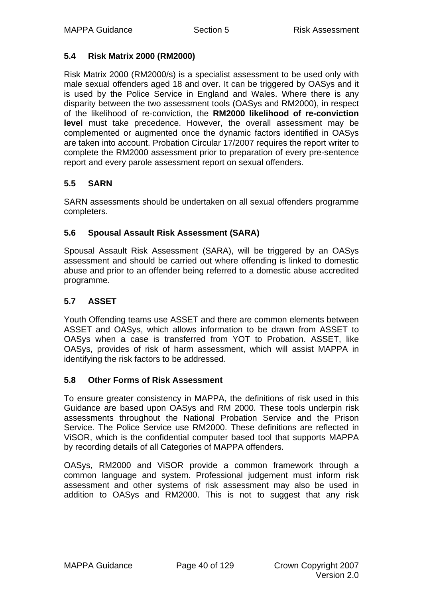# **5.4 Risk Matrix 2000 (RM2000)**

Risk Matrix 2000 (RM2000/s) is a specialist assessment to be used only with male sexual offenders aged 18 and over. It can be triggered by OASys and it is used by the Police Service in England and Wales. Where there is any disparity between the two assessment tools (OASys and RM2000), in respect of the likelihood of re-conviction, the **RM2000 likelihood of re-conviction level** must take precedence. However, the overall assessment may be complemented or augmented once the dynamic factors identified in OASys are taken into account. Probation Circular 17/2007 requires the report writer to complete the RM2000 assessment prior to preparation of every pre-sentence report and every parole assessment report on sexual offenders.

# **5.5 SARN**

SARN assessments should be undertaken on all sexual offenders programme completers.

# **5.6 Spousal Assault Risk Assessment (SARA)**

Spousal Assault Risk Assessment (SARA), will be triggered by an OASys assessment and should be carried out where offending is linked to domestic abuse and prior to an offender being referred to a domestic abuse accredited programme.

# **5.7 ASSET**

Youth Offending teams use ASSET and there are common elements between ASSET and OASys, which allows information to be drawn from ASSET to OASys when a case is transferred from YOT to Probation. ASSET, like OASys, provides of risk of harm assessment, which will assist MAPPA in identifying the risk factors to be addressed.

# **5.8 Other Forms of Risk Assessment**

To ensure greater consistency in MAPPA, the definitions of risk used in this Guidance are based upon OASys and RM 2000. These tools underpin risk assessments throughout the National Probation Service and the Prison Service. The Police Service use RM2000. These definitions are reflected in ViSOR, which is the confidential computer based tool that supports MAPPA by recording details of all Categories of MAPPA offenders.

OASys, RM2000 and ViSOR provide a common framework through a common language and system. Professional judgement must inform risk assessment and other systems of risk assessment may also be used in addition to OASys and RM2000. This is not to suggest that any risk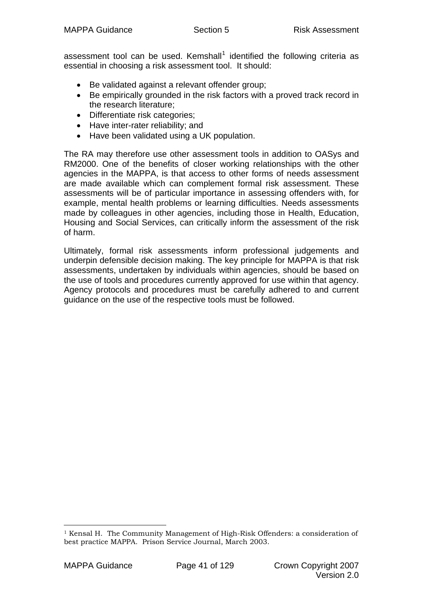assessment tool can be used. Kemshall<sup>[1](#page-40-0)</sup> identified the following criteria as essential in choosing a risk assessment tool. It should:

- Be validated against a relevant offender group;
- Be empirically grounded in the risk factors with a proved track record in the research literature;
- Differentiate risk categories;
- Have inter-rater reliability; and
- Have been validated using a UK population.

The RA may therefore use other assessment tools in addition to OASys and RM2000. One of the benefits of closer working relationships with the other agencies in the MAPPA, is that access to other forms of needs assessment are made available which can complement formal risk assessment. These assessments will be of particular importance in assessing offenders with, for example, mental health problems or learning difficulties. Needs assessments made by colleagues in other agencies, including those in Health, Education, Housing and Social Services, can critically inform the assessment of the risk of harm.

Ultimately, formal risk assessments inform professional judgements and underpin defensible decision making. The key principle for MAPPA is that risk assessments, undertaken by individuals within agencies, should be based on the use of tools and procedures currently approved for use within that agency. Agency protocols and procedures must be carefully adhered to and current guidance on the use of the respective tools must be followed.

1

<span id="page-40-0"></span><sup>&</sup>lt;sup>1</sup> Kensal H. The Community Management of High-Risk Offenders: a consideration of best practice MAPPA. Prison Service Journal, March 2003.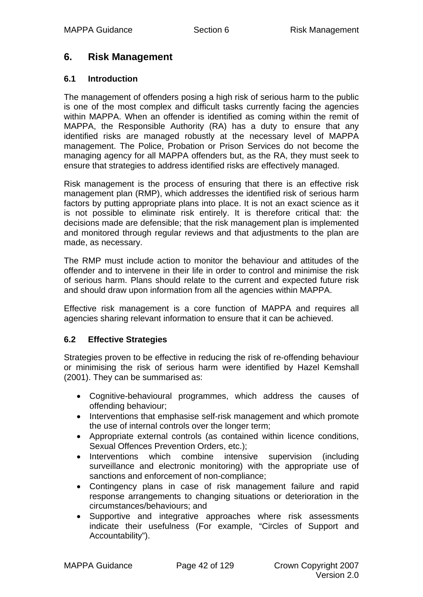# **6. Risk Management**

### **6.1 Introduction**

The management of offenders posing a high risk of serious harm to the public is one of the most complex and difficult tasks currently facing the agencies within MAPPA. When an offender is identified as coming within the remit of MAPPA, the Responsible Authority (RA) has a duty to ensure that any identified risks are managed robustly at the necessary level of MAPPA management. The Police, Probation or Prison Services do not become the managing agency for all MAPPA offenders but, as the RA, they must seek to ensure that strategies to address identified risks are effectively managed.

Risk management is the process of ensuring that there is an effective risk management plan (RMP), which addresses the identified risk of serious harm factors by putting appropriate plans into place. It is not an exact science as it is not possible to eliminate risk entirely. It is therefore critical that: the decisions made are defensible; that the risk management plan is implemented and monitored through regular reviews and that adjustments to the plan are made, as necessary.

The RMP must include action to monitor the behaviour and attitudes of the offender and to intervene in their life in order to control and minimise the risk of serious harm. Plans should relate to the current and expected future risk and should draw upon information from all the agencies within MAPPA.

Effective risk management is a core function of MAPPA and requires all agencies sharing relevant information to ensure that it can be achieved.

# **6.2 Effective Strategies**

Strategies proven to be effective in reducing the risk of re-offending behaviour or minimising the risk of serious harm were identified by Hazel Kemshall (2001). They can be summarised as:

- Cognitive-behavioural programmes, which address the causes of offending behaviour;
- Interventions that emphasise self-risk management and which promote the use of internal controls over the longer term;
- Appropriate external controls (as contained within licence conditions, Sexual Offences Prevention Orders, etc.);
- Interventions which combine intensive supervision (including surveillance and electronic monitoring) with the appropriate use of sanctions and enforcement of non-compliance;
- Contingency plans in case of risk management failure and rapid response arrangements to changing situations or deterioration in the circumstances/behaviours; and
- Supportive and integrative approaches where risk assessments indicate their usefulness (For example, "Circles of Support and Accountability").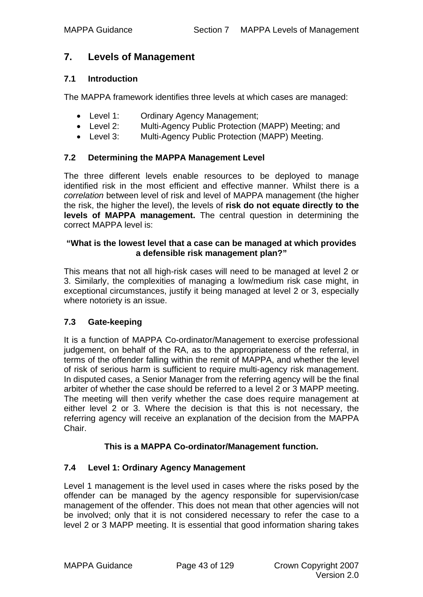# **7. Levels of Management**

#### **7.1 Introduction**

The MAPPA framework identifies three levels at which cases are managed:

- Level 1: Ordinary Agency Management;
- Level 2: Multi-Agency Public Protection (MAPP) Meeting; and
- Level 3: Multi-Agency Public Protection (MAPP) Meeting.

#### **7.2 Determining the MAPPA Management Level**

The three different levels enable resources to be deployed to manage identified risk in the most efficient and effective manner. Whilst there is a *correlation* between level of risk and level of MAPPA management (the higher the risk, the higher the level), the levels of **risk do not equate directly to the levels of MAPPA management.** The central question in determining the correct MAPPA level is:

#### **"What is the lowest level that a case can be managed at which provides a defensible risk management plan?"**

This means that not all high-risk cases will need to be managed at level 2 or 3. Similarly, the complexities of managing a low/medium risk case might, in exceptional circumstances, justify it being managed at level 2 or 3, especially where notoriety is an issue.

#### **7.3 Gate-keeping**

It is a function of MAPPA Co-ordinator/Management to exercise professional judgement, on behalf of the RA, as to the appropriateness of the referral, in terms of the offender falling within the remit of MAPPA, and whether the level of risk of serious harm is sufficient to require multi-agency risk management. In disputed cases, a Senior Manager from the referring agency will be the final arbiter of whether the case should be referred to a level 2 or 3 MAPP meeting. The meeting will then verify whether the case does require management at either level 2 or 3. Where the decision is that this is not necessary, the referring agency will receive an explanation of the decision from the MAPPA Chair.

#### **This is a MAPPA Co-ordinator/Management function.**

#### **7.4 Level 1: Ordinary Agency Management**

Level 1 management is the level used in cases where the risks posed by the offender can be managed by the agency responsible for supervision/case management of the offender. This does not mean that other agencies will not be involved; only that it is not considered necessary to refer the case to a level 2 or 3 MAPP meeting. It is essential that good information sharing takes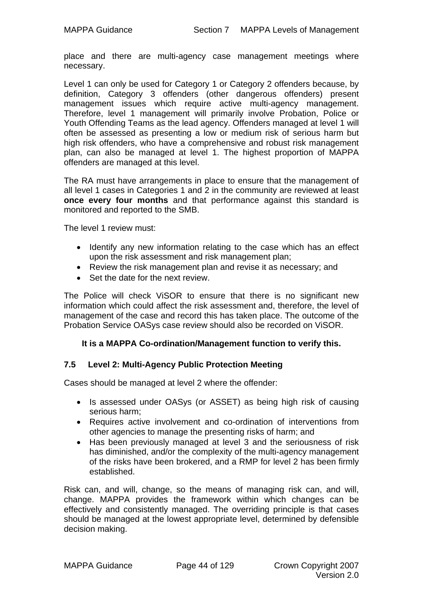place and there are multi-agency case management meetings where necessary.

Level 1 can only be used for Category 1 or Category 2 offenders because, by definition, Category 3 offenders (other dangerous offenders) present management issues which require active multi-agency management. Therefore, level 1 management will primarily involve Probation, Police or Youth Offending Teams as the lead agency. Offenders managed at level 1 will often be assessed as presenting a low or medium risk of serious harm but high risk offenders, who have a comprehensive and robust risk management plan, can also be managed at level 1. The highest proportion of MAPPA offenders are managed at this level.

The RA must have arrangements in place to ensure that the management of all level 1 cases in Categories 1 and 2 in the community are reviewed at least **once every four months** and that performance against this standard is monitored and reported to the SMB.

The level 1 review must:

- Identify any new information relating to the case which has an effect upon the risk assessment and risk management plan;
- Review the risk management plan and revise it as necessary; and
- Set the date for the next review.

The Police will check ViSOR to ensure that there is no significant new information which could affect the risk assessment and, therefore, the level of management of the case and record this has taken place. The outcome of the Probation Service OASys case review should also be recorded on ViSOR.

#### **It is a MAPPA Co-ordination/Management function to verify this.**

#### **7.5 Level 2: Multi-Agency Public Protection Meeting**

Cases should be managed at level 2 where the offender:

- Is assessed under OASys (or ASSET) as being high risk of causing serious harm;
- Requires active involvement and co-ordination of interventions from other agencies to manage the presenting risks of harm; and
- Has been previously managed at level 3 and the seriousness of risk has diminished, and/or the complexity of the multi-agency management of the risks have been brokered, and a RMP for level 2 has been firmly established.

Risk can, and will, change, so the means of managing risk can, and will, change. MAPPA provides the framework within which changes can be effectively and consistently managed. The overriding principle is that cases should be managed at the lowest appropriate level, determined by defensible decision making.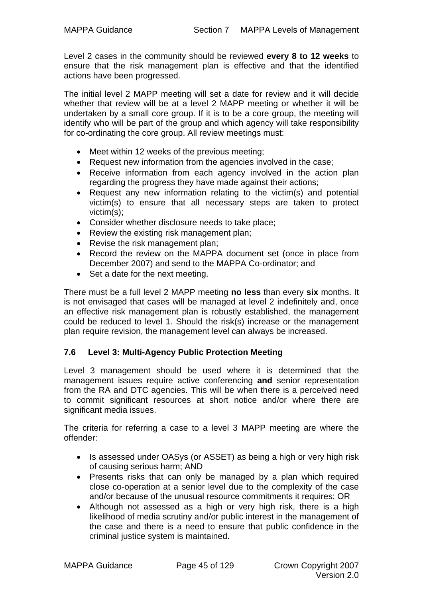Level 2 cases in the community should be reviewed **every 8 to 12 weeks** to ensure that the risk management plan is effective and that the identified actions have been progressed.

The initial level 2 MAPP meeting will set a date for review and it will decide whether that review will be at a level 2 MAPP meeting or whether it will be undertaken by a small core group. If it is to be a core group, the meeting will identify who will be part of the group and which agency will take responsibility for co-ordinating the core group. All review meetings must:

- Meet within 12 weeks of the previous meeting;
- Request new information from the agencies involved in the case;
- Receive information from each agency involved in the action plan regarding the progress they have made against their actions;
- Request any new information relating to the victim(s) and potential victim(s) to ensure that all necessary steps are taken to protect victim(s);
- Consider whether disclosure needs to take place;
- Review the existing risk management plan;
- Revise the risk management plan;
- Record the review on the MAPPA document set (once in place from December 2007) and send to the MAPPA Co-ordinator; and
- Set a date for the next meeting.

There must be a full level 2 MAPP meeting **no less** than every **six** months. It is not envisaged that cases will be managed at level 2 indefinitely and, once an effective risk management plan is robustly established, the management could be reduced to level 1. Should the risk(s) increase or the management plan require revision, the management level can always be increased.

# **7.6 Level 3: Multi-Agency Public Protection Meeting**

Level 3 management should be used where it is determined that the management issues require active conferencing **and** senior representation from the RA and DTC agencies. This will be when there is a perceived need to commit significant resources at short notice and/or where there are significant media issues.

The criteria for referring a case to a level 3 MAPP meeting are where the offender:

- Is assessed under OASys (or ASSET) as being a high or very high risk of causing serious harm; AND
- Presents risks that can only be managed by a plan which required close co-operation at a senior level due to the complexity of the case and/or because of the unusual resource commitments it requires; OR
- Although not assessed as a high or very high risk, there is a high likelihood of media scrutiny and/or public interest in the management of the case and there is a need to ensure that public confidence in the criminal justice system is maintained.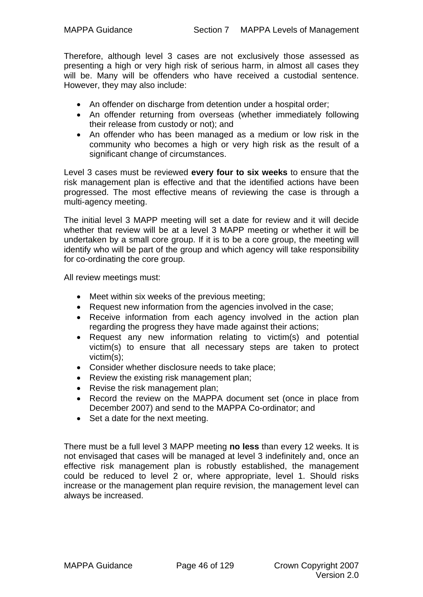Therefore, although level 3 cases are not exclusively those assessed as presenting a high or very high risk of serious harm, in almost all cases they will be. Many will be offenders who have received a custodial sentence. However, they may also include:

- An offender on discharge from detention under a hospital order;
- An offender returning from overseas (whether immediately following their release from custody or not); and
- An offender who has been managed as a medium or low risk in the community who becomes a high or very high risk as the result of a significant change of circumstances.

Level 3 cases must be reviewed **every four to six weeks** to ensure that the risk management plan is effective and that the identified actions have been progressed. The most effective means of reviewing the case is through a multi-agency meeting.

The initial level 3 MAPP meeting will set a date for review and it will decide whether that review will be at a level 3 MAPP meeting or whether it will be undertaken by a small core group. If it is to be a core group, the meeting will identify who will be part of the group and which agency will take responsibility for co-ordinating the core group.

All review meetings must:

- Meet within six weeks of the previous meeting;
- Request new information from the agencies involved in the case;
- Receive information from each agency involved in the action plan regarding the progress they have made against their actions;
- Request any new information relating to victim(s) and potential victim(s) to ensure that all necessary steps are taken to protect victim(s);
- Consider whether disclosure needs to take place;
- Review the existing risk management plan;
- Revise the risk management plan:
- Record the review on the MAPPA document set (once in place from December 2007) and send to the MAPPA Co-ordinator; and
- Set a date for the next meeting.

There must be a full level 3 MAPP meeting **no less** than every 12 weeks. It is not envisaged that cases will be managed at level 3 indefinitely and, once an effective risk management plan is robustly established, the management could be reduced to level 2 or, where appropriate, level 1. Should risks increase or the management plan require revision, the management level can always be increased.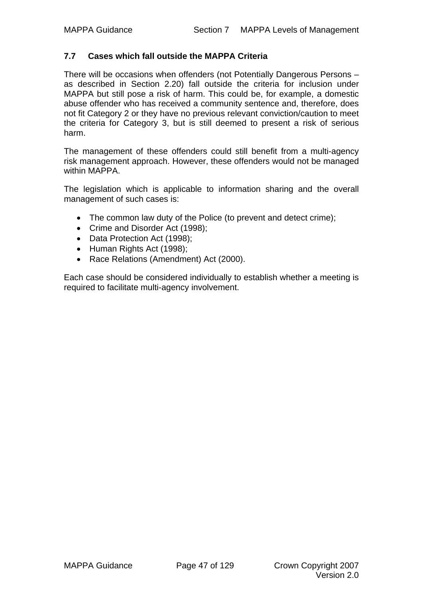#### **7.7 Cases which fall outside the MAPPA Criteria**

There will be occasions when offenders (not Potentially Dangerous Persons – as described in Section 2.20) fall outside the criteria for inclusion under MAPPA but still pose a risk of harm. This could be, for example, a domestic abuse offender who has received a community sentence and, therefore, does not fit Category 2 or they have no previous relevant conviction/caution to meet the criteria for Category 3, but is still deemed to present a risk of serious harm.

The management of these offenders could still benefit from a multi-agency risk management approach. However, these offenders would not be managed within MAPPA.

The legislation which is applicable to information sharing and the overall management of such cases is:

- The common law duty of the Police (to prevent and detect crime);
- Crime and Disorder Act (1998);
- Data Protection Act (1998);
- Human Rights Act (1998);
- Race Relations (Amendment) Act (2000).

Each case should be considered individually to establish whether a meeting is required to facilitate multi-agency involvement.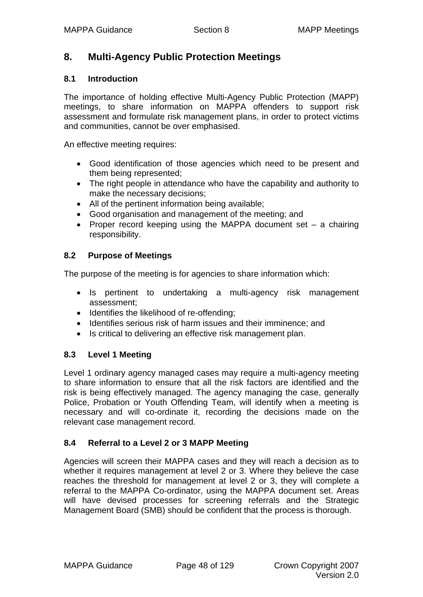# **8. Multi-Agency Public Protection Meetings**

#### **8.1 Introduction**

The importance of holding effective Multi-Agency Public Protection (MAPP) meetings, to share information on MAPPA offenders to support risk assessment and formulate risk management plans, in order to protect victims and communities, cannot be over emphasised.

An effective meeting requires:

- Good identification of those agencies which need to be present and them being represented;
- The right people in attendance who have the capability and authority to make the necessary decisions;
- All of the pertinent information being available;
- Good organisation and management of the meeting; and
- Proper record keeping using the MAPPA document set a chairing responsibility.

# **8.2 Purpose of Meetings**

The purpose of the meeting is for agencies to share information which:

- Is pertinent to undertaking a multi-agency risk management assessment;
- Identifies the likelihood of re-offending;
- Identifies serious risk of harm issues and their imminence; and
- Is critical to delivering an effective risk management plan.

# **8.3 Level 1 Meeting**

Level 1 ordinary agency managed cases may require a multi-agency meeting to share information to ensure that all the risk factors are identified and the risk is being effectively managed. The agency managing the case, generally Police, Probation or Youth Offending Team, will identify when a meeting is necessary and will co-ordinate it, recording the decisions made on the relevant case management record.

# **8.4 Referral to a Level 2 or 3 MAPP Meeting**

Agencies will screen their MAPPA cases and they will reach a decision as to whether it requires management at level 2 or 3. Where they believe the case reaches the threshold for management at level 2 or 3, they will complete a referral to the MAPPA Co-ordinator, using the MAPPA document set. Areas will have devised processes for screening referrals and the Strategic Management Board (SMB) should be confident that the process is thorough.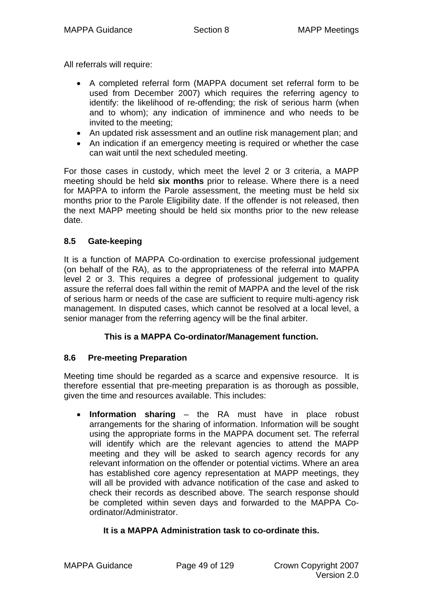All referrals will require:

- A completed referral form (MAPPA document set referral form to be used from December 2007) which requires the referring agency to identify: the likelihood of re-offending; the risk of serious harm (when and to whom); any indication of imminence and who needs to be invited to the meeting;
- An updated risk assessment and an outline risk management plan; and
- An indication if an emergency meeting is required or whether the case can wait until the next scheduled meeting.

For those cases in custody, which meet the level 2 or 3 criteria, a MAPP meeting should be held **six months** prior to release. Where there is a need for MAPPA to inform the Parole assessment, the meeting must be held six months prior to the Parole Eligibility date. If the offender is not released, then the next MAPP meeting should be held six months prior to the new release date.

# **8.5 Gate-keeping**

It is a function of MAPPA Co-ordination to exercise professional judgement (on behalf of the RA), as to the appropriateness of the referral into MAPPA level 2 or 3. This requires a degree of professional judgement to quality assure the referral does fall within the remit of MAPPA and the level of the risk of serious harm or needs of the case are sufficient to require multi-agency risk management. In disputed cases, which cannot be resolved at a local level, a senior manager from the referring agency will be the final arbiter.

# **This is a MAPPA Co-ordinator/Management function.**

# **8.6 Pre-meeting Preparation**

Meeting time should be regarded as a scarce and expensive resource. It is therefore essential that pre-meeting preparation is as thorough as possible, given the time and resources available. This includes:

• **Information sharing** – the RA must have in place robust arrangements for the sharing of information. Information will be sought using the appropriate forms in the MAPPA document set. The referral will identify which are the relevant agencies to attend the MAPP meeting and they will be asked to search agency records for any relevant information on the offender or potential victims. Where an area has established core agency representation at MAPP meetings, they will all be provided with advance notification of the case and asked to check their records as described above. The search response should be completed within seven days and forwarded to the MAPPA Coordinator/Administrator.

# **It is a MAPPA Administration task to co-ordinate this.**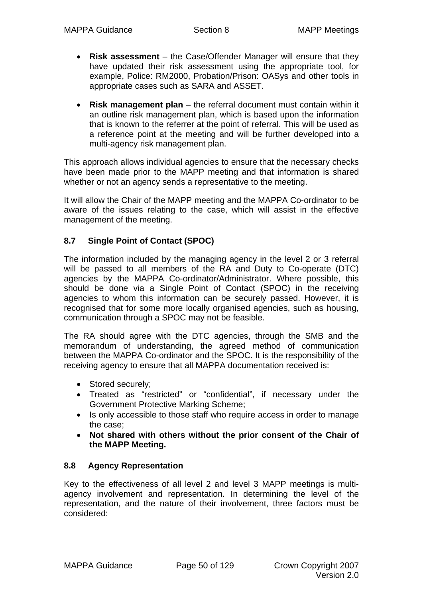- **Risk assessment** the Case/Offender Manager will ensure that they have updated their risk assessment using the appropriate tool, for example, Police: RM2000, Probation/Prison: OASys and other tools in appropriate cases such as SARA and ASSET.
- **Risk management plan** the referral document must contain within it an outline risk management plan, which is based upon the information that is known to the referrer at the point of referral. This will be used as a reference point at the meeting and will be further developed into a multi-agency risk management plan.

This approach allows individual agencies to ensure that the necessary checks have been made prior to the MAPP meeting and that information is shared whether or not an agency sends a representative to the meeting.

It will allow the Chair of the MAPP meeting and the MAPPA Co-ordinator to be aware of the issues relating to the case, which will assist in the effective management of the meeting.

# **8.7 Single Point of Contact (SPOC)**

The information included by the managing agency in the level 2 or 3 referral will be passed to all members of the RA and Duty to Co-operate (DTC) agencies by the MAPPA Co-ordinator/Administrator. Where possible, this should be done via a Single Point of Contact (SPOC) in the receiving agencies to whom this information can be securely passed. However, it is recognised that for some more locally organised agencies, such as housing, communication through a SPOC may not be feasible.

The RA should agree with the DTC agencies, through the SMB and the memorandum of understanding, the agreed method of communication between the MAPPA Co-ordinator and the SPOC. It is the responsibility of the receiving agency to ensure that all MAPPA documentation received is:

- Stored securely;
- Treated as "restricted" or "confidential", if necessary under the Government Protective Marking Scheme;
- Is only accessible to those staff who require access in order to manage the case;
- **Not shared with others without the prior consent of the Chair of the MAPP Meeting.**

# **8.8 Agency Representation**

Key to the effectiveness of all level 2 and level 3 MAPP meetings is multiagency involvement and representation. In determining the level of the representation, and the nature of their involvement, three factors must be considered: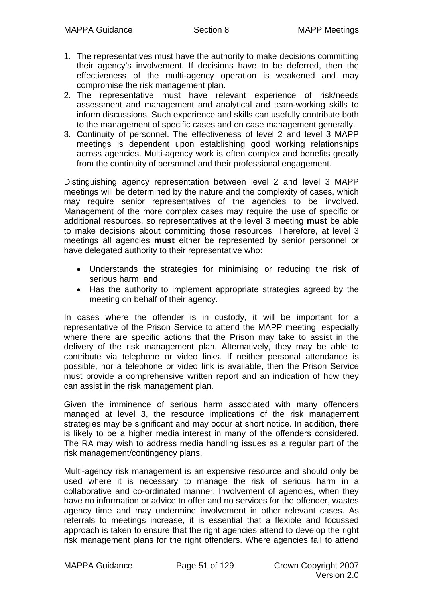- 1. The representatives must have the authority to make decisions committing their agency's involvement. If decisions have to be deferred, then the effectiveness of the multi-agency operation is weakened and may compromise the risk management plan.
- 2. The representative must have relevant experience of risk/needs assessment and management and analytical and team-working skills to inform discussions. Such experience and skills can usefully contribute both to the management of specific cases and on case management generally.
- 3. Continuity of personnel. The effectiveness of level 2 and level 3 MAPP meetings is dependent upon establishing good working relationships across agencies. Multi-agency work is often complex and benefits greatly from the continuity of personnel and their professional engagement.

Distinguishing agency representation between level 2 and level 3 MAPP meetings will be determined by the nature and the complexity of cases, which may require senior representatives of the agencies to be involved. Management of the more complex cases may require the use of specific or additional resources, so representatives at the level 3 meeting **must** be able to make decisions about committing those resources. Therefore, at level 3 meetings all agencies **must** either be represented by senior personnel or have delegated authority to their representative who:

- Understands the strategies for minimising or reducing the risk of serious harm; and
- Has the authority to implement appropriate strategies agreed by the meeting on behalf of their agency.

In cases where the offender is in custody, it will be important for a representative of the Prison Service to attend the MAPP meeting, especially where there are specific actions that the Prison may take to assist in the delivery of the risk management plan. Alternatively, they may be able to contribute via telephone or video links. If neither personal attendance is possible, nor a telephone or video link is available, then the Prison Service must provide a comprehensive written report and an indication of how they can assist in the risk management plan.

Given the imminence of serious harm associated with many offenders managed at level 3, the resource implications of the risk management strategies may be significant and may occur at short notice. In addition, there is likely to be a higher media interest in many of the offenders considered. The RA may wish to address media handling issues as a regular part of the risk management/contingency plans.

Multi-agency risk management is an expensive resource and should only be used where it is necessary to manage the risk of serious harm in a collaborative and co-ordinated manner. Involvement of agencies, when they have no information or advice to offer and no services for the offender, wastes agency time and may undermine involvement in other relevant cases. As referrals to meetings increase, it is essential that a flexible and focussed approach is taken to ensure that the right agencies attend to develop the right risk management plans for the right offenders. Where agencies fail to attend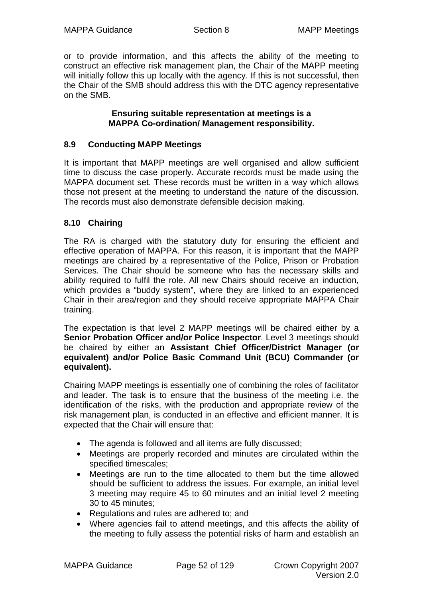or to provide information, and this affects the ability of the meeting to construct an effective risk management plan, the Chair of the MAPP meeting will initially follow this up locally with the agency. If this is not successful, then the Chair of the SMB should address this with the DTC agency representative on the SMB.

#### **Ensuring suitable representation at meetings is a MAPPA Co-ordination/ Management responsibility.**

# **8.9 Conducting MAPP Meetings**

It is important that MAPP meetings are well organised and allow sufficient time to discuss the case properly. Accurate records must be made using the MAPPA document set. These records must be written in a way which allows those not present at the meeting to understand the nature of the discussion. The records must also demonstrate defensible decision making.

# **8.10 Chairing**

The RA is charged with the statutory duty for ensuring the efficient and effective operation of MAPPA. For this reason, it is important that the MAPP meetings are chaired by a representative of the Police, Prison or Probation Services. The Chair should be someone who has the necessary skills and ability required to fulfil the role. All new Chairs should receive an induction, which provides a "buddy system", where they are linked to an experienced Chair in their area/region and they should receive appropriate MAPPA Chair training.

The expectation is that level 2 MAPP meetings will be chaired either by a **Senior Probation Officer and/or Police Inspector**. Level 3 meetings should be chaired by either an **Assistant Chief Officer/District Manager (or equivalent) and/or Police Basic Command Unit (BCU) Commander (or equivalent).**

Chairing MAPP meetings is essentially one of combining the roles of facilitator and leader. The task is to ensure that the business of the meeting i.e. the identification of the risks, with the production and appropriate review of the risk management plan, is conducted in an effective and efficient manner. It is expected that the Chair will ensure that:

- The agenda is followed and all items are fully discussed;
- Meetings are properly recorded and minutes are circulated within the specified timescales;
- Meetings are run to the time allocated to them but the time allowed should be sufficient to address the issues. For example, an initial level 3 meeting may require 45 to 60 minutes and an initial level 2 meeting 30 to 45 minutes;
- Regulations and rules are adhered to; and
- Where agencies fail to attend meetings, and this affects the ability of the meeting to fully assess the potential risks of harm and establish an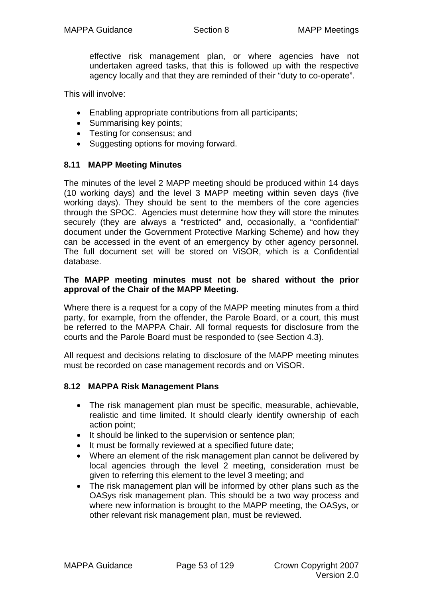effective risk management plan, or where agencies have not undertaken agreed tasks, that this is followed up with the respective agency locally and that they are reminded of their "duty to co-operate".

This will involve:

- Enabling appropriate contributions from all participants;
- Summarising key points;
- Testing for consensus; and
- Suggesting options for moving forward.

# **8.11 MAPP Meeting Minutes**

The minutes of the level 2 MAPP meeting should be produced within 14 days (10 working days) and the level 3 MAPP meeting within seven days (five working days). They should be sent to the members of the core agencies through the SPOC. Agencies must determine how they will store the minutes securely (they are always a "restricted" and, occasionally, a "confidential" document under the Government Protective Marking Scheme) and how they can be accessed in the event of an emergency by other agency personnel. The full document set will be stored on ViSOR, which is a Confidential database.

#### **The MAPP meeting minutes must not be shared without the prior approval of the Chair of the MAPP Meeting.**

Where there is a request for a copy of the MAPP meeting minutes from a third party, for example, from the offender, the Parole Board, or a court, this must be referred to the MAPPA Chair. All formal requests for disclosure from the courts and the Parole Board must be responded to (see Section 4.3).

All request and decisions relating to disclosure of the MAPP meeting minutes must be recorded on case management records and on ViSOR.

# **8.12 MAPPA Risk Management Plans**

- The risk management plan must be specific, measurable, achievable, realistic and time limited. It should clearly identify ownership of each action point;
- It should be linked to the supervision or sentence plan;
- It must be formally reviewed at a specified future date;
- Where an element of the risk management plan cannot be delivered by local agencies through the level 2 meeting, consideration must be given to referring this element to the level 3 meeting; and
- The risk management plan will be informed by other plans such as the OASys risk management plan. This should be a two way process and where new information is brought to the MAPP meeting, the OASys, or other relevant risk management plan, must be reviewed.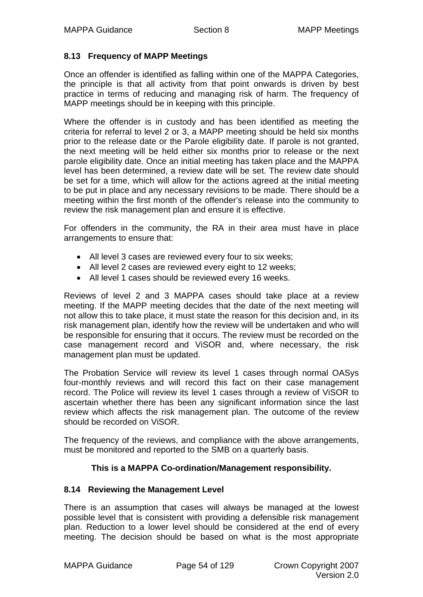# **8.13 Frequency of MAPP Meetings**

Once an offender is identified as falling within one of the MAPPA Categories, the principle is that all activity from that point onwards is driven by best practice in terms of reducing and managing risk of harm. The frequency of MAPP meetings should be in keeping with this principle.

Where the offender is in custody and has been identified as meeting the criteria for referral to level 2 or 3, a MAPP meeting should be held six months prior to the release date or the Parole eligibility date. If parole is not granted, the next meeting will be held either six months prior to release or the next parole eligibility date. Once an initial meeting has taken place and the MAPPA level has been determined, a review date will be set. The review date should be set for a time, which will allow for the actions agreed at the initial meeting to be put in place and any necessary revisions to be made. There should be a meeting within the first month of the offender's release into the community to review the risk management plan and ensure it is effective.

For offenders in the community, the RA in their area must have in place arrangements to ensure that:

- All level 3 cases are reviewed every four to six weeks;
- All level 2 cases are reviewed every eight to 12 weeks;
- All level 1 cases should be reviewed every 16 weeks.

Reviews of level 2 and 3 MAPPA cases should take place at a review meeting. If the MAPP meeting decides that the date of the next meeting will not allow this to take place, it must state the reason for this decision and, in its risk management plan, identify how the review will be undertaken and who will be responsible for ensuring that it occurs. The review must be recorded on the case management record and ViSOR and, where necessary, the risk management plan must be updated.

The Probation Service will review its level 1 cases through normal OASys four-monthly reviews and will record this fact on their case management record. The Police will review its level 1 cases through a review of ViSOR to ascertain whether there has been any significant information since the last review which affects the risk management plan. The outcome of the review should be recorded on ViSOR.

The frequency of the reviews, and compliance with the above arrangements, must be monitored and reported to the SMB on a quarterly basis.

# **This is a MAPPA Co-ordination/Management responsibility.**

# **8.14 Reviewing the Management Level**

There is an assumption that cases will always be managed at the lowest possible level that is consistent with providing a defensible risk management plan. Reduction to a lower level should be considered at the end of every meeting. The decision should be based on what is the most appropriate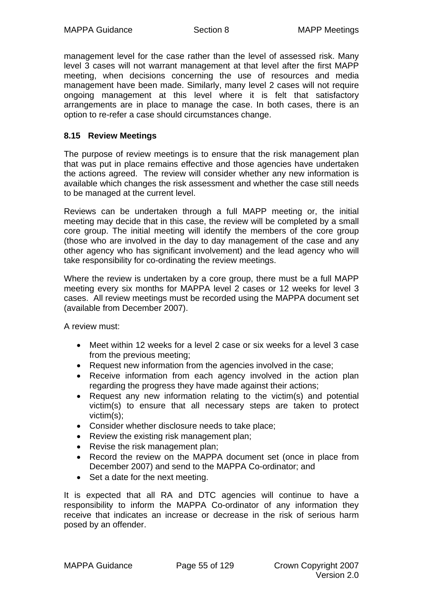management level for the case rather than the level of assessed risk. Many level 3 cases will not warrant management at that level after the first MAPP meeting, when decisions concerning the use of resources and media management have been made. Similarly, many level 2 cases will not require ongoing management at this level where it is felt that satisfactory arrangements are in place to manage the case. In both cases, there is an option to re-refer a case should circumstances change.

# **8.15 Review Meetings**

The purpose of review meetings is to ensure that the risk management plan that was put in place remains effective and those agencies have undertaken the actions agreed. The review will consider whether any new information is available which changes the risk assessment and whether the case still needs to be managed at the current level.

Reviews can be undertaken through a full MAPP meeting or, the initial meeting may decide that in this case, the review will be completed by a small core group. The initial meeting will identify the members of the core group (those who are involved in the day to day management of the case and any other agency who has significant involvement) and the lead agency who will take responsibility for co-ordinating the review meetings.

Where the review is undertaken by a core group, there must be a full MAPP meeting every six months for MAPPA level 2 cases or 12 weeks for level 3 cases. All review meetings must be recorded using the MAPPA document set (available from December 2007).

A review must:

- Meet within 12 weeks for a level 2 case or six weeks for a level 3 case from the previous meeting;
- Request new information from the agencies involved in the case;
- Receive information from each agency involved in the action plan regarding the progress they have made against their actions;
- Request any new information relating to the victim(s) and potential victim(s) to ensure that all necessary steps are taken to protect victim(s);
- Consider whether disclosure needs to take place;
- Review the existing risk management plan;
- Revise the risk management plan;
- Record the review on the MAPPA document set (once in place from December 2007) and send to the MAPPA Co-ordinator; and
- Set a date for the next meeting.

It is expected that all RA and DTC agencies will continue to have a responsibility to inform the MAPPA Co-ordinator of any information they receive that indicates an increase or decrease in the risk of serious harm posed by an offender.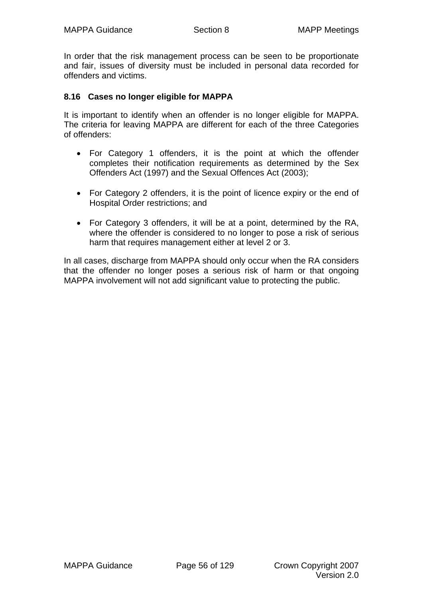In order that the risk management process can be seen to be proportionate and fair, issues of diversity must be included in personal data recorded for offenders and victims.

#### **8.16 Cases no longer eligible for MAPPA**

It is important to identify when an offender is no longer eligible for MAPPA. The criteria for leaving MAPPA are different for each of the three Categories of offenders:

- For Category 1 offenders, it is the point at which the offender completes their notification requirements as determined by the Sex Offenders Act (1997) and the Sexual Offences Act (2003);
- For Category 2 offenders, it is the point of licence expiry or the end of Hospital Order restrictions; and
- For Category 3 offenders, it will be at a point, determined by the RA, where the offender is considered to no longer to pose a risk of serious harm that requires management either at level 2 or 3.

In all cases, discharge from MAPPA should only occur when the RA considers that the offender no longer poses a serious risk of harm or that ongoing MAPPA involvement will not add significant value to protecting the public.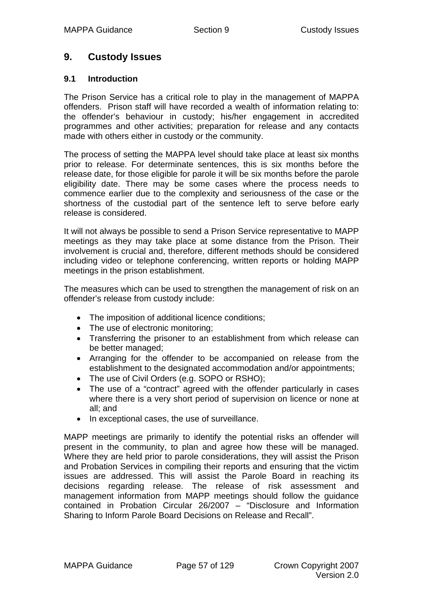# **9. Custody Issues**

### **9.1 Introduction**

The Prison Service has a critical role to play in the management of MAPPA offenders. Prison staff will have recorded a wealth of information relating to: the offender's behaviour in custody; his/her engagement in accredited programmes and other activities; preparation for release and any contacts made with others either in custody or the community.

The process of setting the MAPPA level should take place at least six months prior to release. For determinate sentences, this is six months before the release date, for those eligible for parole it will be six months before the parole eligibility date. There may be some cases where the process needs to commence earlier due to the complexity and seriousness of the case or the shortness of the custodial part of the sentence left to serve before early release is considered.

It will not always be possible to send a Prison Service representative to MAPP meetings as they may take place at some distance from the Prison. Their involvement is crucial and, therefore, different methods should be considered including video or telephone conferencing, written reports or holding MAPP meetings in the prison establishment.

The measures which can be used to strengthen the management of risk on an offender's release from custody include:

- The imposition of additional licence conditions;
- The use of electronic monitoring:
- Transferring the prisoner to an establishment from which release can be better managed;
- Arranging for the offender to be accompanied on release from the establishment to the designated accommodation and/or appointments;
- The use of Civil Orders (e.g. SOPO or RSHO);
- The use of a "contract" agreed with the offender particularly in cases where there is a very short period of supervision on licence or none at all; and
- In exceptional cases, the use of surveillance.

MAPP meetings are primarily to identify the potential risks an offender will present in the community, to plan and agree how these will be managed. Where they are held prior to parole considerations, they will assist the Prison and Probation Services in compiling their reports and ensuring that the victim issues are addressed. This will assist the Parole Board in reaching its decisions regarding release. The release of risk assessment and management information from MAPP meetings should follow the guidance contained in Probation Circular 26/2007 – "Disclosure and Information Sharing to Inform Parole Board Decisions on Release and Recall".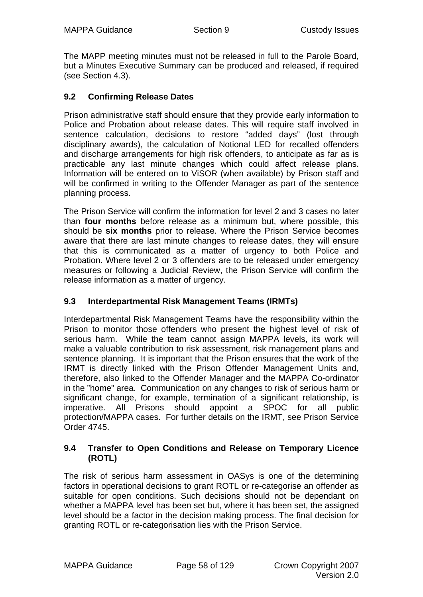The MAPP meeting minutes must not be released in full to the Parole Board, but a Minutes Executive Summary can be produced and released, if required (see Section 4.3).

# **9.2 Confirming Release Dates**

Prison administrative staff should ensure that they provide early information to Police and Probation about release dates. This will require staff involved in sentence calculation, decisions to restore "added days" (lost through disciplinary awards), the calculation of Notional LED for recalled offenders and discharge arrangements for high risk offenders, to anticipate as far as is practicable any last minute changes which could affect release plans. Information will be entered on to ViSOR (when available) by Prison staff and will be confirmed in writing to the Offender Manager as part of the sentence planning process.

The Prison Service will confirm the information for level 2 and 3 cases no later than **four months** before release as a minimum but, where possible, this should be **six months** prior to release. Where the Prison Service becomes aware that there are last minute changes to release dates, they will ensure that this is communicated as a matter of urgency to both Police and Probation. Where level 2 or 3 offenders are to be released under emergency measures or following a Judicial Review, the Prison Service will confirm the release information as a matter of urgency.

# **9.3 Interdepartmental Risk Management Teams (IRMTs)**

Interdepartmental Risk Management Teams have the responsibility within the Prison to monitor those offenders who present the highest level of risk of serious harm. While the team cannot assign MAPPA levels, its work will make a valuable contribution to risk assessment, risk management plans and sentence planning. It is important that the Prison ensures that the work of the IRMT is directly linked with the Prison Offender Management Units and, therefore, also linked to the Offender Manager and the MAPPA Co-ordinator in the "home" area. Communication on any changes to risk of serious harm or significant change, for example, termination of a significant relationship, is imperative. All Prisons should appoint a SPOC for all public protection/MAPPA cases. For further details on the IRMT, see Prison Service Order 4745.

#### **9.4 Transfer to Open Conditions and Release on Temporary Licence (ROTL)**

The risk of serious harm assessment in OASys is one of the determining factors in operational decisions to grant ROTL or re-categorise an offender as suitable for open conditions. Such decisions should not be dependant on whether a MAPPA level has been set but, where it has been set, the assigned level should be a factor in the decision making process. The final decision for granting ROTL or re-categorisation lies with the Prison Service.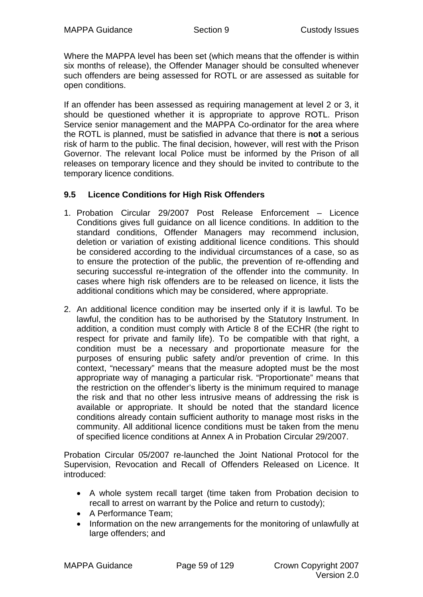Where the MAPPA level has been set (which means that the offender is within six months of release), the Offender Manager should be consulted whenever such offenders are being assessed for ROTL or are assessed as suitable for open conditions.

If an offender has been assessed as requiring management at level 2 or 3, it should be questioned whether it is appropriate to approve ROTL. Prison Service senior management and the MAPPA Co-ordinator for the area where the ROTL is planned, must be satisfied in advance that there is **not** a serious risk of harm to the public. The final decision, however, will rest with the Prison Governor. The relevant local Police must be informed by the Prison of all releases on temporary licence and they should be invited to contribute to the temporary licence conditions.

# **9.5 Licence Conditions for High Risk Offenders**

- 1. Probation Circular 29/2007 Post Release Enforcement Licence Conditions gives full guidance on all licence conditions. In addition to the standard conditions, Offender Managers may recommend inclusion, deletion or variation of existing additional licence conditions. This should be considered according to the individual circumstances of a case, so as to ensure the protection of the public, the prevention of re-offending and securing successful re-integration of the offender into the community. In cases where high risk offenders are to be released on licence, it lists the additional conditions which may be considered, where appropriate.
- 2. An additional licence condition may be inserted only if it is lawful. To be lawful, the condition has to be authorised by the Statutory Instrument. In addition, a condition must comply with Article 8 of the ECHR (the right to respect for private and family life). To be compatible with that right, a condition must be a necessary and proportionate measure for the purposes of ensuring public safety and/or prevention of crime. In this context, "necessary" means that the measure adopted must be the most appropriate way of managing a particular risk. "Proportionate" means that the restriction on the offender's liberty is the minimum required to manage the risk and that no other less intrusive means of addressing the risk is available or appropriate. It should be noted that the standard licence conditions already contain sufficient authority to manage most risks in the community. All additional licence conditions must be taken from the menu of specified licence conditions at Annex A in Probation Circular 29/2007.

Probation Circular 05/2007 re-launched the Joint National Protocol for the Supervision, Revocation and Recall of Offenders Released on Licence. It introduced:

- A whole system recall target (time taken from Probation decision to recall to arrest on warrant by the Police and return to custody);
- A Performance Team;
- Information on the new arrangements for the monitoring of unlawfully at large offenders; and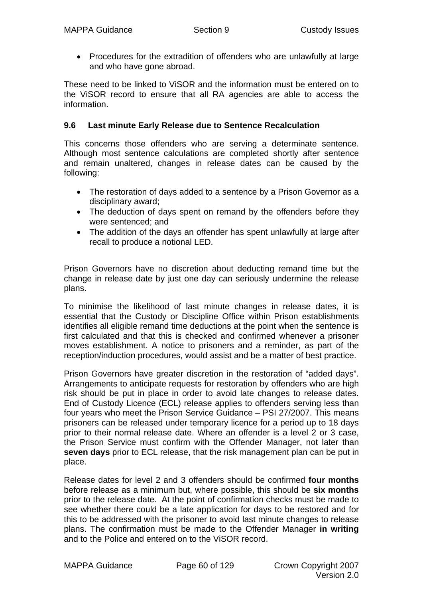• Procedures for the extradition of offenders who are unlawfully at large and who have gone abroad.

These need to be linked to ViSOR and the information must be entered on to the ViSOR record to ensure that all RA agencies are able to access the information.

# **9.6 Last minute Early Release due to Sentence Recalculation**

This concerns those offenders who are serving a determinate sentence. Although most sentence calculations are completed shortly after sentence and remain unaltered, changes in release dates can be caused by the following:

- The restoration of days added to a sentence by a Prison Governor as a disciplinary award;
- The deduction of days spent on remand by the offenders before they were sentenced; and
- The addition of the days an offender has spent unlawfully at large after recall to produce a notional LED.

Prison Governors have no discretion about deducting remand time but the change in release date by just one day can seriously undermine the release plans.

To minimise the likelihood of last minute changes in release dates, it is essential that the Custody or Discipline Office within Prison establishments identifies all eligible remand time deductions at the point when the sentence is first calculated and that this is checked and confirmed whenever a prisoner moves establishment. A notice to prisoners and a reminder, as part of the reception/induction procedures, would assist and be a matter of best practice.

Prison Governors have greater discretion in the restoration of "added days". Arrangements to anticipate requests for restoration by offenders who are high risk should be put in place in order to avoid late changes to release dates. End of Custody Licence (ECL) release applies to offenders serving less than four years who meet the Prison Service Guidance – PSI 27/2007. This means prisoners can be released under temporary licence for a period up to 18 days prior to their normal release date. Where an offender is a level 2 or 3 case, the Prison Service must confirm with the Offender Manager, not later than **seven days** prior to ECL release, that the risk management plan can be put in place.

Release dates for level 2 and 3 offenders should be confirmed **four months** before release as a minimum but, where possible, this should be **six months** prior to the release date. At the point of confirmation checks must be made to see whether there could be a late application for days to be restored and for this to be addressed with the prisoner to avoid last minute changes to release plans. The confirmation must be made to the Offender Manager **in writing** and to the Police and entered on to the ViSOR record.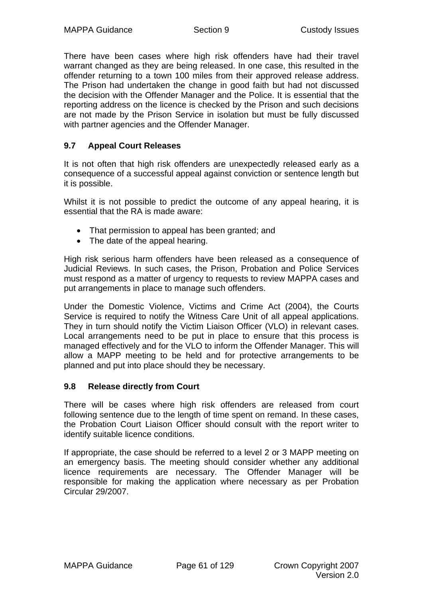There have been cases where high risk offenders have had their travel warrant changed as they are being released. In one case, this resulted in the offender returning to a town 100 miles from their approved release address. The Prison had undertaken the change in good faith but had not discussed the decision with the Offender Manager and the Police. It is essential that the reporting address on the licence is checked by the Prison and such decisions are not made by the Prison Service in isolation but must be fully discussed with partner agencies and the Offender Manager.

# **9.7 Appeal Court Releases**

It is not often that high risk offenders are unexpectedly released early as a consequence of a successful appeal against conviction or sentence length but it is possible.

Whilst it is not possible to predict the outcome of any appeal hearing, it is essential that the RA is made aware:

- That permission to appeal has been granted; and
- The date of the appeal hearing.

High risk serious harm offenders have been released as a consequence of Judicial Reviews. In such cases, the Prison, Probation and Police Services must respond as a matter of urgency to requests to review MAPPA cases and put arrangements in place to manage such offenders.

Under the Domestic Violence, Victims and Crime Act (2004), the Courts Service is required to notify the Witness Care Unit of all appeal applications. They in turn should notify the Victim Liaison Officer (VLO) in relevant cases. Local arrangements need to be put in place to ensure that this process is managed effectively and for the VLO to inform the Offender Manager. This will allow a MAPP meeting to be held and for protective arrangements to be planned and put into place should they be necessary.

#### **9.8 Release directly from Court**

There will be cases where high risk offenders are released from court following sentence due to the length of time spent on remand. In these cases, the Probation Court Liaison Officer should consult with the report writer to identify suitable licence conditions.

If appropriate, the case should be referred to a level 2 or 3 MAPP meeting on an emergency basis. The meeting should consider whether any additional licence requirements are necessary. The Offender Manager will be responsible for making the application where necessary as per Probation Circular 29/2007.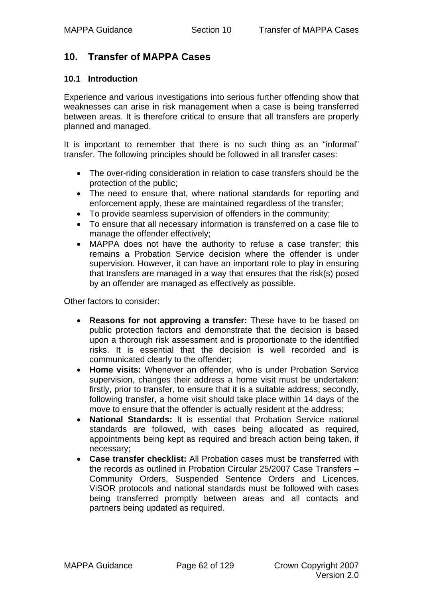# **10. Transfer of MAPPA Cases**

#### **10.1 Introduction**

Experience and various investigations into serious further offending show that weaknesses can arise in risk management when a case is being transferred between areas. It is therefore critical to ensure that all transfers are properly planned and managed.

It is important to remember that there is no such thing as an "informal" transfer. The following principles should be followed in all transfer cases:

- The over-riding consideration in relation to case transfers should be the protection of the public;
- The need to ensure that, where national standards for reporting and enforcement apply, these are maintained regardless of the transfer;
- To provide seamless supervision of offenders in the community;
- To ensure that all necessary information is transferred on a case file to manage the offender effectively;
- MAPPA does not have the authority to refuse a case transfer; this remains a Probation Service decision where the offender is under supervision. However, it can have an important role to play in ensuring that transfers are managed in a way that ensures that the risk(s) posed by an offender are managed as effectively as possible.

Other factors to consider:

- **Reasons for not approving a transfer:** These have to be based on public protection factors and demonstrate that the decision is based upon a thorough risk assessment and is proportionate to the identified risks. It is essential that the decision is well recorded and is communicated clearly to the offender;
- **Home visits:** Whenever an offender, who is under Probation Service supervision, changes their address a home visit must be undertaken: firstly, prior to transfer, to ensure that it is a suitable address; secondly, following transfer, a home visit should take place within 14 days of the move to ensure that the offender is actually resident at the address;
- **National Standards:** It is essential that Probation Service national standards are followed, with cases being allocated as required, appointments being kept as required and breach action being taken, if necessary;
- **Case transfer checklist:** All Probation cases must be transferred with the records as outlined in Probation Circular 25/2007 Case Transfers – Community Orders, Suspended Sentence Orders and Licences. ViSOR protocols and national standards must be followed with cases being transferred promptly between areas and all contacts and partners being updated as required.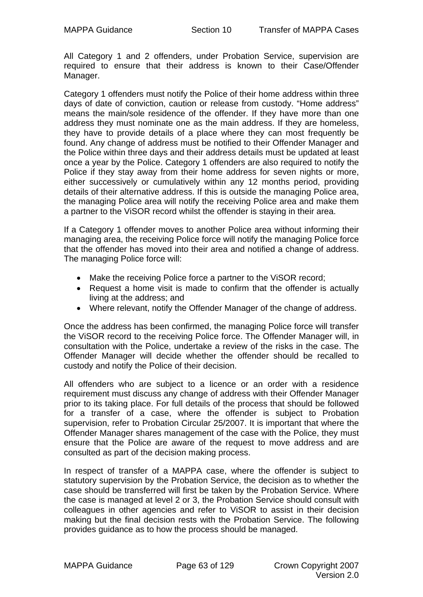All Category 1 and 2 offenders, under Probation Service, supervision are required to ensure that their address is known to their Case/Offender Manager.

Category 1 offenders must notify the Police of their home address within three days of date of conviction, caution or release from custody. "Home address" means the main/sole residence of the offender. If they have more than one address they must nominate one as the main address. If they are homeless, they have to provide details of a place where they can most frequently be found. Any change of address must be notified to their Offender Manager and the Police within three days and their address details must be updated at least once a year by the Police. Category 1 offenders are also required to notify the Police if they stay away from their home address for seven nights or more, either successively or cumulatively within any 12 months period, providing details of their alternative address. If this is outside the managing Police area, the managing Police area will notify the receiving Police area and make them a partner to the ViSOR record whilst the offender is staying in their area.

If a Category 1 offender moves to another Police area without informing their managing area, the receiving Police force will notify the managing Police force that the offender has moved into their area and notified a change of address. The managing Police force will:

- Make the receiving Police force a partner to the ViSOR record;
- Request a home visit is made to confirm that the offender is actually living at the address; and
- Where relevant, notify the Offender Manager of the change of address.

Once the address has been confirmed, the managing Police force will transfer the ViSOR record to the receiving Police force. The Offender Manager will, in consultation with the Police, undertake a review of the risks in the case. The Offender Manager will decide whether the offender should be recalled to custody and notify the Police of their decision.

All offenders who are subject to a licence or an order with a residence requirement must discuss any change of address with their Offender Manager prior to its taking place. For full details of the process that should be followed for a transfer of a case, where the offender is subject to Probation supervision, refer to Probation Circular 25/2007. It is important that where the Offender Manager shares management of the case with the Police, they must ensure that the Police are aware of the request to move address and are consulted as part of the decision making process.

In respect of transfer of a MAPPA case, where the offender is subject to statutory supervision by the Probation Service, the decision as to whether the case should be transferred will first be taken by the Probation Service. Where the case is managed at level 2 or 3, the Probation Service should consult with colleagues in other agencies and refer to ViSOR to assist in their decision making but the final decision rests with the Probation Service. The following provides guidance as to how the process should be managed.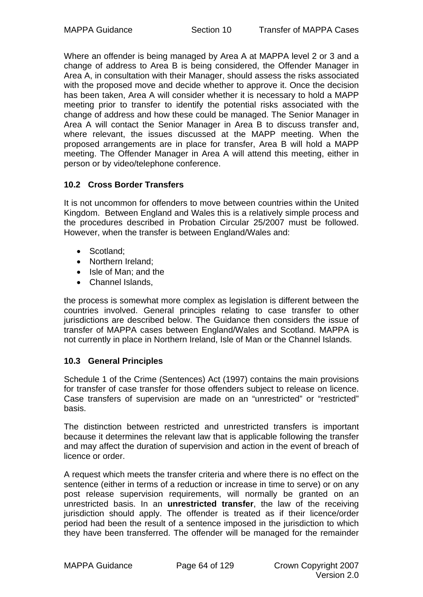Where an offender is being managed by Area A at MAPPA level 2 or 3 and a change of address to Area B is being considered, the Offender Manager in Area A, in consultation with their Manager, should assess the risks associated with the proposed move and decide whether to approve it. Once the decision has been taken, Area A will consider whether it is necessary to hold a MAPP meeting prior to transfer to identify the potential risks associated with the change of address and how these could be managed. The Senior Manager in Area A will contact the Senior Manager in Area B to discuss transfer and, where relevant, the issues discussed at the MAPP meeting. When the proposed arrangements are in place for transfer, Area B will hold a MAPP meeting. The Offender Manager in Area A will attend this meeting, either in person or by video/telephone conference.

# **10.2 Cross Border Transfers**

It is not uncommon for offenders to move between countries within the United Kingdom. Between England and Wales this is a relatively simple process and the procedures described in Probation Circular 25/2007 must be followed. However, when the transfer is between England/Wales and:

- Scotland;
- Northern Ireland:
- Isle of Man: and the
- Channel Islands.

the process is somewhat more complex as legislation is different between the countries involved. General principles relating to case transfer to other jurisdictions are described below. The Guidance then considers the issue of transfer of MAPPA cases between England/Wales and Scotland. MAPPA is not currently in place in Northern Ireland, Isle of Man or the Channel Islands.

# **10.3 General Principles**

Schedule 1 of the Crime (Sentences) Act (1997) contains the main provisions for transfer of case transfer for those offenders subject to release on licence. Case transfers of supervision are made on an "unrestricted" or "restricted" basis.

The distinction between restricted and unrestricted transfers is important because it determines the relevant law that is applicable following the transfer and may affect the duration of supervision and action in the event of breach of licence or order.

A request which meets the transfer criteria and where there is no effect on the sentence (either in terms of a reduction or increase in time to serve) or on any post release supervision requirements, will normally be granted on an unrestricted basis. In an **unrestricted transfer**, the law of the receiving jurisdiction should apply. The offender is treated as if their licence/order period had been the result of a sentence imposed in the jurisdiction to which they have been transferred. The offender will be managed for the remainder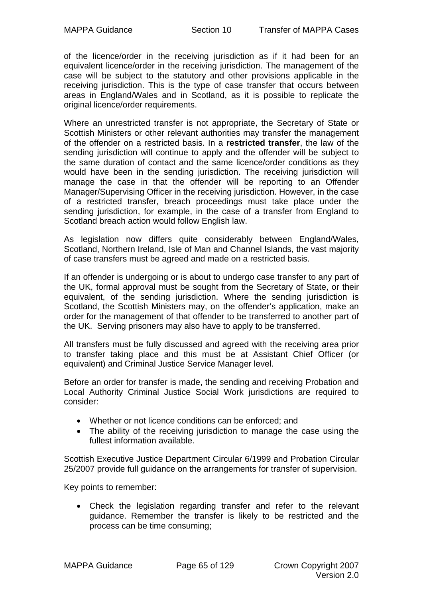of the licence/order in the receiving jurisdiction as if it had been for an equivalent licence/order in the receiving jurisdiction. The management of the case will be subject to the statutory and other provisions applicable in the receiving jurisdiction. This is the type of case transfer that occurs between areas in England/Wales and in Scotland, as it is possible to replicate the original licence/order requirements.

Where an unrestricted transfer is not appropriate, the Secretary of State or Scottish Ministers or other relevant authorities may transfer the management of the offender on a restricted basis. In a **restricted transfer**, the law of the sending jurisdiction will continue to apply and the offender will be subject to the same duration of contact and the same licence/order conditions as they would have been in the sending jurisdiction. The receiving jurisdiction will manage the case in that the offender will be reporting to an Offender Manager/Supervising Officer in the receiving jurisdiction. However, in the case of a restricted transfer, breach proceedings must take place under the sending jurisdiction, for example, in the case of a transfer from England to Scotland breach action would follow English law.

As legislation now differs quite considerably between England/Wales, Scotland, Northern Ireland, Isle of Man and Channel Islands, the vast majority of case transfers must be agreed and made on a restricted basis.

If an offender is undergoing or is about to undergo case transfer to any part of the UK, formal approval must be sought from the Secretary of State, or their equivalent, of the sending jurisdiction. Where the sending jurisdiction is Scotland, the Scottish Ministers may, on the offender's application, make an order for the management of that offender to be transferred to another part of the UK. Serving prisoners may also have to apply to be transferred.

All transfers must be fully discussed and agreed with the receiving area prior to transfer taking place and this must be at Assistant Chief Officer (or equivalent) and Criminal Justice Service Manager level.

Before an order for transfer is made, the sending and receiving Probation and Local Authority Criminal Justice Social Work jurisdictions are required to consider:

- Whether or not licence conditions can be enforced; and
- The ability of the receiving jurisdiction to manage the case using the fullest information available.

Scottish Executive Justice Department Circular 6/1999 and Probation Circular 25/2007 provide full guidance on the arrangements for transfer of supervision.

Key points to remember:

• Check the legislation regarding transfer and refer to the relevant guidance. Remember the transfer is likely to be restricted and the process can be time consuming;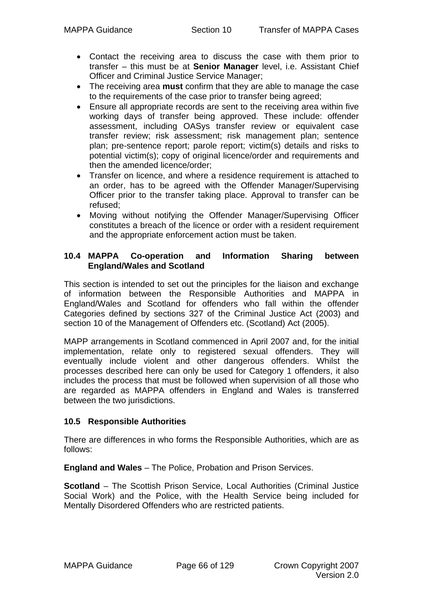- Contact the receiving area to discuss the case with them prior to transfer – this must be at **Senior Manager** level, i.e. Assistant Chief Officer and Criminal Justice Service Manager;
- The receiving area **must** confirm that they are able to manage the case to the requirements of the case prior to transfer being agreed;
- Ensure all appropriate records are sent to the receiving area within five working days of transfer being approved. These include: offender assessment, including OASys transfer review or equivalent case transfer review; risk assessment; risk management plan; sentence plan; pre-sentence report; parole report; victim(s) details and risks to potential victim(s); copy of original licence/order and requirements and then the amended licence/order;
- Transfer on licence, and where a residence requirement is attached to an order, has to be agreed with the Offender Manager/Supervising Officer prior to the transfer taking place. Approval to transfer can be refused;
- Moving without notifying the Offender Manager/Supervising Officer constitutes a breach of the licence or order with a resident requirement and the appropriate enforcement action must be taken.

### **10.4 MAPPA Co-operation and Information Sharing between England/Wales and Scotland**

This section is intended to set out the principles for the liaison and exchange of information between the Responsible Authorities and MAPPA in England/Wales and Scotland for offenders who fall within the offender Categories defined by sections 327 of the Criminal Justice Act (2003) and section 10 of the Management of Offenders etc. (Scotland) Act (2005).

MAPP arrangements in Scotland commenced in April 2007 and, for the initial implementation, relate only to registered sexual offenders. They will eventually include violent and other dangerous offenders. Whilst the processes described here can only be used for Category 1 offenders, it also includes the process that must be followed when supervision of all those who are regarded as MAPPA offenders in England and Wales is transferred between the two jurisdictions.

# **10.5 Responsible Authorities**

There are differences in who forms the Responsible Authorities, which are as follows:

**England and Wales** – The Police, Probation and Prison Services.

**Scotland** – The Scottish Prison Service, Local Authorities (Criminal Justice Social Work) and the Police, with the Health Service being included for Mentally Disordered Offenders who are restricted patients.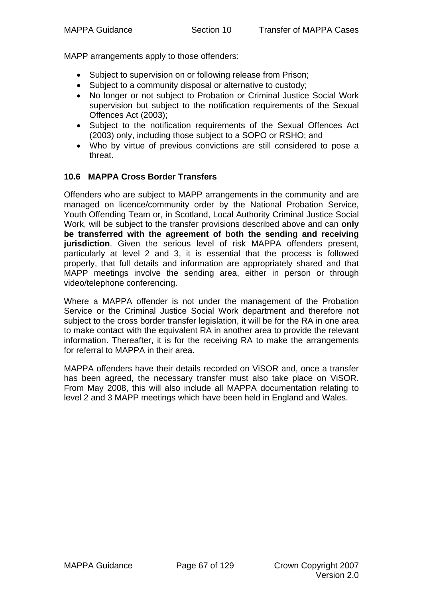MAPP arrangements apply to those offenders:

- Subject to supervision on or following release from Prison:
- Subject to a community disposal or alternative to custody;
- No longer or not subject to Probation or Criminal Justice Social Work supervision but subject to the notification requirements of the Sexual Offences Act (2003);
- Subject to the notification requirements of the Sexual Offences Act (2003) only, including those subject to a SOPO or RSHO; and
- Who by virtue of previous convictions are still considered to pose a threat.

#### **10.6 MAPPA Cross Border Transfers**

Offenders who are subject to MAPP arrangements in the community and are managed on licence/community order by the National Probation Service, Youth Offending Team or, in Scotland, Local Authority Criminal Justice Social Work, will be subject to the transfer provisions described above and can **only be transferred with the agreement of both the sending and receiving jurisdiction**. Given the serious level of risk MAPPA offenders present, particularly at level 2 and 3, it is essential that the process is followed properly, that full details and information are appropriately shared and that MAPP meetings involve the sending area, either in person or through video/telephone conferencing.

Where a MAPPA offender is not under the management of the Probation Service or the Criminal Justice Social Work department and therefore not subject to the cross border transfer legislation, it will be for the RA in one area to make contact with the equivalent RA in another area to provide the relevant information. Thereafter, it is for the receiving RA to make the arrangements for referral to MAPPA in their area.

MAPPA offenders have their details recorded on ViSOR and, once a transfer has been agreed, the necessary transfer must also take place on ViSOR. From May 2008, this will also include all MAPPA documentation relating to level 2 and 3 MAPP meetings which have been held in England and Wales.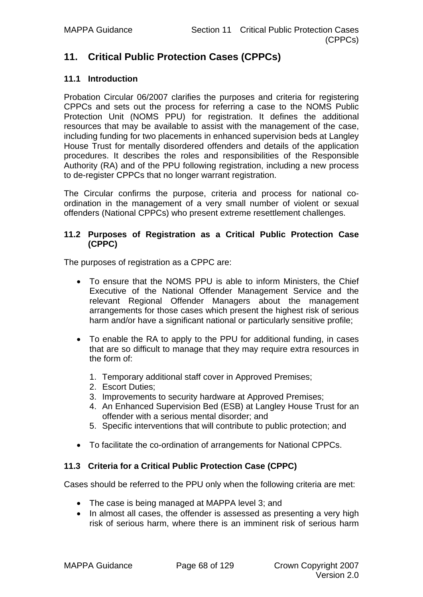# **11. Critical Public Protection Cases (CPPCs)**

#### **11.1 Introduction**

Probation Circular 06/2007 clarifies the purposes and criteria for registering CPPCs and sets out the process for referring a case to the NOMS Public Protection Unit (NOMS PPU) for registration. It defines the additional resources that may be available to assist with the management of the case, including funding for two placements in enhanced supervision beds at Langley House Trust for mentally disordered offenders and details of the application procedures. It describes the roles and responsibilities of the Responsible Authority (RA) and of the PPU following registration, including a new process to de-register CPPCs that no longer warrant registration.

The Circular confirms the purpose, criteria and process for national coordination in the management of a very small number of violent or sexual offenders (National CPPCs) who present extreme resettlement challenges.

#### **11.2 Purposes of Registration as a Critical Public Protection Case (CPPC)**

The purposes of registration as a CPPC are:

- To ensure that the NOMS PPU is able to inform Ministers, the Chief Executive of the National Offender Management Service and the relevant Regional Offender Managers about the management arrangements for those cases which present the highest risk of serious harm and/or have a significant national or particularly sensitive profile;
- To enable the RA to apply to the PPU for additional funding, in cases that are so difficult to manage that they may require extra resources in the form of:
	- 1. Temporary additional staff cover in Approved Premises;
	- 2. Escort Duties;
	- 3. Improvements to security hardware at Approved Premises;
	- 4. An Enhanced Supervision Bed (ESB) at Langley House Trust for an offender with a serious mental disorder; and
	- 5. Specific interventions that will contribute to public protection; and
- To facilitate the co-ordination of arrangements for National CPPCs.

#### **11.3 Criteria for a Critical Public Protection Case (CPPC)**

Cases should be referred to the PPU only when the following criteria are met:

- The case is being managed at MAPPA level 3; and
- In almost all cases, the offender is assessed as presenting a very high risk of serious harm, where there is an imminent risk of serious harm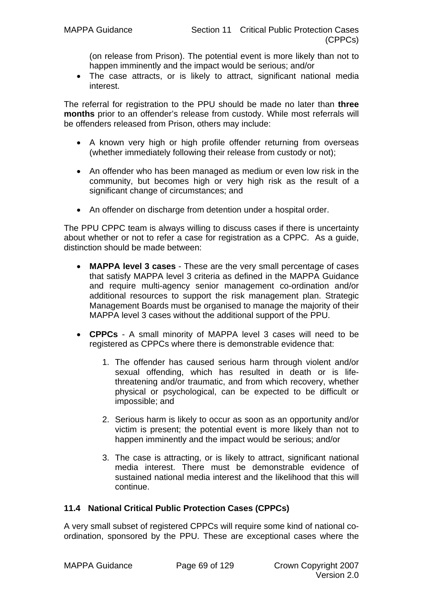(on release from Prison). The potential event is more likely than not to happen imminently and the impact would be serious; and/or

• The case attracts, or is likely to attract, significant national media interest.

The referral for registration to the PPU should be made no later than **three months** prior to an offender's release from custody. While most referrals will be offenders released from Prison, others may include:

- A known very high or high profile offender returning from overseas (whether immediately following their release from custody or not);
- An offender who has been managed as medium or even low risk in the community, but becomes high or very high risk as the result of a significant change of circumstances; and
- An offender on discharge from detention under a hospital order.

The PPU CPPC team is always willing to discuss cases if there is uncertainty about whether or not to refer a case for registration as a CPPC. As a guide, distinction should be made between:

- **MAPPA level 3 cases** These are the very small percentage of cases that satisfy MAPPA level 3 criteria as defined in the MAPPA Guidance and require multi-agency senior management co-ordination and/or additional resources to support the risk management plan. Strategic Management Boards must be organised to manage the majority of their MAPPA level 3 cases without the additional support of the PPU.
- **CPPCs** A small minority of MAPPA level 3 cases will need to be registered as CPPCs where there is demonstrable evidence that:
	- 1. The offender has caused serious harm through violent and/or sexual offending, which has resulted in death or is lifethreatening and/or traumatic, and from which recovery, whether physical or psychological, can be expected to be difficult or impossible; and
	- 2. Serious harm is likely to occur as soon as an opportunity and/or victim is present; the potential event is more likely than not to happen imminently and the impact would be serious; and/or
	- 3. The case is attracting, or is likely to attract, significant national media interest. There must be demonstrable evidence of sustained national media interest and the likelihood that this will continue.

# **11.4 National Critical Public Protection Cases (CPPCs)**

A very small subset of registered CPPCs will require some kind of national coordination, sponsored by the PPU. These are exceptional cases where the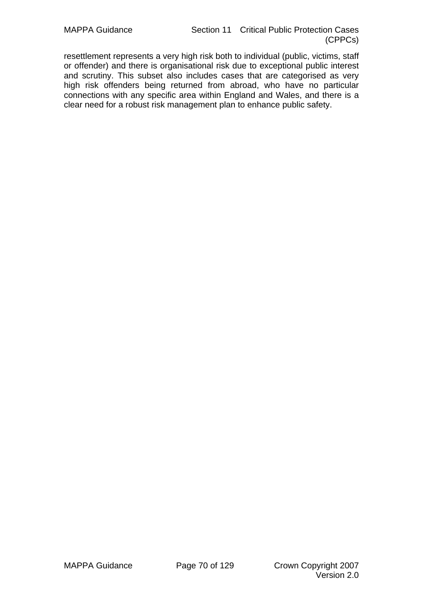resettlement represents a very high risk both to individual (public, victims, staff or offender) and there is organisational risk due to exceptional public interest and scrutiny. This subset also includes cases that are categorised as very high risk offenders being returned from abroad, who have no particular connections with any specific area within England and Wales, and there is a clear need for a robust risk management plan to enhance public safety.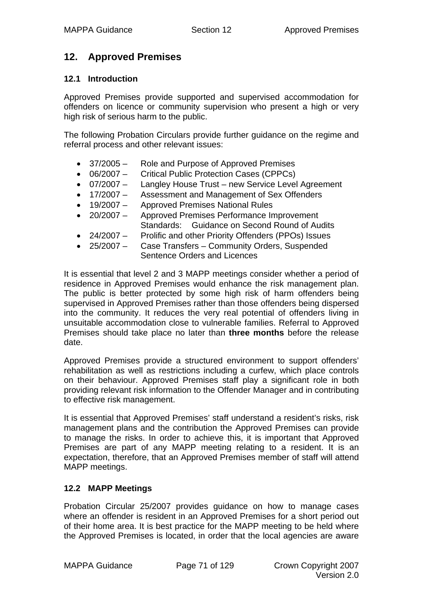# **12. Approved Premises**

# **12.1 Introduction**

Approved Premises provide supported and supervised accommodation for offenders on licence or community supervision who present a high or very high risk of serious harm to the public.

The following Probation Circulars provide further guidance on the regime and referral process and other relevant issues:

- 37/2005 Role and Purpose of Approved Premises
- 06/2007 Critical Public Protection Cases (CPPCs)
- 07/2007 Langley House Trust new Service Level Agreement
- 17/2007 Assessment and Management of Sex Offenders
- 19/2007 Approved Premises National Rules
- 20/2007 Approved Premises Performance Improvement Standards: Guidance on Second Round of Audits
- 24/2007 Prolific and other Priority Offenders (PPOs) Issues
- 25/2007 Case Transfers Community Orders, Suspended Sentence Orders and Licences

It is essential that level 2 and 3 MAPP meetings consider whether a period of residence in Approved Premises would enhance the risk management plan. The public is better protected by some high risk of harm offenders being supervised in Approved Premises rather than those offenders being dispersed into the community. It reduces the very real potential of offenders living in unsuitable accommodation close to vulnerable families. Referral to Approved Premises should take place no later than **three months** before the release date.

Approved Premises provide a structured environment to support offenders' rehabilitation as well as restrictions including a curfew, which place controls on their behaviour. Approved Premises staff play a significant role in both providing relevant risk information to the Offender Manager and in contributing to effective risk management.

It is essential that Approved Premises' staff understand a resident's risks, risk management plans and the contribution the Approved Premises can provide to manage the risks. In order to achieve this, it is important that Approved Premises are part of any MAPP meeting relating to a resident. It is an expectation, therefore, that an Approved Premises member of staff will attend MAPP meetings.

# **12.2 MAPP Meetings**

Probation Circular 25/2007 provides guidance on how to manage cases where an offender is resident in an Approved Premises for a short period out of their home area. It is best practice for the MAPP meeting to be held where the Approved Premises is located, in order that the local agencies are aware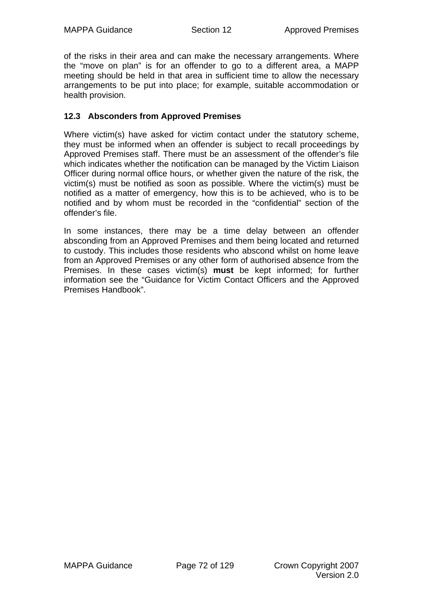of the risks in their area and can make the necessary arrangements. Where the "move on plan" is for an offender to go to a different area, a MAPP meeting should be held in that area in sufficient time to allow the necessary arrangements to be put into place; for example, suitable accommodation or health provision.

# **12.3 Absconders from Approved Premises**

Where victim(s) have asked for victim contact under the statutory scheme, they must be informed when an offender is subject to recall proceedings by Approved Premises staff. There must be an assessment of the offender's file which indicates whether the notification can be managed by the Victim Liaison Officer during normal office hours, or whether given the nature of the risk, the victim(s) must be notified as soon as possible. Where the victim(s) must be notified as a matter of emergency, how this is to be achieved, who is to be notified and by whom must be recorded in the "confidential" section of the offender's file.

In some instances, there may be a time delay between an offender absconding from an Approved Premises and them being located and returned to custody. This includes those residents who abscond whilst on home leave from an Approved Premises or any other form of authorised absence from the Premises. In these cases victim(s) **must** be kept informed; for further information see the "Guidance for Victim Contact Officers and the Approved Premises Handbook".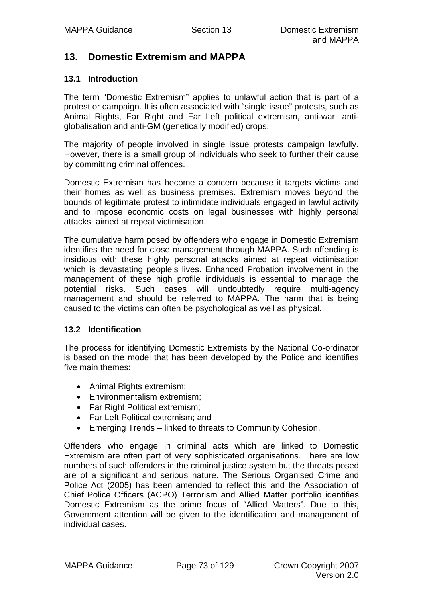# **13. Domestic Extremism and MAPPA**

## **13.1 Introduction**

The term "Domestic Extremism" applies to unlawful action that is part of a protest or campaign. It is often associated with "single issue" protests, such as Animal Rights, Far Right and Far Left political extremism, anti-war, antiglobalisation and anti-GM (genetically modified) crops.

The majority of people involved in single issue protests campaign lawfully. However, there is a small group of individuals who seek to further their cause by committing criminal offences.

Domestic Extremism has become a concern because it targets victims and their homes as well as business premises. Extremism moves beyond the bounds of legitimate protest to intimidate individuals engaged in lawful activity and to impose economic costs on legal businesses with highly personal attacks, aimed at repeat victimisation.

The cumulative harm posed by offenders who engage in Domestic Extremism identifies the need for close management through MAPPA. Such offending is insidious with these highly personal attacks aimed at repeat victimisation which is devastating people's lives. Enhanced Probation involvement in the management of these high profile individuals is essential to manage the potential risks. Such cases will undoubtedly require multi-agency management and should be referred to MAPPA. The harm that is being caused to the victims can often be psychological as well as physical.

#### **13.2 Identification**

The process for identifying Domestic Extremists by the National Co-ordinator is based on the model that has been developed by the Police and identifies five main themes:

- Animal Rights extremism;
- Environmentalism extremism;
- Far Right Political extremism;
- Far Left Political extremism; and
- Emerging Trends linked to threats to Community Cohesion.

Offenders who engage in criminal acts which are linked to Domestic Extremism are often part of very sophisticated organisations. There are low numbers of such offenders in the criminal justice system but the threats posed are of a significant and serious nature. The Serious Organised Crime and Police Act (2005) has been amended to reflect this and the Association of Chief Police Officers (ACPO) Terrorism and Allied Matter portfolio identifies Domestic Extremism as the prime focus of "Allied Matters". Due to this, Government attention will be given to the identification and management of individual cases.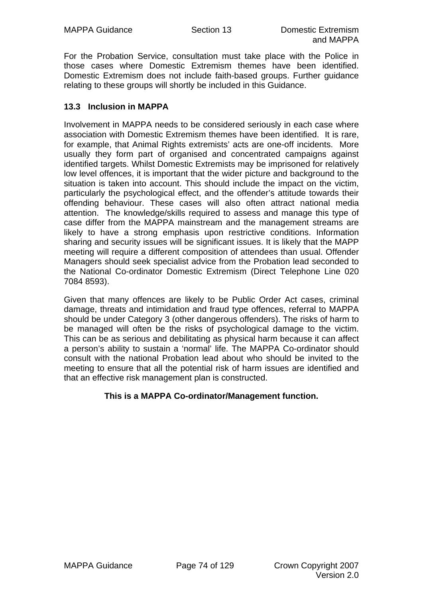For the Probation Service, consultation must take place with the Police in those cases where Domestic Extremism themes have been identified. Domestic Extremism does not include faith-based groups. Further guidance relating to these groups will shortly be included in this Guidance.

# **13.3 Inclusion in MAPPA**

Involvement in MAPPA needs to be considered seriously in each case where association with Domestic Extremism themes have been identified. It is rare, for example, that Animal Rights extremists' acts are one-off incidents. More usually they form part of organised and concentrated campaigns against identified targets. Whilst Domestic Extremists may be imprisoned for relatively low level offences, it is important that the wider picture and background to the situation is taken into account. This should include the impact on the victim, particularly the psychological effect, and the offender's attitude towards their offending behaviour. These cases will also often attract national media attention. The knowledge/skills required to assess and manage this type of case differ from the MAPPA mainstream and the management streams are likely to have a strong emphasis upon restrictive conditions. Information sharing and security issues will be significant issues. It is likely that the MAPP meeting will require a different composition of attendees than usual. Offender Managers should seek specialist advice from the Probation lead seconded to the National Co-ordinator Domestic Extremism (Direct Telephone Line 020 7084 8593).

Given that many offences are likely to be Public Order Act cases, criminal damage, threats and intimidation and fraud type offences, referral to MAPPA should be under Category 3 (other dangerous offenders). The risks of harm to be managed will often be the risks of psychological damage to the victim. This can be as serious and debilitating as physical harm because it can affect a person's ability to sustain a 'normal' life. The MAPPA Co-ordinator should consult with the national Probation lead about who should be invited to the meeting to ensure that all the potential risk of harm issues are identified and that an effective risk management plan is constructed.

# **This is a MAPPA Co-ordinator/Management function.**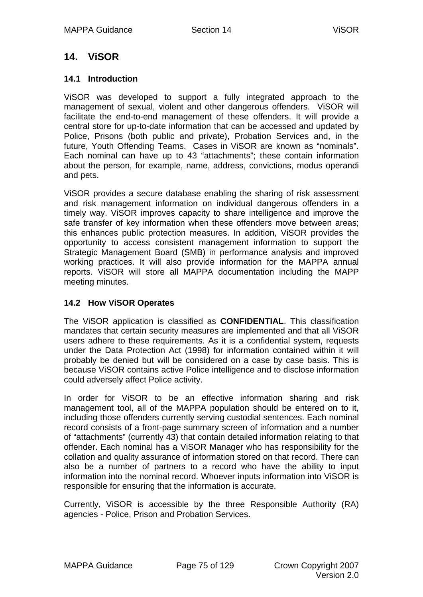# **14. ViSOR**

## **14.1 Introduction**

ViSOR was developed to support a fully integrated approach to the management of sexual, violent and other dangerous offenders. ViSOR will facilitate the end-to-end management of these offenders. It will provide a central store for up-to-date information that can be accessed and updated by Police, Prisons (both public and private), Probation Services and, in the future, Youth Offending Teams. Cases in ViSOR are known as "nominals". Each nominal can have up to 43 "attachments"; these contain information about the person, for example, name, address, convictions, modus operandi and pets.

ViSOR provides a secure database enabling the sharing of risk assessment and risk management information on individual dangerous offenders in a timely way. ViSOR improves capacity to share intelligence and improve the safe transfer of key information when these offenders move between areas; this enhances public protection measures. In addition, ViSOR provides the opportunity to access consistent management information to support the Strategic Management Board (SMB) in performance analysis and improved working practices. It will also provide information for the MAPPA annual reports. ViSOR will store all MAPPA documentation including the MAPP meeting minutes.

# **14.2 How ViSOR Operates**

The ViSOR application is classified as **CONFIDENTIAL**. This classification mandates that certain security measures are implemented and that all ViSOR users adhere to these requirements. As it is a confidential system, requests under the Data Protection Act (1998) for information contained within it will probably be denied but will be considered on a case by case basis. This is because ViSOR contains active Police intelligence and to disclose information could adversely affect Police activity.

In order for ViSOR to be an effective information sharing and risk management tool, all of the MAPPA population should be entered on to it, including those offenders currently serving custodial sentences. Each nominal record consists of a front-page summary screen of information and a number of "attachments" (currently 43) that contain detailed information relating to that offender. Each nominal has a ViSOR Manager who has responsibility for the collation and quality assurance of information stored on that record. There can also be a number of partners to a record who have the ability to input information into the nominal record. Whoever inputs information into ViSOR is responsible for ensuring that the information is accurate.

Currently, ViSOR is accessible by the three Responsible Authority (RA) agencies - Police, Prison and Probation Services.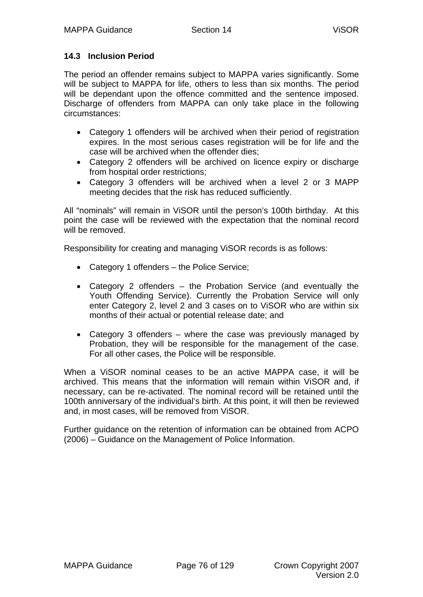# **14.3 Inclusion Period**

The period an offender remains subject to MAPPA varies significantly. Some will be subject to MAPPA for life, others to less than six months. The period will be dependant upon the offence committed and the sentence imposed. Discharge of offenders from MAPPA can only take place in the following circumstances:

- Category 1 offenders will be archived when their period of registration expires. In the most serious cases registration will be for life and the case will be archived when the offender dies;
- Category 2 offenders will be archived on licence expiry or discharge from hospital order restrictions;
- Category 3 offenders will be archived when a level 2 or 3 MAPP meeting decides that the risk has reduced sufficiently.

All "nominals" will remain in ViSOR until the person's 100th birthday. At this point the case will be reviewed with the expectation that the nominal record will be removed.

Responsibility for creating and managing ViSOR records is as follows:

- Category 1 offenders the Police Service;
- Category 2 offenders the Probation Service (and eventually the Youth Offending Service). Currently the Probation Service will only enter Category 2, level 2 and 3 cases on to ViSOR who are within six months of their actual or potential release date; and
- Category 3 offenders where the case was previously managed by Probation, they will be responsible for the management of the case. For all other cases, the Police will be responsible.

When a ViSOR nominal ceases to be an active MAPPA case, it will be archived. This means that the information will remain within ViSOR and, if necessary, can be re-activated. The nominal record will be retained until the 100th anniversary of the individual's birth. At this point, it will then be reviewed and, in most cases, will be removed from ViSOR.

Further guidance on the retention of information can be obtained from ACPO (2006) – Guidance on the Management of Police Information.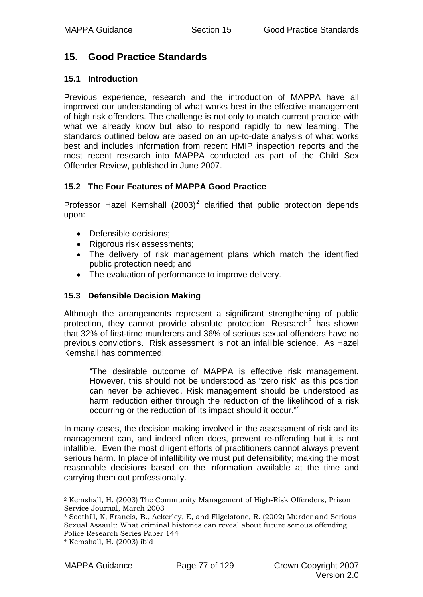# **15. Good Practice Standards**

## **15.1 Introduction**

Previous experience, research and the introduction of MAPPA have all improved our understanding of what works best in the effective management of high risk offenders. The challenge is not only to match current practice with what we already know but also to respond rapidly to new learning. The standards outlined below are based on an up-to-date analysis of what works best and includes information from recent HMIP inspection reports and the most recent research into MAPPA conducted as part of the Child Sex Offender Review, published in June 2007.

# **15.2 The Four Features of MAPPA Good Practice**

Professor Hazel Kemshall  $(2003)^2$  $(2003)^2$  $(2003)^2$  clarified that public protection depends upon:

- Defensible decisions;
- Rigorous risk assessments;
- The delivery of risk management plans which match the identified public protection need; and
- The evaluation of performance to improve delivery.

# **15.3 Defensible Decision Making**

Although the arrangements represent a significant strengthening of public protection, they cannot provide absolute protection. Research<sup>[3](#page-76-1)</sup> has shown that 32% of first-time murderers and 36% of serious sexual offenders have no previous convictions. Risk assessment is not an infallible science. As Hazel Kemshall has commented:

"The desirable outcome of MAPPA is effective risk management. However, this should not be understood as "zero risk" as this position can never be achieved. Risk management should be understood as harm reduction either through the reduction of the likelihood of a risk occurring or the reduction of its impact should it occur."[4](#page-76-2)

In many cases, the decision making involved in the assessment of risk and its management can, and indeed often does, prevent re-offending but it is not infallible. Even the most diligent efforts of practitioners cannot always prevent serious harm. In place of infallibility we must put defensibility; making the most reasonable decisions based on the information available at the time and carrying them out professionally.

<span id="page-76-0"></span><sup>1</sup> 2 Kemshall, H. (2003) The Community Management of High-Risk Offenders, Prison Service Journal, March 2003

<span id="page-76-1"></span><sup>3</sup> Soothill, K, Francis, B., Ackerley, E, and Fligelstone, R. (2002) Murder and Serious Sexual Assault: What criminal histories can reveal about future serious offending. Police Research Series Paper 144

<span id="page-76-2"></span><sup>4</sup> Kemshall, H. (2003) ibid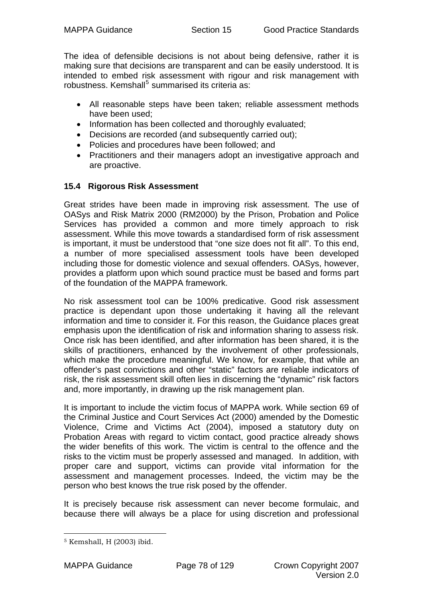The idea of defensible decisions is not about being defensive, rather it is making sure that decisions are transparent and can be easily understood. It is intended to embed risk assessment with rigour and risk management with robustness. Kemshall<sup>[5](#page-77-0)</sup> summarised its criteria as:

- All reasonable steps have been taken; reliable assessment methods have been used;
- Information has been collected and thoroughly evaluated:
- Decisions are recorded (and subsequently carried out);
- Policies and procedures have been followed; and
- Practitioners and their managers adopt an investigative approach and are proactive.

# **15.4 Rigorous Risk Assessment**

Great strides have been made in improving risk assessment. The use of OASys and Risk Matrix 2000 (RM2000) by the Prison, Probation and Police Services has provided a common and more timely approach to risk assessment. While this move towards a standardised form of risk assessment is important, it must be understood that "one size does not fit all". To this end, a number of more specialised assessment tools have been developed including those for domestic violence and sexual offenders. OASys, however, provides a platform upon which sound practice must be based and forms part of the foundation of the MAPPA framework.

No risk assessment tool can be 100% predicative. Good risk assessment practice is dependant upon those undertaking it having all the relevant information and time to consider it. For this reason, the Guidance places great emphasis upon the identification of risk and information sharing to assess risk. Once risk has been identified, and after information has been shared, it is the skills of practitioners, enhanced by the involvement of other professionals, which make the procedure meaningful. We know, for example, that while an offender's past convictions and other "static" factors are reliable indicators of risk, the risk assessment skill often lies in discerning the "dynamic" risk factors and, more importantly, in drawing up the risk management plan.

It is important to include the victim focus of MAPPA work. While section 69 of the Criminal Justice and Court Services Act (2000) amended by the Domestic Violence, Crime and Victims Act (2004), imposed a statutory duty on Probation Areas with regard to victim contact, good practice already shows the wider benefits of this work. The victim is central to the offence and the risks to the victim must be properly assessed and managed. In addition, with proper care and support, victims can provide vital information for the assessment and management processes. Indeed, the victim may be the person who best knows the true risk posed by the offender.

It is precisely because risk assessment can never become formulaic, and because there will always be a place for using discretion and professional

<span id="page-77-0"></span><sup>1</sup> 5 Kemshall, H (2003) ibid.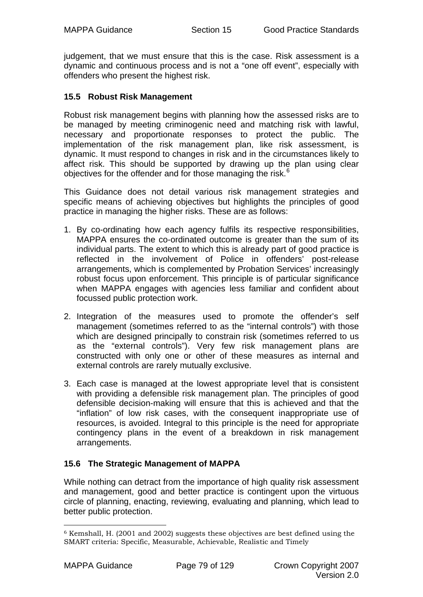judgement, that we must ensure that this is the case. Risk assessment is a dynamic and continuous process and is not a "one off event", especially with offenders who present the highest risk.

# **15.5 Robust Risk Management**

Robust risk management begins with planning how the assessed risks are to be managed by meeting criminogenic need and matching risk with lawful, necessary and proportionate responses to protect the public. The implementation of the risk management plan, like risk assessment, is dynamic. It must respond to changes in risk and in the circumstances likely to affect risk. This should be supported by drawing up the plan using clear objectives for the offender and for those managing the risk.<sup>[6](#page-78-0)</sup>

This Guidance does not detail various risk management strategies and specific means of achieving objectives but highlights the principles of good practice in managing the higher risks. These are as follows:

- 1. By co-ordinating how each agency fulfils its respective responsibilities, MAPPA ensures the co-ordinated outcome is greater than the sum of its individual parts. The extent to which this is already part of good practice is reflected in the involvement of Police in offenders' post-release arrangements, which is complemented by Probation Services' increasingly robust focus upon enforcement. This principle is of particular significance when MAPPA engages with agencies less familiar and confident about focussed public protection work.
- 2. Integration of the measures used to promote the offender's self management (sometimes referred to as the "internal controls") with those which are designed principally to constrain risk (sometimes referred to us as the "external controls"). Very few risk management plans are constructed with only one or other of these measures as internal and external controls are rarely mutually exclusive.
- 3. Each case is managed at the lowest appropriate level that is consistent with providing a defensible risk management plan. The principles of good defensible decision-making will ensure that this is achieved and that the "inflation" of low risk cases, with the consequent inappropriate use of resources, is avoided. Integral to this principle is the need for appropriate contingency plans in the event of a breakdown in risk management arrangements.

# **15.6 The Strategic Management of MAPPA**

While nothing can detract from the importance of high quality risk assessment and management, good and better practice is contingent upon the virtuous circle of planning, enacting, reviewing, evaluating and planning, which lead to better public protection.

<span id="page-78-0"></span><sup>1</sup>  $6$  Kemshall, H. (2001 and 2002) suggests these objectives are best defined using the SMART criteria: Specific, Measurable, Achievable, Realistic and Timely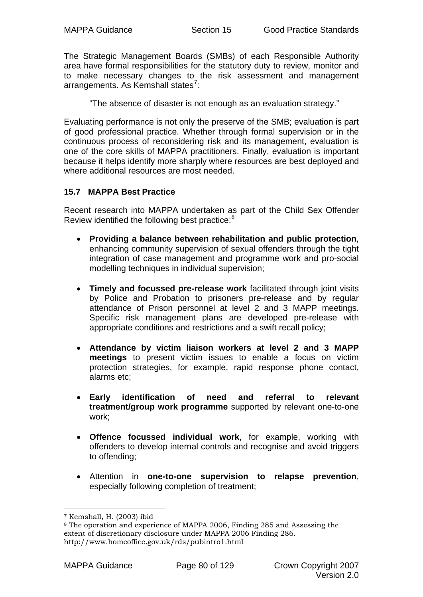The Strategic Management Boards (SMBs) of each Responsible Authority area have formal responsibilities for the statutory duty to review, monitor and to make necessary changes to the risk assessment and management arrangements. As Kemshall states<sup>[7](#page-79-0)</sup>:

"The absence of disaster is not enough as an evaluation strategy."

Evaluating performance is not only the preserve of the SMB; evaluation is part of good professional practice. Whether through formal supervision or in the continuous process of reconsidering risk and its management, evaluation is one of the core skills of MAPPA practitioners. Finally, evaluation is important because it helps identify more sharply where resources are best deployed and where additional resources are most needed.

# **15.7 MAPPA Best Practice**

Recent research into MAPPA undertaken as part of the Child Sex Offender Review identified the following best practice:<sup>[8](#page-79-1)</sup>

- **Providing a balance between rehabilitation and public protection**, enhancing community supervision of sexual offenders through the tight integration of case management and programme work and pro-social modelling techniques in individual supervision;
- **Timely and focussed pre-release work** facilitated through joint visits by Police and Probation to prisoners pre-release and by regular attendance of Prison personnel at level 2 and 3 MAPP meetings. Specific risk management plans are developed pre-release with appropriate conditions and restrictions and a swift recall policy;
- **Attendance by victim liaison workers at level 2 and 3 MAPP meetings** to present victim issues to enable a focus on victim protection strategies, for example, rapid response phone contact, alarms etc;
- **Early identification of need and referral to relevant treatment/group work programme** supported by relevant one-to-one work;
- **Offence focussed individual work**, for example, working with offenders to develop internal controls and recognise and avoid triggers to offending;
- Attention in **one-to-one supervision to relapse prevention**, especially following completion of treatment;

1

<sup>7</sup> Kemshall, H. (2003) ibid

<span id="page-79-1"></span><span id="page-79-0"></span><sup>8</sup> The operation and experience of MAPPA 2006, Finding 285 and Assessing the extent of discretionary disclosure under MAPPA 2006 Finding 286. http://www.homeoffice.gov.uk/rds/pubintro1.html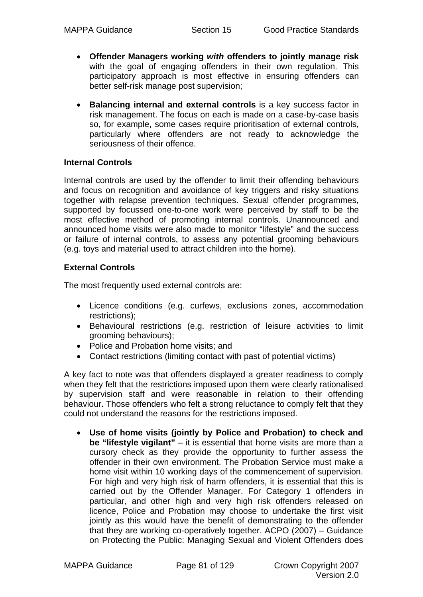- **Offender Managers working** *with* **offenders to jointly manage risk** with the goal of engaging offenders in their own regulation. This participatory approach is most effective in ensuring offenders can better self-risk manage post supervision;
- **Balancing internal and external controls** is a key success factor in risk management. The focus on each is made on a case-by-case basis so, for example, some cases require prioritisation of external controls, particularly where offenders are not ready to acknowledge the seriousness of their offence.

#### **Internal Controls**

Internal controls are used by the offender to limit their offending behaviours and focus on recognition and avoidance of key triggers and risky situations together with relapse prevention techniques. Sexual offender programmes, supported by focussed one-to-one work were perceived by staff to be the most effective method of promoting internal controls. Unannounced and announced home visits were also made to monitor "lifestyle" and the success or failure of internal controls, to assess any potential grooming behaviours (e.g. toys and material used to attract children into the home).

## **External Controls**

The most frequently used external controls are:

- Licence conditions (e.g. curfews, exclusions zones, accommodation restrictions);
- Behavioural restrictions (e.g. restriction of leisure activities to limit grooming behaviours);
- Police and Probation home visits; and
- Contact restrictions (limiting contact with past of potential victims)

A key fact to note was that offenders displayed a greater readiness to comply when they felt that the restrictions imposed upon them were clearly rationalised by supervision staff and were reasonable in relation to their offending behaviour. Those offenders who felt a strong reluctance to comply felt that they could not understand the reasons for the restrictions imposed.

• **Use of home visits (jointly by Police and Probation) to check and be "lifestyle vigilant"** – it is essential that home visits are more than a cursory check as they provide the opportunity to further assess the offender in their own environment. The Probation Service must make a home visit within 10 working days of the commencement of supervision. For high and very high risk of harm offenders, it is essential that this is carried out by the Offender Manager. For Category 1 offenders in particular, and other high and very high risk offenders released on licence, Police and Probation may choose to undertake the first visit jointly as this would have the benefit of demonstrating to the offender that they are working co-operatively together. ACPO (2007) – Guidance on Protecting the Public: Managing Sexual and Violent Offenders does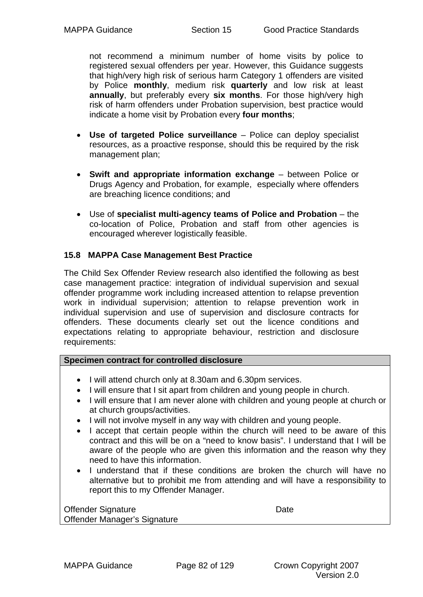not recommend a minimum number of home visits by police to registered sexual offenders per year. However, this Guidance suggests that high/very high risk of serious harm Category 1 offenders are visited by Police **monthly**, medium risk **quarterly** and low risk at least **annually**, but preferably every **six months**. For those high/very high risk of harm offenders under Probation supervision, best practice would indicate a home visit by Probation every **four months**;

- **Use of targeted Police surveillance** Police can deploy specialist resources, as a proactive response, should this be required by the risk management plan;
- **Swift and appropriate information exchange** between Police or Drugs Agency and Probation, for example, especially where offenders are breaching licence conditions; and
- Use of **specialist multi-agency teams of Police and Probation** the co-location of Police, Probation and staff from other agencies is encouraged wherever logistically feasible.

## **15.8 MAPPA Case Management Best Practice**

The Child Sex Offender Review research also identified the following as best case management practice: integration of individual supervision and sexual offender programme work including increased attention to relapse prevention work in individual supervision; attention to relapse prevention work in individual supervision and use of supervision and disclosure contracts for offenders. These documents clearly set out the licence conditions and expectations relating to appropriate behaviour, restriction and disclosure requirements:

#### **Specimen contract for controlled disclosure**

- I will attend church only at 8.30am and 6.30pm services.
- I will ensure that I sit apart from children and young people in church.
- I will ensure that I am never alone with children and young people at church or at church groups/activities.
- I will not involve myself in any way with children and young people.
- I accept that certain people within the church will need to be aware of this contract and this will be on a "need to know basis". I understand that I will be aware of the people who are given this information and the reason why they need to have this information.
- I understand that if these conditions are broken the church will have no alternative but to prohibit me from attending and will have a responsibility to report this to my Offender Manager.

| <b>Offender Signature</b>    | Date |
|------------------------------|------|
| Offender Manager's Signature |      |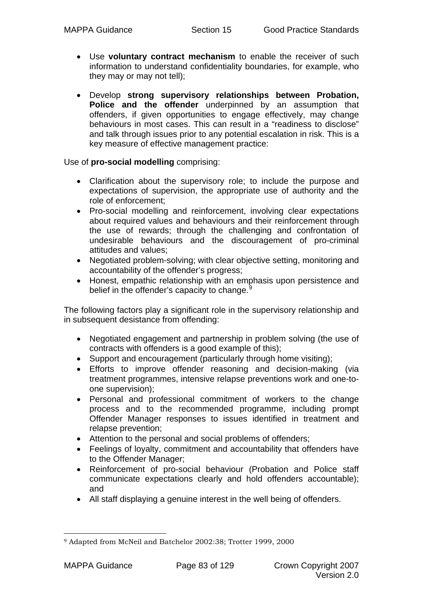- Use **voluntary contract mechanism** to enable the receiver of such information to understand confidentiality boundaries, for example, who they may or may not tell);
- Develop **strong supervisory relationships between Probation, Police and the offender** underpinned by an assumption that offenders, if given opportunities to engage effectively, may change behaviours in most cases. This can result in a "readiness to disclose" and talk through issues prior to any potential escalation in risk. This is a key measure of effective management practice:

Use of **pro-social modelling** comprising:

- Clarification about the supervisory role; to include the purpose and expectations of supervision, the appropriate use of authority and the role of enforcement;
- Pro-social modelling and reinforcement, involving clear expectations about required values and behaviours and their reinforcement through the use of rewards; through the challenging and confrontation of undesirable behaviours and the discouragement of pro-criminal attitudes and values;
- Negotiated problem-solving; with clear objective setting, monitoring and accountability of the offender's progress;
- Honest, empathic relationship with an emphasis upon persistence and belief in the offender's capacity to change.<sup>[9](#page-82-0)</sup>

The following factors play a significant role in the supervisory relationship and in subsequent desistance from offending:

- Negotiated engagement and partnership in problem solving (the use of contracts with offenders is a good example of this);
- Support and encouragement (particularly through home visiting);
- Efforts to improve offender reasoning and decision-making (via treatment programmes, intensive relapse preventions work and one-toone supervision);
- Personal and professional commitment of workers to the change process and to the recommended programme, including prompt Offender Manager responses to issues identified in treatment and relapse prevention;
- Attention to the personal and social problems of offenders;
- Feelings of loyalty, commitment and accountability that offenders have to the Offender Manager;
- Reinforcement of pro-social behaviour (Probation and Police staff communicate expectations clearly and hold offenders accountable); and
- All staff displaying a genuine interest in the well being of offenders.

<span id="page-82-0"></span><sup>1</sup> 9 Adapted from McNeil and Batchelor 2002:38; Trotter 1999, 2000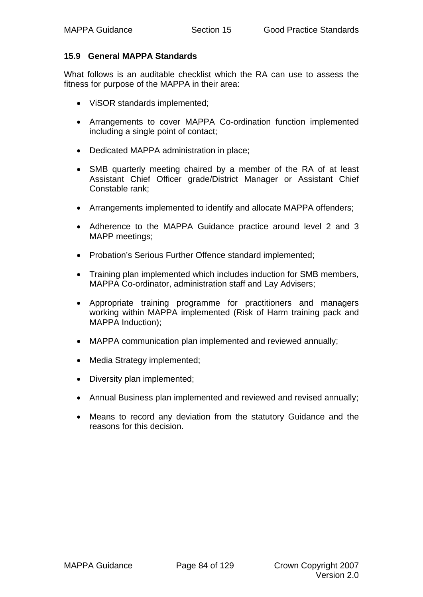#### **15.9 General MAPPA Standards**

What follows is an auditable checklist which the RA can use to assess the fitness for purpose of the MAPPA in their area:

- ViSOR standards implemented;
- Arrangements to cover MAPPA Co-ordination function implemented including a single point of contact;
- Dedicated MAPPA administration in place;
- SMB quarterly meeting chaired by a member of the RA of at least Assistant Chief Officer grade/District Manager or Assistant Chief Constable rank;
- Arrangements implemented to identify and allocate MAPPA offenders;
- Adherence to the MAPPA Guidance practice around level 2 and 3 MAPP meetings;
- Probation's Serious Further Offence standard implemented;
- Training plan implemented which includes induction for SMB members, MAPPA Co-ordinator, administration staff and Lay Advisers;
- Appropriate training programme for practitioners and managers working within MAPPA implemented (Risk of Harm training pack and MAPPA Induction);
- MAPPA communication plan implemented and reviewed annually;
- Media Strategy implemented;
- Diversity plan implemented:
- Annual Business plan implemented and reviewed and revised annually;
- Means to record any deviation from the statutory Guidance and the reasons for this decision.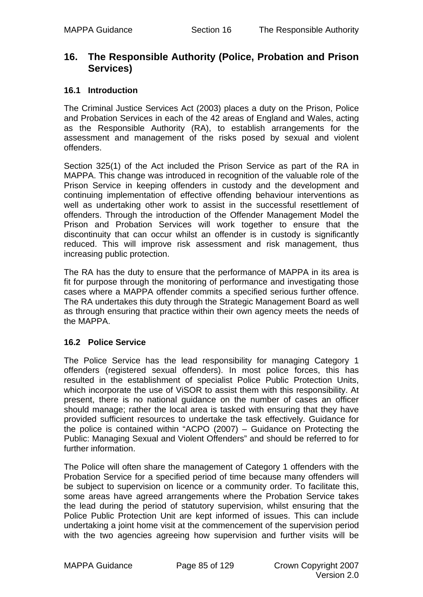# **16. The Responsible Authority (Police, Probation and Prison Services)**

## **16.1 Introduction**

The Criminal Justice Services Act (2003) places a duty on the Prison, Police and Probation Services in each of the 42 areas of England and Wales, acting as the Responsible Authority (RA), to establish arrangements for the assessment and management of the risks posed by sexual and violent offenders.

Section 325(1) of the Act included the Prison Service as part of the RA in MAPPA. This change was introduced in recognition of the valuable role of the Prison Service in keeping offenders in custody and the development and continuing implementation of effective offending behaviour interventions as well as undertaking other work to assist in the successful resettlement of offenders. Through the introduction of the Offender Management Model the Prison and Probation Services will work together to ensure that the discontinuity that can occur whilst an offender is in custody is significantly reduced. This will improve risk assessment and risk management, thus increasing public protection.

The RA has the duty to ensure that the performance of MAPPA in its area is fit for purpose through the monitoring of performance and investigating those cases where a MAPPA offender commits a specified serious further offence. The RA undertakes this duty through the Strategic Management Board as well as through ensuring that practice within their own agency meets the needs of the MAPPA.

#### **16.2 Police Service**

The Police Service has the lead responsibility for managing Category 1 offenders (registered sexual offenders). In most police forces, this has resulted in the establishment of specialist Police Public Protection Units, which incorporate the use of ViSOR to assist them with this responsibility. At present, there is no national guidance on the number of cases an officer should manage; rather the local area is tasked with ensuring that they have provided sufficient resources to undertake the task effectively. Guidance for the police is contained within "ACPO (2007) – Guidance on Protecting the Public: Managing Sexual and Violent Offenders" and should be referred to for further information.

The Police will often share the management of Category 1 offenders with the Probation Service for a specified period of time because many offenders will be subject to supervision on licence or a community order. To facilitate this, some areas have agreed arrangements where the Probation Service takes the lead during the period of statutory supervision, whilst ensuring that the Police Public Protection Unit are kept informed of issues. This can include undertaking a joint home visit at the commencement of the supervision period with the two agencies agreeing how supervision and further visits will be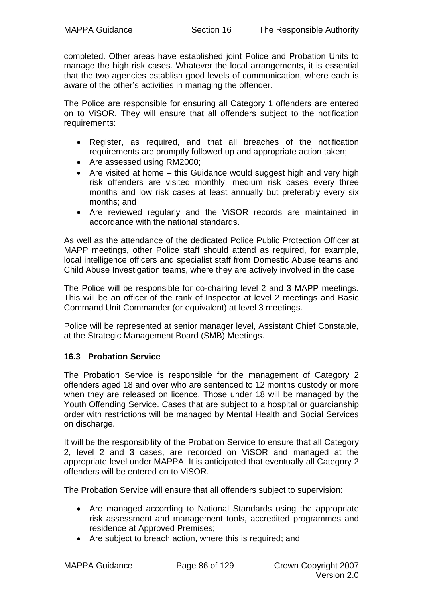completed. Other areas have established joint Police and Probation Units to manage the high risk cases. Whatever the local arrangements, it is essential that the two agencies establish good levels of communication, where each is aware of the other's activities in managing the offender.

The Police are responsible for ensuring all Category 1 offenders are entered on to ViSOR. They will ensure that all offenders subject to the notification requirements:

- Register, as required, and that all breaches of the notification requirements are promptly followed up and appropriate action taken;
- Are assessed using RM2000;
- Are visited at home this Guidance would suggest high and very high risk offenders are visited monthly, medium risk cases every three months and low risk cases at least annually but preferably every six months; and
- Are reviewed regularly and the ViSOR records are maintained in accordance with the national standards.

As well as the attendance of the dedicated Police Public Protection Officer at MAPP meetings, other Police staff should attend as required, for example, local intelligence officers and specialist staff from Domestic Abuse teams and Child Abuse Investigation teams, where they are actively involved in the case

The Police will be responsible for co-chairing level 2 and 3 MAPP meetings. This will be an officer of the rank of Inspector at level 2 meetings and Basic Command Unit Commander (or equivalent) at level 3 meetings.

Police will be represented at senior manager level, Assistant Chief Constable, at the Strategic Management Board (SMB) Meetings.

# **16.3 Probation Service**

The Probation Service is responsible for the management of Category 2 offenders aged 18 and over who are sentenced to 12 months custody or more when they are released on licence. Those under 18 will be managed by the Youth Offending Service. Cases that are subject to a hospital or guardianship order with restrictions will be managed by Mental Health and Social Services on discharge.

It will be the responsibility of the Probation Service to ensure that all Category 2, level 2 and 3 cases, are recorded on ViSOR and managed at the appropriate level under MAPPA. It is anticipated that eventually all Category 2 offenders will be entered on to ViSOR.

The Probation Service will ensure that all offenders subject to supervision:

- Are managed according to National Standards using the appropriate risk assessment and management tools, accredited programmes and residence at Approved Premises;
- Are subject to breach action, where this is required; and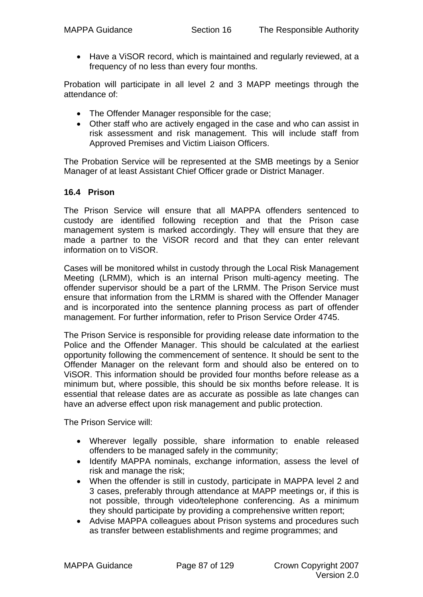• Have a ViSOR record, which is maintained and regularly reviewed, at a frequency of no less than every four months.

Probation will participate in all level 2 and 3 MAPP meetings through the attendance of:

- The Offender Manager responsible for the case;
- Other staff who are actively engaged in the case and who can assist in risk assessment and risk management. This will include staff from Approved Premises and Victim Liaison Officers.

The Probation Service will be represented at the SMB meetings by a Senior Manager of at least Assistant Chief Officer grade or District Manager.

# **16.4 Prison**

The Prison Service will ensure that all MAPPA offenders sentenced to custody are identified following reception and that the Prison case management system is marked accordingly. They will ensure that they are made a partner to the ViSOR record and that they can enter relevant information on to ViSOR.

Cases will be monitored whilst in custody through the Local Risk Management Meeting (LRMM), which is an internal Prison multi-agency meeting. The offender supervisor should be a part of the LRMM. The Prison Service must ensure that information from the LRMM is shared with the Offender Manager and is incorporated into the sentence planning process as part of offender management. For further information, refer to Prison Service Order 4745.

The Prison Service is responsible for providing release date information to the Police and the Offender Manager. This should be calculated at the earliest opportunity following the commencement of sentence. It should be sent to the Offender Manager on the relevant form and should also be entered on to ViSOR. This information should be provided four months before release as a minimum but, where possible, this should be six months before release. It is essential that release dates are as accurate as possible as late changes can have an adverse effect upon risk management and public protection.

The Prison Service will:

- Wherever legally possible, share information to enable released offenders to be managed safely in the community;
- Identify MAPPA nominals, exchange information, assess the level of risk and manage the risk;
- When the offender is still in custody, participate in MAPPA level 2 and 3 cases, preferably through attendance at MAPP meetings or, if this is not possible, through video/telephone conferencing. As a minimum they should participate by providing a comprehensive written report;
- Advise MAPPA colleagues about Prison systems and procedures such as transfer between establishments and regime programmes; and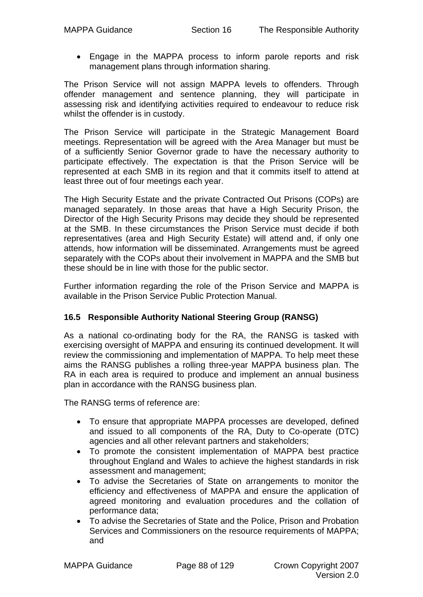• Engage in the MAPPA process to inform parole reports and risk management plans through information sharing.

The Prison Service will not assign MAPPA levels to offenders. Through offender management and sentence planning, they will participate in assessing risk and identifying activities required to endeavour to reduce risk whilst the offender is in custody.

The Prison Service will participate in the Strategic Management Board meetings. Representation will be agreed with the Area Manager but must be of a sufficiently Senior Governor grade to have the necessary authority to participate effectively. The expectation is that the Prison Service will be represented at each SMB in its region and that it commits itself to attend at least three out of four meetings each year.

The High Security Estate and the private Contracted Out Prisons (COPs) are managed separately. In those areas that have a High Security Prison, the Director of the High Security Prisons may decide they should be represented at the SMB. In these circumstances the Prison Service must decide if both representatives (area and High Security Estate) will attend and, if only one attends, how information will be disseminated. Arrangements must be agreed separately with the COPs about their involvement in MAPPA and the SMB but these should be in line with those for the public sector.

Further information regarding the role of the Prison Service and MAPPA is available in the Prison Service Public Protection Manual.

# **16.5 Responsible Authority National Steering Group (RANSG)**

As a national co-ordinating body for the RA, the RANSG is tasked with exercising oversight of MAPPA and ensuring its continued development. It will review the commissioning and implementation of MAPPA. To help meet these aims the RANSG publishes a rolling three-year MAPPA business plan. The RA in each area is required to produce and implement an annual business plan in accordance with the RANSG business plan.

The RANSG terms of reference are:

- To ensure that appropriate MAPPA processes are developed, defined and issued to all components of the RA, Duty to Co-operate (DTC) agencies and all other relevant partners and stakeholders;
- To promote the consistent implementation of MAPPA best practice throughout England and Wales to achieve the highest standards in risk assessment and management;
- To advise the Secretaries of State on arrangements to monitor the efficiency and effectiveness of MAPPA and ensure the application of agreed monitoring and evaluation procedures and the collation of performance data;
- To advise the Secretaries of State and the Police, Prison and Probation Services and Commissioners on the resource requirements of MAPPA; and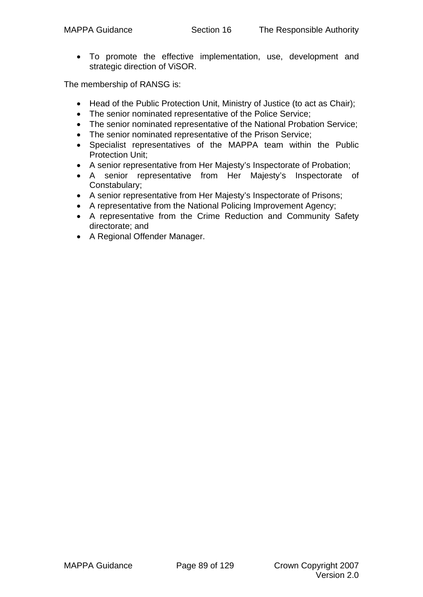• To promote the effective implementation, use, development and strategic direction of ViSOR.

The membership of RANSG is:

- Head of the Public Protection Unit, Ministry of Justice (to act as Chair);
- The senior nominated representative of the Police Service;
- The senior nominated representative of the National Probation Service;
- The senior nominated representative of the Prison Service;
- Specialist representatives of the MAPPA team within the Public Protection Unit;
- A senior representative from Her Majesty's Inspectorate of Probation;
- A senior representative from Her Majesty's Inspectorate of Constabulary;
- A senior representative from Her Majesty's Inspectorate of Prisons;
- A representative from the National Policing Improvement Agency;
- A representative from the Crime Reduction and Community Safety directorate; and
- A Regional Offender Manager.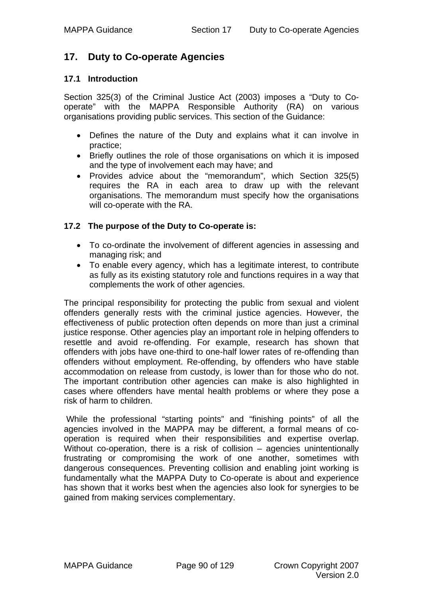# **17. Duty to Co-operate Agencies**

## **17.1 Introduction**

Section 325(3) of the Criminal Justice Act (2003) imposes a "Duty to Cooperate" with the MAPPA Responsible Authority (RA) on various organisations providing public services. This section of the Guidance:

- Defines the nature of the Duty and explains what it can involve in practice;
- Briefly outlines the role of those organisations on which it is imposed and the type of involvement each may have; and
- Provides advice about the "memorandum", which Section 325(5) requires the RA in each area to draw up with the relevant organisations. The memorandum must specify how the organisations will co-operate with the RA.

## **17.2 The purpose of the Duty to Co-operate is:**

- To co-ordinate the involvement of different agencies in assessing and managing risk; and
- To enable every agency, which has a legitimate interest, to contribute as fully as its existing statutory role and functions requires in a way that complements the work of other agencies.

The principal responsibility for protecting the public from sexual and violent offenders generally rests with the criminal justice agencies. However, the effectiveness of public protection often depends on more than just a criminal justice response. Other agencies play an important role in helping offenders to resettle and avoid re-offending. For example, research has shown that offenders with jobs have one-third to one-half lower rates of re-offending than offenders without employment. Re-offending, by offenders who have stable accommodation on release from custody, is lower than for those who do not. The important contribution other agencies can make is also highlighted in cases where offenders have mental health problems or where they pose a risk of harm to children.

 While the professional "starting points" and "finishing points" of all the agencies involved in the MAPPA may be different, a formal means of cooperation is required when their responsibilities and expertise overlap. Without co-operation, there is a risk of collision – agencies unintentionally frustrating or compromising the work of one another, sometimes with dangerous consequences. Preventing collision and enabling joint working is fundamentally what the MAPPA Duty to Co-operate is about and experience has shown that it works best when the agencies also look for synergies to be gained from making services complementary.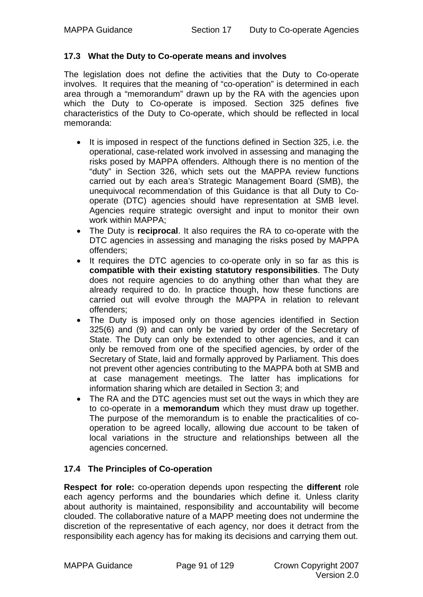#### **17.3 What the Duty to Co-operate means and involves**

The legislation does not define the activities that the Duty to Co-operate involves. It requires that the meaning of "co-operation" is determined in each area through a "memorandum" drawn up by the RA with the agencies upon which the Duty to Co-operate is imposed. Section 325 defines five characteristics of the Duty to Co-operate, which should be reflected in local memoranda:

- It is imposed in respect of the functions defined in Section 325, i.e. the operational, case-related work involved in assessing and managing the risks posed by MAPPA offenders. Although there is no mention of the "duty" in Section 326, which sets out the MAPPA review functions carried out by each area's Strategic Management Board (SMB), the unequivocal recommendation of this Guidance is that all Duty to Cooperate (DTC) agencies should have representation at SMB level. Agencies require strategic oversight and input to monitor their own work within MAPPA;
- The Duty is **reciprocal**. It also requires the RA to co-operate with the DTC agencies in assessing and managing the risks posed by MAPPA offenders;
- It requires the DTC agencies to co-operate only in so far as this is **compatible with their existing statutory responsibilities**. The Duty does not require agencies to do anything other than what they are already required to do. In practice though, how these functions are carried out will evolve through the MAPPA in relation to relevant offenders;
- The Duty is imposed only on those agencies identified in Section 325(6) and (9) and can only be varied by order of the Secretary of State. The Duty can only be extended to other agencies, and it can only be removed from one of the specified agencies, by order of the Secretary of State, laid and formally approved by Parliament. This does not prevent other agencies contributing to the MAPPA both at SMB and at case management meetings. The latter has implications for information sharing which are detailed in Section 3; and
- The RA and the DTC agencies must set out the ways in which they are to co-operate in a **memorandum** which they must draw up together. The purpose of the memorandum is to enable the practicalities of cooperation to be agreed locally, allowing due account to be taken of local variations in the structure and relationships between all the agencies concerned.

# **17.4 The Principles of Co-operation**

**Respect for role:** co-operation depends upon respecting the **different** role each agency performs and the boundaries which define it. Unless clarity about authority is maintained, responsibility and accountability will become clouded. The collaborative nature of a MAPP meeting does not undermine the discretion of the representative of each agency, nor does it detract from the responsibility each agency has for making its decisions and carrying them out.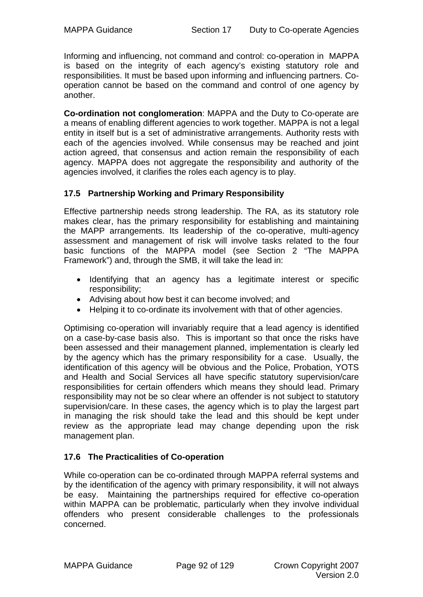Informing and influencing, not command and control: co-operation in MAPPA is based on the integrity of each agency's existing statutory role and responsibilities. It must be based upon informing and influencing partners. Cooperation cannot be based on the command and control of one agency by another.

**Co-ordination not conglomeration**: MAPPA and the Duty to Co-operate are a means of enabling different agencies to work together. MAPPA is not a legal entity in itself but is a set of administrative arrangements. Authority rests with each of the agencies involved. While consensus may be reached and joint action agreed, that consensus and action remain the responsibility of each agency. MAPPA does not aggregate the responsibility and authority of the agencies involved, it clarifies the roles each agency is to play.

## **17.5 Partnership Working and Primary Responsibility**

Effective partnership needs strong leadership. The RA, as its statutory role makes clear, has the primary responsibility for establishing and maintaining the MAPP arrangements. Its leadership of the co-operative, multi-agency assessment and management of risk will involve tasks related to the four basic functions of the MAPPA model (see Section 2 "The MAPPA Framework") and, through the SMB, it will take the lead in:

- Identifying that an agency has a legitimate interest or specific responsibility;
- Advising about how best it can become involved; and
- Helping it to co-ordinate its involvement with that of other agencies.

Optimising co-operation will invariably require that a lead agency is identified on a case-by-case basis also. This is important so that once the risks have been assessed and their management planned, implementation is clearly led by the agency which has the primary responsibility for a case. Usually, the identification of this agency will be obvious and the Police, Probation, YOTS and Health and Social Services all have specific statutory supervision/care responsibilities for certain offenders which means they should lead. Primary responsibility may not be so clear where an offender is not subject to statutory supervision/care. In these cases, the agency which is to play the largest part in managing the risk should take the lead and this should be kept under review as the appropriate lead may change depending upon the risk management plan.

# **17.6 The Practicalities of Co-operation**

While co-operation can be co-ordinated through MAPPA referral systems and by the identification of the agency with primary responsibility, it will not always be easy. Maintaining the partnerships required for effective co-operation within MAPPA can be problematic, particularly when they involve individual offenders who present considerable challenges to the professionals concerned.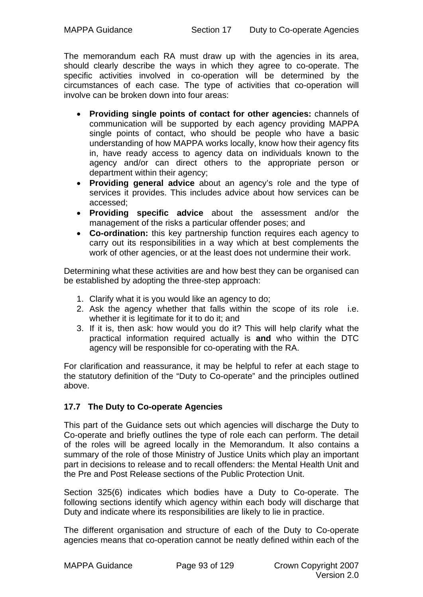The memorandum each RA must draw up with the agencies in its area, should clearly describe the ways in which they agree to co-operate. The specific activities involved in co-operation will be determined by the circumstances of each case. The type of activities that co-operation will involve can be broken down into four areas:

- **Providing single points of contact for other agencies:** channels of communication will be supported by each agency providing MAPPA single points of contact, who should be people who have a basic understanding of how MAPPA works locally, know how their agency fits in, have ready access to agency data on individuals known to the agency and/or can direct others to the appropriate person or department within their agency;
- **Providing general advice** about an agency's role and the type of services it provides. This includes advice about how services can be accessed;
- **Providing specific advice** about the assessment and/or the management of the risks a particular offender poses; and
- **Co-ordination:** this key partnership function requires each agency to carry out its responsibilities in a way which at best complements the work of other agencies, or at the least does not undermine their work.

Determining what these activities are and how best they can be organised can be established by adopting the three-step approach:

- 1. Clarify what it is you would like an agency to do;
- 2. Ask the agency whether that falls within the scope of its role i.e. whether it is legitimate for it to do it; and
- 3. If it is, then ask: how would you do it? This will help clarify what the practical information required actually is **and** who within the DTC agency will be responsible for co-operating with the RA.

For clarification and reassurance, it may be helpful to refer at each stage to the statutory definition of the "Duty to Co-operate" and the principles outlined above.

# **17.7 The Duty to Co-operate Agencies**

This part of the Guidance sets out which agencies will discharge the Duty to Co-operate and briefly outlines the type of role each can perform. The detail of the roles will be agreed locally in the Memorandum. It also contains a summary of the role of those Ministry of Justice Units which play an important part in decisions to release and to recall offenders: the Mental Health Unit and the Pre and Post Release sections of the Public Protection Unit.

Section 325(6) indicates which bodies have a Duty to Co-operate. The following sections identify which agency within each body will discharge that Duty and indicate where its responsibilities are likely to lie in practice.

The different organisation and structure of each of the Duty to Co-operate agencies means that co-operation cannot be neatly defined within each of the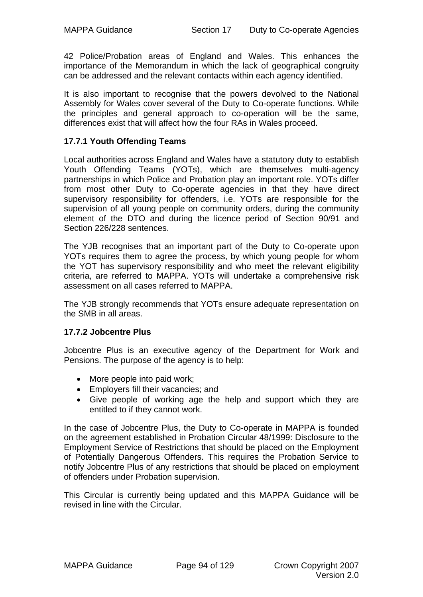42 Police/Probation areas of England and Wales. This enhances the importance of the Memorandum in which the lack of geographical congruity can be addressed and the relevant contacts within each agency identified.

It is also important to recognise that the powers devolved to the National Assembly for Wales cover several of the Duty to Co-operate functions. While the principles and general approach to co-operation will be the same, differences exist that will affect how the four RAs in Wales proceed.

## **17.7.1 Youth Offending Teams**

Local authorities across England and Wales have a statutory duty to establish Youth Offending Teams (YOTs), which are themselves multi-agency partnerships in which Police and Probation play an important role. YOTs differ from most other Duty to Co-operate agencies in that they have direct supervisory responsibility for offenders, i.e. YOTs are responsible for the supervision of all young people on community orders, during the community element of the DTO and during the licence period of Section 90/91 and Section 226/228 sentences.

The YJB recognises that an important part of the Duty to Co-operate upon YOTs requires them to agree the process, by which young people for whom the YOT has supervisory responsibility and who meet the relevant eligibility criteria, are referred to MAPPA. YOTs will undertake a comprehensive risk assessment on all cases referred to MAPPA.

The YJB strongly recommends that YOTs ensure adequate representation on the SMB in all areas.

#### **17.7.2 Jobcentre Plus**

Jobcentre Plus is an executive agency of the Department for Work and Pensions. The purpose of the agency is to help:

- More people into paid work:
- Employers fill their vacancies; and
- Give people of working age the help and support which they are entitled to if they cannot work.

In the case of Jobcentre Plus, the Duty to Co-operate in MAPPA is founded on the agreement established in Probation Circular 48/1999: Disclosure to the Employment Service of Restrictions that should be placed on the Employment of Potentially Dangerous Offenders. This requires the Probation Service to notify Jobcentre Plus of any restrictions that should be placed on employment of offenders under Probation supervision.

This Circular is currently being updated and this MAPPA Guidance will be revised in line with the Circular.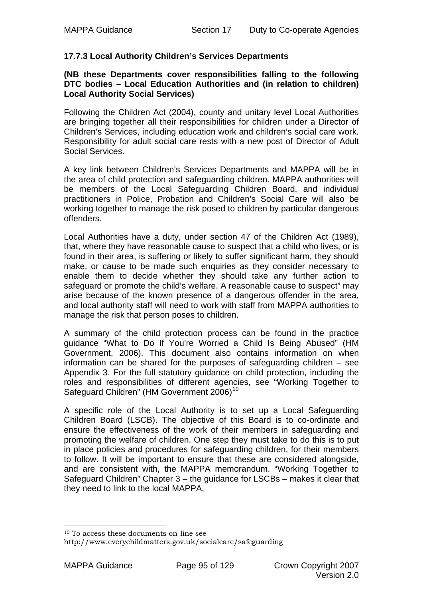## **17.7.3 Local Authority Children's Services Departments**

#### **(NB these Departments cover responsibilities falling to the following DTC bodies – Local Education Authorities and (in relation to children) Local Authority Social Services)**

Following the Children Act (2004), county and unitary level Local Authorities are bringing together all their responsibilities for children under a Director of Children's Services, including education work and children's social care work. Responsibility for adult social care rests with a new post of Director of Adult Social Services.

A key link between Children's Services Departments and MAPPA will be in the area of child protection and safeguarding children. MAPPA authorities will be members of the Local Safeguarding Children Board, and individual practitioners in Police, Probation and Children's Social Care will also be working together to manage the risk posed to children by particular dangerous offenders.

Local Authorities have a duty, under section 47 of the Children Act (1989), that, where they have reasonable cause to suspect that a child who lives, or is found in their area, is suffering or likely to suffer significant harm, they should make, or cause to be made such enquiries as they consider necessary to enable them to decide whether they should take any further action to safeguard or promote the child's welfare. A reasonable cause to suspect" may arise because of the known presence of a dangerous offender in the area, and local authority staff will need to work with staff from MAPPA authorities to manage the risk that person poses to children.

A summary of the child protection process can be found in the practice guidance "What to Do If You're Worried a Child Is Being Abused" (HM Government, 2006). This document also contains information on when information can be shared for the purposes of safeguarding children – see Appendix 3. For the full statutory guidance on child protection, including the roles and responsibilities of different agencies, see "Working Together to Safeguard Children" (HM Government 2006)<sup>[10](#page-94-0)</sup>

A specific role of the Local Authority is to set up a Local Safeguarding Children Board (LSCB). The objective of this Board is to co-ordinate and ensure the effectiveness of the work of their members in safeguarding and promoting the welfare of children. One step they must take to do this is to put in place policies and procedures for safeguarding children, for their members to follow. It will be important to ensure that these are considered alongside, and are consistent with, the MAPPA memorandum. "Working Together to Safeguard Children" Chapter 3 – the guidance for LSCBs – makes it clear that they need to link to the local MAPPA.

1

<sup>10</sup> To access these documents on-line see

<span id="page-94-0"></span>http://www.everychildmatters.gov.uk/socialcare/safeguarding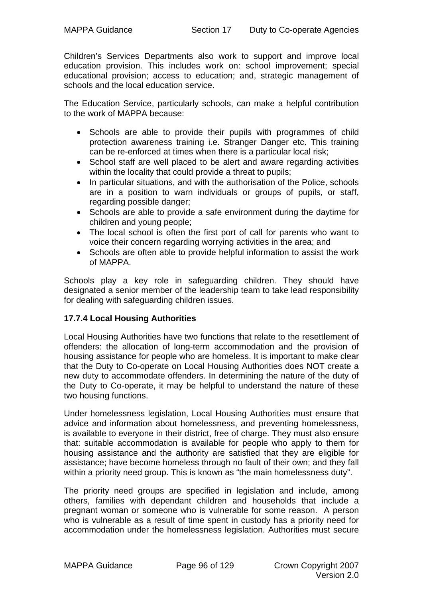Children's Services Departments also work to support and improve local education provision. This includes work on: school improvement; special educational provision; access to education; and, strategic management of schools and the local education service.

The Education Service, particularly schools, can make a helpful contribution to the work of MAPPA because:

- Schools are able to provide their pupils with programmes of child protection awareness training i.e. Stranger Danger etc. This training can be re-enforced at times when there is a particular local risk;
- School staff are well placed to be alert and aware regarding activities within the locality that could provide a threat to pupils;
- In particular situations, and with the authorisation of the Police, schools are in a position to warn individuals or groups of pupils, or staff, regarding possible danger;
- Schools are able to provide a safe environment during the daytime for children and young people;
- The local school is often the first port of call for parents who want to voice their concern regarding worrying activities in the area; and
- Schools are often able to provide helpful information to assist the work of MAPPA.

Schools play a key role in safeguarding children. They should have designated a senior member of the leadership team to take lead responsibility for dealing with safeguarding children issues.

# **17.7.4 Local Housing Authorities**

Local Housing Authorities have two functions that relate to the resettlement of offenders: the allocation of long-term accommodation and the provision of housing assistance for people who are homeless. It is important to make clear that the Duty to Co-operate on Local Housing Authorities does NOT create a new duty to accommodate offenders. In determining the nature of the duty of the Duty to Co-operate, it may be helpful to understand the nature of these two housing functions.

Under homelessness legislation, Local Housing Authorities must ensure that advice and information about homelessness, and preventing homelessness, is available to everyone in their district, free of charge. They must also ensure that: suitable accommodation is available for people who apply to them for housing assistance and the authority are satisfied that they are eligible for assistance; have become homeless through no fault of their own; and they fall within a priority need group. This is known as "the main homelessness duty".

The priority need groups are specified in legislation and include, among others, families with dependant children and households that include a pregnant woman or someone who is vulnerable for some reason. A person who is vulnerable as a result of time spent in custody has a priority need for accommodation under the homelessness legislation. Authorities must secure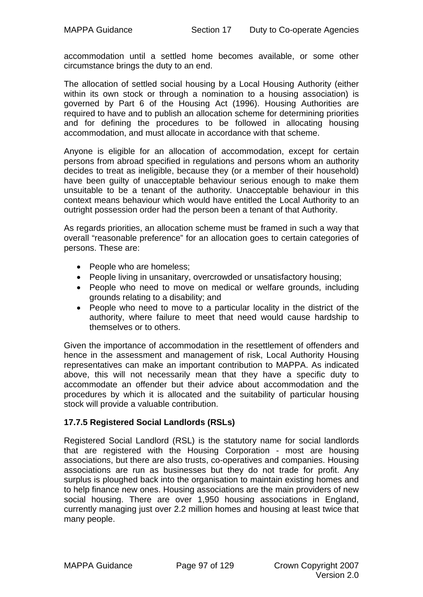accommodation until a settled home becomes available, or some other circumstance brings the duty to an end.

The allocation of settled social housing by a Local Housing Authority (either within its own stock or through a nomination to a housing association) is governed by Part 6 of the Housing Act (1996). Housing Authorities are required to have and to publish an allocation scheme for determining priorities and for defining the procedures to be followed in allocating housing accommodation, and must allocate in accordance with that scheme.

Anyone is eligible for an allocation of accommodation, except for certain persons from abroad specified in regulations and persons whom an authority decides to treat as ineligible, because they (or a member of their household) have been guilty of unacceptable behaviour serious enough to make them unsuitable to be a tenant of the authority. Unacceptable behaviour in this context means behaviour which would have entitled the Local Authority to an outright possession order had the person been a tenant of that Authority.

As regards priorities, an allocation scheme must be framed in such a way that overall "reasonable preference" for an allocation goes to certain categories of persons. These are:

- People who are homeless;
- People living in unsanitary, overcrowded or unsatisfactory housing;
- People who need to move on medical or welfare grounds, including grounds relating to a disability; and
- People who need to move to a particular locality in the district of the authority, where failure to meet that need would cause hardship to themselves or to others.

Given the importance of accommodation in the resettlement of offenders and hence in the assessment and management of risk, Local Authority Housing representatives can make an important contribution to MAPPA. As indicated above, this will not necessarily mean that they have a specific duty to accommodate an offender but their advice about accommodation and the procedures by which it is allocated and the suitability of particular housing stock will provide a valuable contribution.

# **17.7.5 Registered Social Landlords (RSLs)**

Registered Social Landlord (RSL) is the statutory name for social landlords that are registered with the Housing Corporation - most are housing associations, but there are also trusts, co-operatives and companies. Housing associations are run as businesses but they do not trade for profit. Any surplus is ploughed back into the organisation to maintain existing homes and to help finance new ones. Housing associations are the main providers of new social housing. There are over 1,950 housing associations in England, currently managing just over 2.2 million homes and housing at least twice that many people.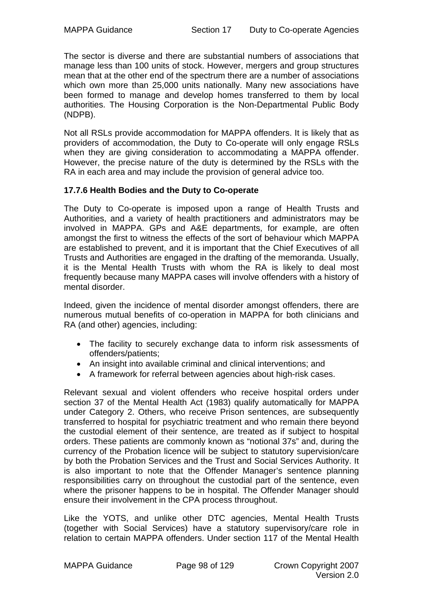The sector is diverse and there are substantial numbers of associations that manage less than 100 units of stock. However, mergers and group structures mean that at the other end of the spectrum there are a number of associations which own more than 25,000 units nationally. Many new associations have been formed to manage and develop homes transferred to them by local authorities. The Housing Corporation is the Non-Departmental Public Body (NDPB).

Not all RSLs provide accommodation for MAPPA offenders. It is likely that as providers of accommodation, the Duty to Co-operate will only engage RSLs when they are giving consideration to accommodating a MAPPA offender. However, the precise nature of the duty is determined by the RSLs with the RA in each area and may include the provision of general advice too.

## **17.7.6 Health Bodies and the Duty to Co-operate**

The Duty to Co-operate is imposed upon a range of Health Trusts and Authorities, and a variety of health practitioners and administrators may be involved in MAPPA. GPs and A&E departments, for example, are often amongst the first to witness the effects of the sort of behaviour which MAPPA are established to prevent, and it is important that the Chief Executives of all Trusts and Authorities are engaged in the drafting of the memoranda. Usually, it is the Mental Health Trusts with whom the RA is likely to deal most frequently because many MAPPA cases will involve offenders with a history of mental disorder.

Indeed, given the incidence of mental disorder amongst offenders, there are numerous mutual benefits of co-operation in MAPPA for both clinicians and RA (and other) agencies, including:

- The facility to securely exchange data to inform risk assessments of offenders/patients;
- An insight into available criminal and clinical interventions; and
- A framework for referral between agencies about high-risk cases.

Relevant sexual and violent offenders who receive hospital orders under section 37 of the Mental Health Act (1983) qualify automatically for MAPPA under Category 2. Others, who receive Prison sentences, are subsequently transferred to hospital for psychiatric treatment and who remain there beyond the custodial element of their sentence, are treated as if subject to hospital orders. These patients are commonly known as "notional 37s" and, during the currency of the Probation licence will be subject to statutory supervision/care by both the Probation Services and the Trust and Social Services Authority. It is also important to note that the Offender Manager's sentence planning responsibilities carry on throughout the custodial part of the sentence, even where the prisoner happens to be in hospital. The Offender Manager should ensure their involvement in the CPA process throughout.

Like the YOTS, and unlike other DTC agencies, Mental Health Trusts (together with Social Services) have a statutory supervisory/care role in relation to certain MAPPA offenders. Under section 117 of the Mental Health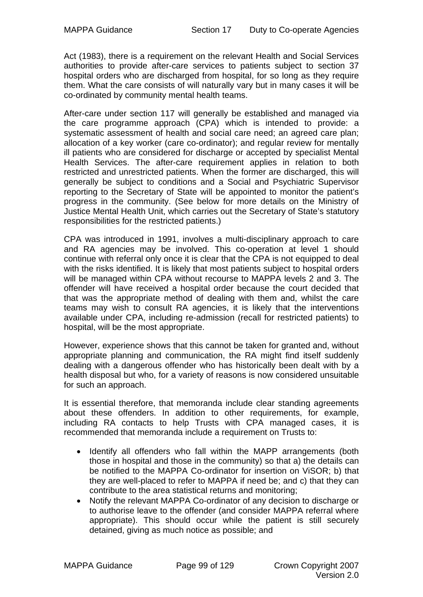Act (1983), there is a requirement on the relevant Health and Social Services authorities to provide after-care services to patients subject to section 37 hospital orders who are discharged from hospital, for so long as they require them. What the care consists of will naturally vary but in many cases it will be co-ordinated by community mental health teams.

After-care under section 117 will generally be established and managed via the care programme approach (CPA) which is intended to provide: a systematic assessment of health and social care need; an agreed care plan; allocation of a key worker (care co-ordinator); and regular review for mentally ill patients who are considered for discharge or accepted by specialist Mental Health Services. The after-care requirement applies in relation to both restricted and unrestricted patients. When the former are discharged, this will generally be subject to conditions and a Social and Psychiatric Supervisor reporting to the Secretary of State will be appointed to monitor the patient's progress in the community. (See below for more details on the Ministry of Justice Mental Health Unit, which carries out the Secretary of State's statutory responsibilities for the restricted patients.)

CPA was introduced in 1991, involves a multi-disciplinary approach to care and RA agencies may be involved. This co-operation at level 1 should continue with referral only once it is clear that the CPA is not equipped to deal with the risks identified. It is likely that most patients subject to hospital orders will be managed within CPA without recourse to MAPPA levels 2 and 3. The offender will have received a hospital order because the court decided that that was the appropriate method of dealing with them and, whilst the care teams may wish to consult RA agencies, it is likely that the interventions available under CPA, including re-admission (recall for restricted patients) to hospital, will be the most appropriate.

However, experience shows that this cannot be taken for granted and, without appropriate planning and communication, the RA might find itself suddenly dealing with a dangerous offender who has historically been dealt with by a health disposal but who, for a variety of reasons is now considered unsuitable for such an approach.

It is essential therefore, that memoranda include clear standing agreements about these offenders. In addition to other requirements, for example, including RA contacts to help Trusts with CPA managed cases, it is recommended that memoranda include a requirement on Trusts to:

- Identify all offenders who fall within the MAPP arrangements (both those in hospital and those in the community) so that a) the details can be notified to the MAPPA Co-ordinator for insertion on ViSOR; b) that they are well-placed to refer to MAPPA if need be; and c) that they can contribute to the area statistical returns and monitoring;
- Notify the relevant MAPPA Co-ordinator of any decision to discharge or to authorise leave to the offender (and consider MAPPA referral where appropriate). This should occur while the patient is still securely detained, giving as much notice as possible; and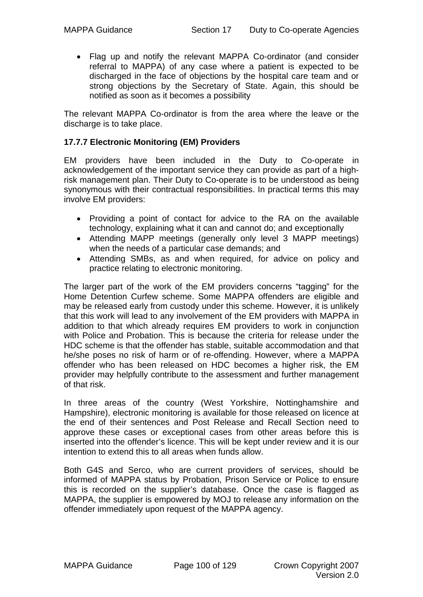• Flag up and notify the relevant MAPPA Co-ordinator (and consider referral to MAPPA) of any case where a patient is expected to be discharged in the face of objections by the hospital care team and or strong objections by the Secretary of State. Again, this should be notified as soon as it becomes a possibility

The relevant MAPPA Co-ordinator is from the area where the leave or the discharge is to take place.

## **17.7.7 Electronic Monitoring (EM) Providers**

EM providers have been included in the Duty to Co-operate in acknowledgement of the important service they can provide as part of a highrisk management plan. Their Duty to Co-operate is to be understood as being synonymous with their contractual responsibilities. In practical terms this may involve EM providers:

- Providing a point of contact for advice to the RA on the available technology, explaining what it can and cannot do; and exceptionally
- Attending MAPP meetings (generally only level 3 MAPP meetings) when the needs of a particular case demands; and
- Attending SMBs, as and when required, for advice on policy and practice relating to electronic monitoring.

The larger part of the work of the EM providers concerns "tagging" for the Home Detention Curfew scheme. Some MAPPA offenders are eligible and may be released early from custody under this scheme. However, it is unlikely that this work will lead to any involvement of the EM providers with MAPPA in addition to that which already requires EM providers to work in conjunction with Police and Probation. This is because the criteria for release under the HDC scheme is that the offender has stable, suitable accommodation and that he/she poses no risk of harm or of re-offending. However, where a MAPPA offender who has been released on HDC becomes a higher risk, the EM provider may helpfully contribute to the assessment and further management of that risk.

In three areas of the country (West Yorkshire, Nottinghamshire and Hampshire), electronic monitoring is available for those released on licence at the end of their sentences and Post Release and Recall Section need to approve these cases or exceptional cases from other areas before this is inserted into the offender's licence. This will be kept under review and it is our intention to extend this to all areas when funds allow.

Both G4S and Serco, who are current providers of services, should be informed of MAPPA status by Probation, Prison Service or Police to ensure this is recorded on the supplier's database. Once the case is flagged as MAPPA, the supplier is empowered by MOJ to release any information on the offender immediately upon request of the MAPPA agency.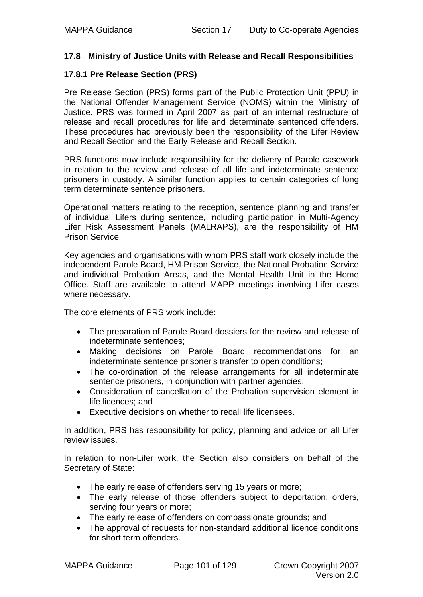#### **17.8 Ministry of Justice Units with Release and Recall Responsibilities**

#### **17.8.1 Pre Release Section (PRS)**

Pre Release Section (PRS) forms part of the Public Protection Unit (PPU) in the National Offender Management Service (NOMS) within the Ministry of Justice. PRS was formed in April 2007 as part of an internal restructure of release and recall procedures for life and determinate sentenced offenders. These procedures had previously been the responsibility of the Lifer Review and Recall Section and the Early Release and Recall Section.

PRS functions now include responsibility for the delivery of Parole casework in relation to the review and release of all life and indeterminate sentence prisoners in custody. A similar function applies to certain categories of long term determinate sentence prisoners.

Operational matters relating to the reception, sentence planning and transfer of individual Lifers during sentence, including participation in Multi-Agency Lifer Risk Assessment Panels (MALRAPS), are the responsibility of HM Prison Service.

Key agencies and organisations with whom PRS staff work closely include the independent Parole Board, HM Prison Service, the National Probation Service and individual Probation Areas, and the Mental Health Unit in the Home Office. Staff are available to attend MAPP meetings involving Lifer cases where necessary.

The core elements of PRS work include:

- The preparation of Parole Board dossiers for the review and release of indeterminate sentences;
- Making decisions on Parole Board recommendations for an indeterminate sentence prisoner's transfer to open conditions;
- The co-ordination of the release arrangements for all indeterminate sentence prisoners, in conjunction with partner agencies;
- Consideration of cancellation of the Probation supervision element in life licences; and
- Executive decisions on whether to recall life licensees.

In addition, PRS has responsibility for policy, planning and advice on all Lifer review issues.

In relation to non-Lifer work, the Section also considers on behalf of the Secretary of State:

- The early release of offenders serving 15 years or more;
- The early release of those offenders subject to deportation; orders, serving four years or more;
- The early release of offenders on compassionate grounds; and
- The approval of requests for non-standard additional licence conditions for short term offenders.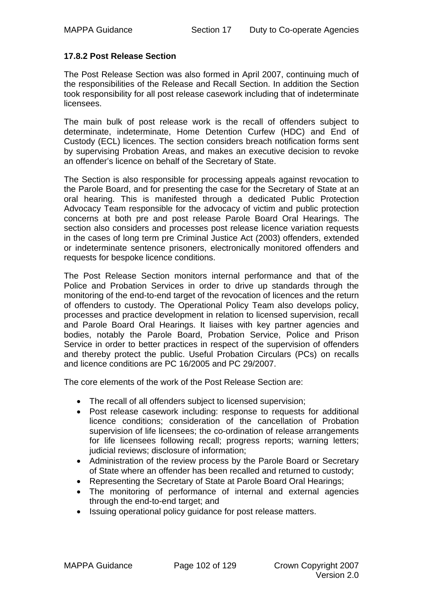## **17.8.2 Post Release Section**

The Post Release Section was also formed in April 2007, continuing much of the responsibilities of the Release and Recall Section. In addition the Section took responsibility for all post release casework including that of indeterminate licensees.

The main bulk of post release work is the recall of offenders subject to determinate, indeterminate, Home Detention Curfew (HDC) and End of Custody (ECL) licences. The section considers breach notification forms sent by supervising Probation Areas, and makes an executive decision to revoke an offender's licence on behalf of the Secretary of State.

The Section is also responsible for processing appeals against revocation to the Parole Board, and for presenting the case for the Secretary of State at an oral hearing. This is manifested through a dedicated Public Protection Advocacy Team responsible for the advocacy of victim and public protection concerns at both pre and post release Parole Board Oral Hearings. The section also considers and processes post release licence variation requests in the cases of long term pre Criminal Justice Act (2003) offenders, extended or indeterminate sentence prisoners, electronically monitored offenders and requests for bespoke licence conditions.

The Post Release Section monitors internal performance and that of the Police and Probation Services in order to drive up standards through the monitoring of the end-to-end target of the revocation of licences and the return of offenders to custody. The Operational Policy Team also develops policy, processes and practice development in relation to licensed supervision, recall and Parole Board Oral Hearings. It liaises with key partner agencies and bodies, notably the Parole Board, Probation Service, Police and Prison Service in order to better practices in respect of the supervision of offenders and thereby protect the public. Useful Probation Circulars (PCs) on recalls and licence conditions are PC 16/2005 and PC 29/2007.

The core elements of the work of the Post Release Section are:

- The recall of all offenders subject to licensed supervision;
- Post release casework including: response to requests for additional licence conditions; consideration of the cancellation of Probation supervision of life licensees; the co-ordination of release arrangements for life licensees following recall; progress reports; warning letters; judicial reviews; disclosure of information;
- Administration of the review process by the Parole Board or Secretary of State where an offender has been recalled and returned to custody;
- Representing the Secretary of State at Parole Board Oral Hearings;
- The monitoring of performance of internal and external agencies through the end-to-end target; and
- Issuing operational policy guidance for post release matters.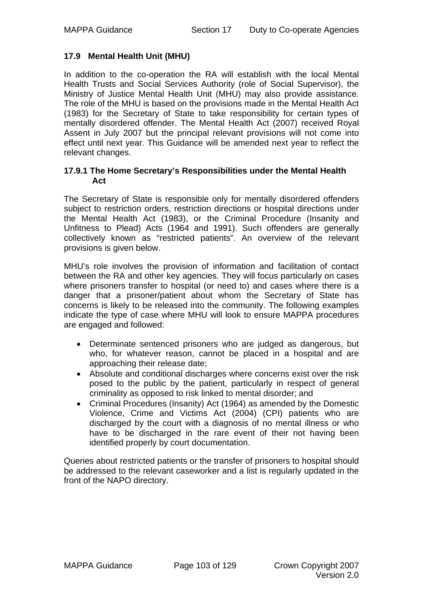## **17.9 Mental Health Unit (MHU)**

In addition to the co-operation the RA will establish with the local Mental Health Trusts and Social Services Authority (role of Social Supervisor), the Ministry of Justice Mental Health Unit (MHU) may also provide assistance. The role of the MHU is based on the provisions made in the Mental Health Act (1983) for the Secretary of State to take responsibility for certain types of mentally disordered offender. The Mental Health Act (2007) received Royal Assent in July 2007 but the principal relevant provisions will not come into effect until next year. This Guidance will be amended next year to reflect the relevant changes.

#### **17.9.1 The Home Secretary's Responsibilities under the Mental Health Act**

The Secretary of State is responsible only for mentally disordered offenders subject to restriction orders, restriction directions or hospital directions under the Mental Health Act (1983), or the Criminal Procedure (Insanity and Unfitness to Plead) Acts (1964 and 1991). Such offenders are generally collectively known as "restricted patients". An overview of the relevant provisions is given below.

MHU's role involves the provision of information and facilitation of contact between the RA and other key agencies. They will focus particularly on cases where prisoners transfer to hospital (or need to) and cases where there is a danger that a prisoner/patient about whom the Secretary of State has concerns is likely to be released into the community. The following examples indicate the type of case where MHU will look to ensure MAPPA procedures are engaged and followed:

- Determinate sentenced prisoners who are judged as dangerous, but who, for whatever reason, cannot be placed in a hospital and are approaching their release date;
- Absolute and conditional discharges where concerns exist over the risk posed to the public by the patient, particularly in respect of general criminality as opposed to risk linked to mental disorder; and
- Criminal Procedures (Insanity) Act (1964) as amended by the Domestic Violence, Crime and Victims Act (2004) (CPI) patients who are discharged by the court with a diagnosis of no mental illness or who have to be discharged in the rare event of their not having been identified properly by court documentation.

Queries about restricted patients or the transfer of prisoners to hospital should be addressed to the relevant caseworker and a list is regularly updated in the front of the NAPO directory.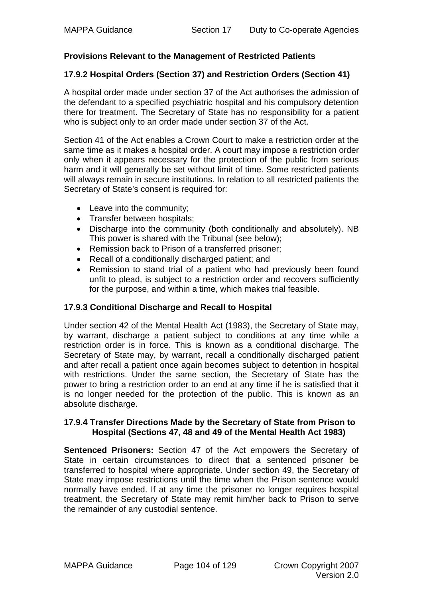## **Provisions Relevant to the Management of Restricted Patients**

#### **17.9.2 Hospital Orders (Section 37) and Restriction Orders (Section 41)**

A hospital order made under section 37 of the Act authorises the admission of the defendant to a specified psychiatric hospital and his compulsory detention there for treatment. The Secretary of State has no responsibility for a patient who is subject only to an order made under section 37 of the Act.

Section 41 of the Act enables a Crown Court to make a restriction order at the same time as it makes a hospital order. A court may impose a restriction order only when it appears necessary for the protection of the public from serious harm and it will generally be set without limit of time. Some restricted patients will always remain in secure institutions. In relation to all restricted patients the Secretary of State's consent is required for:

- Leave into the community;
- Transfer between hospitals;
- Discharge into the community (both conditionally and absolutely). NB This power is shared with the Tribunal (see below);
- Remission back to Prison of a transferred prisoner;
- Recall of a conditionally discharged patient; and
- Remission to stand trial of a patient who had previously been found unfit to plead, is subject to a restriction order and recovers sufficiently for the purpose, and within a time, which makes trial feasible.

#### **17.9.3 Conditional Discharge and Recall to Hospital**

Under section 42 of the Mental Health Act (1983), the Secretary of State may, by warrant, discharge a patient subject to conditions at any time while a restriction order is in force. This is known as a conditional discharge. The Secretary of State may, by warrant, recall a conditionally discharged patient and after recall a patient once again becomes subject to detention in hospital with restrictions. Under the same section, the Secretary of State has the power to bring a restriction order to an end at any time if he is satisfied that it is no longer needed for the protection of the public. This is known as an absolute discharge.

#### **17.9.4 Transfer Directions Made by the Secretary of State from Prison to Hospital (Sections 47, 48 and 49 of the Mental Health Act 1983)**

**Sentenced Prisoners:** Section 47 of the Act empowers the Secretary of State in certain circumstances to direct that a sentenced prisoner be transferred to hospital where appropriate. Under section 49, the Secretary of State may impose restrictions until the time when the Prison sentence would normally have ended. If at any time the prisoner no longer requires hospital treatment, the Secretary of State may remit him/her back to Prison to serve the remainder of any custodial sentence.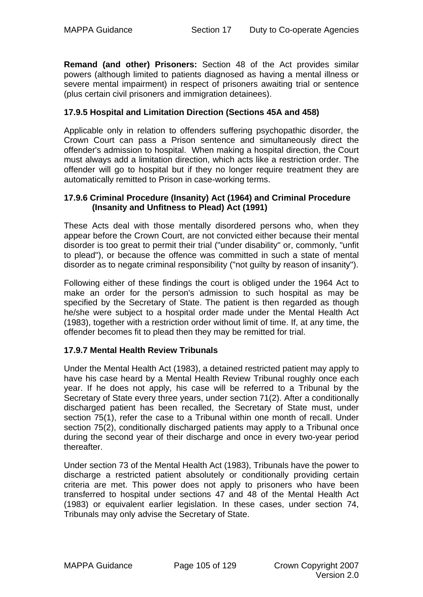**Remand (and other) Prisoners:** Section 48 of the Act provides similar powers (although limited to patients diagnosed as having a mental illness or severe mental impairment) in respect of prisoners awaiting trial or sentence (plus certain civil prisoners and immigration detainees).

## **17.9.5 Hospital and Limitation Direction (Sections 45A and 458)**

Applicable only in relation to offenders suffering psychopathic disorder, the Crown Court can pass a Prison sentence and simultaneously direct the offender's admission to hospital. When making a hospital direction, the Court must always add a limitation direction, which acts like a restriction order. The offender will go to hospital but if they no longer require treatment they are automatically remitted to Prison in case-working terms.

### **17.9.6 Criminal Procedure (Insanity) Act (1964) and Criminal Procedure (Insanity and Unfitness to Plead) Act (1991)**

These Acts deal with those mentally disordered persons who, when they appear before the Crown Court, are not convicted either because their mental disorder is too great to permit their trial ("under disability" or, commonly, "unfit to plead"), or because the offence was committed in such a state of mental disorder as to negate criminal responsibility ("not guilty by reason of insanity").

Following either of these findings the court is obliged under the 1964 Act to make an order for the person's admission to such hospital as may be specified by the Secretary of State. The patient is then regarded as though he/she were subject to a hospital order made under the Mental Health Act (1983), together with a restriction order without limit of time. If, at any time, the offender becomes fit to plead then they may be remitted for trial.

#### **17.9.7 Mental Health Review Tribunals**

Under the Mental Health Act (1983), a detained restricted patient may apply to have his case heard by a Mental Health Review Tribunal roughly once each year. If he does not apply, his case will be referred to a Tribunal by the Secretary of State every three years, under section 71(2). After a conditionally discharged patient has been recalled, the Secretary of State must, under section 75(1), refer the case to a Tribunal within one month of recall. Under section 75(2), conditionally discharged patients may apply to a Tribunal once during the second year of their discharge and once in every two-year period thereafter.

Under section 73 of the Mental Health Act (1983), Tribunals have the power to discharge a restricted patient absolutely or conditionally providing certain criteria are met. This power does not apply to prisoners who have been transferred to hospital under sections 47 and 48 of the Mental Health Act (1983) or equivalent earlier legislation. In these cases, under section 74, Tribunals may only advise the Secretary of State.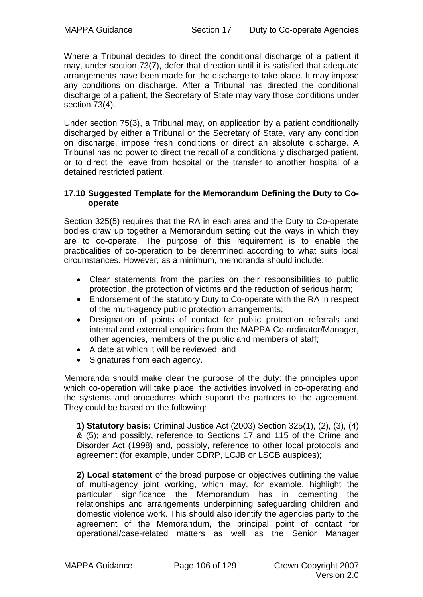Where a Tribunal decides to direct the conditional discharge of a patient it may, under section 73(7), defer that direction until it is satisfied that adequate arrangements have been made for the discharge to take place. It may impose any conditions on discharge. After a Tribunal has directed the conditional discharge of a patient, the Secretary of State may vary those conditions under section 73(4).

Under section 75(3), a Tribunal may, on application by a patient conditionally discharged by either a Tribunal or the Secretary of State, vary any condition on discharge, impose fresh conditions or direct an absolute discharge. A Tribunal has no power to direct the recall of a conditionally discharged patient, or to direct the leave from hospital or the transfer to another hospital of a detained restricted patient.

#### **17.10 Suggested Template for the Memorandum Defining the Duty to Cooperate**

Section 325(5) requires that the RA in each area and the Duty to Co-operate bodies draw up together a Memorandum setting out the ways in which they are to co-operate. The purpose of this requirement is to enable the practicalities of co-operation to be determined according to what suits local circumstances. However, as a minimum, memoranda should include:

- Clear statements from the parties on their responsibilities to public protection, the protection of victims and the reduction of serious harm;
- Endorsement of the statutory Duty to Co-operate with the RA in respect of the multi-agency public protection arrangements;
- Designation of points of contact for public protection referrals and internal and external enquiries from the MAPPA Co-ordinator/Manager, other agencies, members of the public and members of staff;
- A date at which it will be reviewed; and
- Signatures from each agency.

Memoranda should make clear the purpose of the duty: the principles upon which co-operation will take place; the activities involved in co-operating and the systems and procedures which support the partners to the agreement. They could be based on the following:

**1) Statutory basis:** Criminal Justice Act (2003) Section 325(1), (2), (3), (4) & (5); and possibly, reference to Sections 17 and 115 of the Crime and Disorder Act (1998) and, possibly, reference to other local protocols and agreement (for example, under CDRP, LCJB or LSCB auspices);

**2) Local statement** of the broad purpose or objectives outlining the value of multi-agency joint working, which may, for example, highlight the particular significance the Memorandum has in cementing the relationships and arrangements underpinning safeguarding children and domestic violence work. This should also identify the agencies party to the agreement of the Memorandum, the principal point of contact for operational/case-related matters as well as the Senior Manager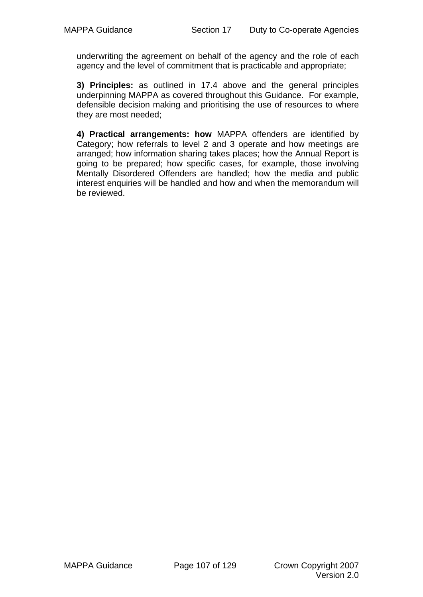underwriting the agreement on behalf of the agency and the role of each agency and the level of commitment that is practicable and appropriate;

**3) Principles:** as outlined in 17.4 above and the general principles underpinning MAPPA as covered throughout this Guidance. For example, defensible decision making and prioritising the use of resources to where they are most needed;

**4) Practical arrangements: how** MAPPA offenders are identified by Category; how referrals to level 2 and 3 operate and how meetings are arranged; how information sharing takes places; how the Annual Report is going to be prepared; how specific cases, for example, those involving Mentally Disordered Offenders are handled; how the media and public interest enquiries will be handled and how and when the memorandum will be reviewed.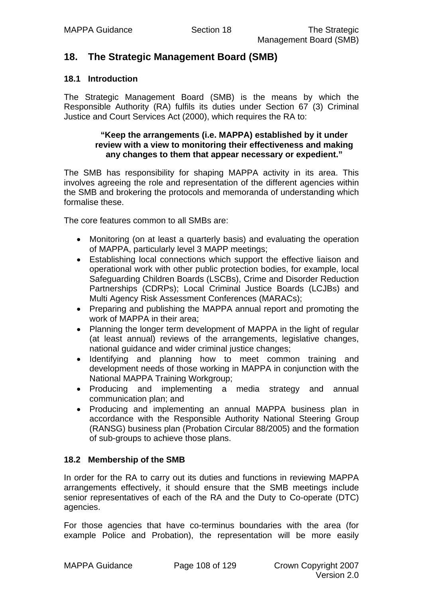# **18. The Strategic Management Board (SMB)**

## **18.1 Introduction**

The Strategic Management Board (SMB) is the means by which the Responsible Authority (RA) fulfils its duties under Section 67 (3) Criminal Justice and Court Services Act (2000), which requires the RA to:

#### **"Keep the arrangements (i.e. MAPPA) established by it under review with a view to monitoring their effectiveness and making any changes to them that appear necessary or expedient."**

The SMB has responsibility for shaping MAPPA activity in its area. This involves agreeing the role and representation of the different agencies within the SMB and brokering the protocols and memoranda of understanding which formalise these.

The core features common to all SMBs are:

- Monitoring (on at least a quarterly basis) and evaluating the operation of MAPPA, particularly level 3 MAPP meetings;
- Establishing local connections which support the effective liaison and operational work with other public protection bodies, for example, local Safeguarding Children Boards (LSCBs), Crime and Disorder Reduction Partnerships (CDRPs); Local Criminal Justice Boards (LCJBs) and Multi Agency Risk Assessment Conferences (MARACs);
- Preparing and publishing the MAPPA annual report and promoting the work of MAPPA in their area;
- Planning the longer term development of MAPPA in the light of regular (at least annual) reviews of the arrangements, legislative changes, national guidance and wider criminal justice changes;
- Identifying and planning how to meet common training and development needs of those working in MAPPA in conjunction with the National MAPPA Training Workgroup;
- Producing and implementing a media strategy and annual communication plan; and
- Producing and implementing an annual MAPPA business plan in accordance with the Responsible Authority National Steering Group (RANSG) business plan (Probation Circular 88/2005) and the formation of sub-groups to achieve those plans.

# **18.2 Membership of the SMB**

In order for the RA to carry out its duties and functions in reviewing MAPPA arrangements effectively, it should ensure that the SMB meetings include senior representatives of each of the RA and the Duty to Co-operate (DTC) agencies.

For those agencies that have co-terminus boundaries with the area (for example Police and Probation), the representation will be more easily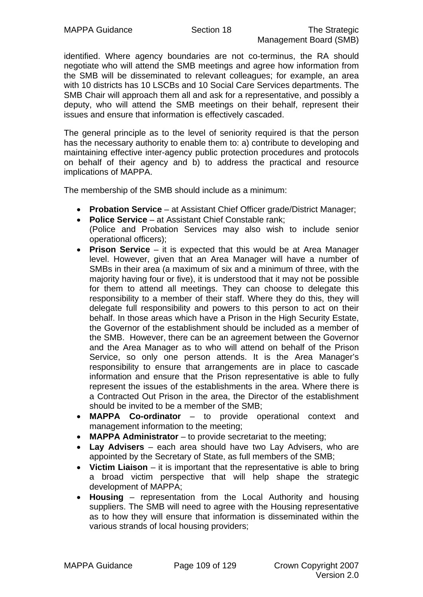identified. Where agency boundaries are not co-terminus, the RA should negotiate who will attend the SMB meetings and agree how information from the SMB will be disseminated to relevant colleagues; for example, an area with 10 districts has 10 LSCBs and 10 Social Care Services departments. The SMB Chair will approach them all and ask for a representative, and possibly a deputy, who will attend the SMB meetings on their behalf, represent their issues and ensure that information is effectively cascaded.

The general principle as to the level of seniority required is that the person has the necessary authority to enable them to: a) contribute to developing and maintaining effective inter-agency public protection procedures and protocols on behalf of their agency and b) to address the practical and resource implications of MAPPA.

The membership of the SMB should include as a minimum:

- **Probation Service** at Assistant Chief Officer grade/District Manager;
- **Police Service** at Assistant Chief Constable rank;
- (Police and Probation Services may also wish to include senior operational officers);
- **Prison Service** it is expected that this would be at Area Manager level. However, given that an Area Manager will have a number of SMBs in their area (a maximum of six and a minimum of three, with the majority having four or five), it is understood that it may not be possible for them to attend all meetings. They can choose to delegate this responsibility to a member of their staff. Where they do this, they will delegate full responsibility and powers to this person to act on their behalf. In those areas which have a Prison in the High Security Estate, the Governor of the establishment should be included as a member of the SMB. However, there can be an agreement between the Governor and the Area Manager as to who will attend on behalf of the Prison Service, so only one person attends. It is the Area Manager's responsibility to ensure that arrangements are in place to cascade information and ensure that the Prison representative is able to fully represent the issues of the establishments in the area. Where there is a Contracted Out Prison in the area, the Director of the establishment should be invited to be a member of the SMB;
- **MAPPA Co-ordinator** to provide operational context and management information to the meeting;
- **MAPPA Administrator** to provide secretariat to the meeting;
- **Lay Advisers** each area should have two Lay Advisers, who are appointed by the Secretary of State, as full members of the SMB;
- **Victim Liaison** it is important that the representative is able to bring a broad victim perspective that will help shape the strategic development of MAPPA;
- **Housing** representation from the Local Authority and housing suppliers. The SMB will need to agree with the Housing representative as to how they will ensure that information is disseminated within the various strands of local housing providers;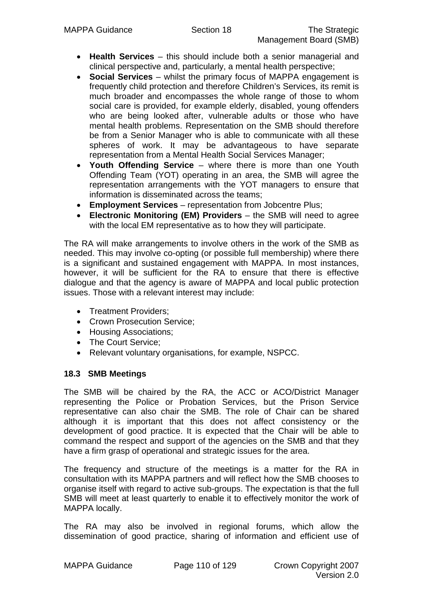- **Health Services** this should include both a senior managerial and clinical perspective and, particularly, a mental health perspective;
- **Social Services** whilst the primary focus of MAPPA engagement is frequently child protection and therefore Children's Services, its remit is much broader and encompasses the whole range of those to whom social care is provided, for example elderly, disabled, young offenders who are being looked after, vulnerable adults or those who have mental health problems. Representation on the SMB should therefore be from a Senior Manager who is able to communicate with all these spheres of work. It may be advantageous to have separate representation from a Mental Health Social Services Manager;
- **Youth Offending Service** where there is more than one Youth Offending Team (YOT) operating in an area, the SMB will agree the representation arrangements with the YOT managers to ensure that information is disseminated across the teams;
- **Employment Services**  representation from Jobcentre Plus;
- **Electronic Monitoring (EM) Providers** the SMB will need to agree with the local EM representative as to how they will participate.

The RA will make arrangements to involve others in the work of the SMB as needed. This may involve co-opting (or possible full membership) where there is a significant and sustained engagement with MAPPA. In most instances, however, it will be sufficient for the RA to ensure that there is effective dialogue and that the agency is aware of MAPPA and local public protection issues. Those with a relevant interest may include:

- Treatment Providers;
- Crown Prosecution Service;
- Housing Associations;
- The Court Service:
- Relevant voluntary organisations, for example, NSPCC.

#### **18.3 SMB Meetings**

The SMB will be chaired by the RA, the ACC or ACO/District Manager representing the Police or Probation Services, but the Prison Service representative can also chair the SMB. The role of Chair can be shared although it is important that this does not affect consistency or the development of good practice. It is expected that the Chair will be able to command the respect and support of the agencies on the SMB and that they have a firm grasp of operational and strategic issues for the area.

The frequency and structure of the meetings is a matter for the RA in consultation with its MAPPA partners and will reflect how the SMB chooses to organise itself with regard to active sub-groups. The expectation is that the full SMB will meet at least quarterly to enable it to effectively monitor the work of MAPPA locally.

The RA may also be involved in regional forums, which allow the dissemination of good practice, sharing of information and efficient use of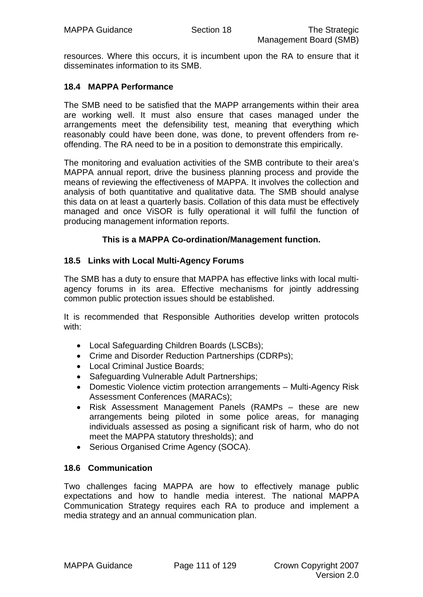resources. Where this occurs, it is incumbent upon the RA to ensure that it disseminates information to its SMB.

#### **18.4 MAPPA Performance**

The SMB need to be satisfied that the MAPP arrangements within their area are working well. It must also ensure that cases managed under the arrangements meet the defensibility test, meaning that everything which reasonably could have been done, was done, to prevent offenders from reoffending. The RA need to be in a position to demonstrate this empirically.

The monitoring and evaluation activities of the SMB contribute to their area's MAPPA annual report, drive the business planning process and provide the means of reviewing the effectiveness of MAPPA. It involves the collection and analysis of both quantitative and qualitative data. The SMB should analyse this data on at least a quarterly basis. Collation of this data must be effectively managed and once ViSOR is fully operational it will fulfil the function of producing management information reports.

#### **This is a MAPPA Co-ordination/Management function.**

#### **18.5 Links with Local Multi-Agency Forums**

The SMB has a duty to ensure that MAPPA has effective links with local multiagency forums in its area. Effective mechanisms for jointly addressing common public protection issues should be established.

It is recommended that Responsible Authorities develop written protocols with:

- Local Safeguarding Children Boards (LSCBs);
- Crime and Disorder Reduction Partnerships (CDRPs);
- Local Criminal Justice Boards:
- Safeguarding Vulnerable Adult Partnerships;
- Domestic Violence victim protection arrangements Multi-Agency Risk Assessment Conferences (MARACs);
- Risk Assessment Management Panels (RAMPs these are new arrangements being piloted in some police areas, for managing individuals assessed as posing a significant risk of harm, who do not meet the MAPPA statutory thresholds); and
- Serious Organised Crime Agency (SOCA).

#### **18.6 Communication**

Two challenges facing MAPPA are how to effectively manage public expectations and how to handle media interest. The national MAPPA Communication Strategy requires each RA to produce and implement a media strategy and an annual communication plan.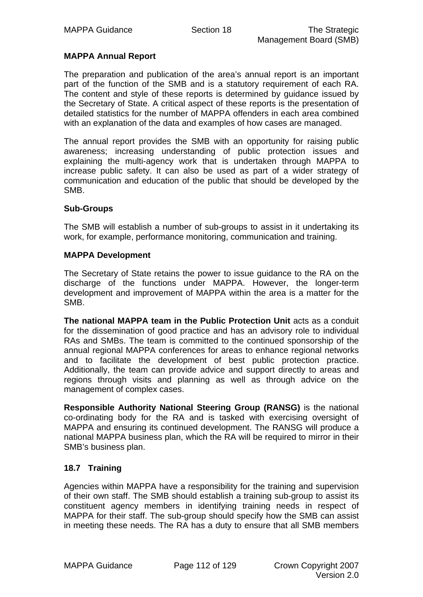## **MAPPA Annual Report**

The preparation and publication of the area's annual report is an important part of the function of the SMB and is a statutory requirement of each RA. The content and style of these reports is determined by guidance issued by the Secretary of State. A critical aspect of these reports is the presentation of detailed statistics for the number of MAPPA offenders in each area combined with an explanation of the data and examples of how cases are managed.

The annual report provides the SMB with an opportunity for raising public awareness; increasing understanding of public protection issues and explaining the multi-agency work that is undertaken through MAPPA to increase public safety. It can also be used as part of a wider strategy of communication and education of the public that should be developed by the SMB.

#### **Sub-Groups**

The SMB will establish a number of sub-groups to assist in it undertaking its work, for example, performance monitoring, communication and training.

#### **MAPPA Development**

The Secretary of State retains the power to issue guidance to the RA on the discharge of the functions under MAPPA. However, the longer-term development and improvement of MAPPA within the area is a matter for the SMB.

**The national MAPPA team in the Public Protection Unit** acts as a conduit for the dissemination of good practice and has an advisory role to individual RAs and SMBs. The team is committed to the continued sponsorship of the annual regional MAPPA conferences for areas to enhance regional networks and to facilitate the development of best public protection practice. Additionally, the team can provide advice and support directly to areas and regions through visits and planning as well as through advice on the management of complex cases.

**Responsible Authority National Steering Group (RANSG)** is the national co-ordinating body for the RA and is tasked with exercising oversight of MAPPA and ensuring its continued development. The RANSG will produce a national MAPPA business plan, which the RA will be required to mirror in their SMB's business plan.

## **18.7 Training**

Agencies within MAPPA have a responsibility for the training and supervision of their own staff. The SMB should establish a training sub-group to assist its constituent agency members in identifying training needs in respect of MAPPA for their staff. The sub-group should specify how the SMB can assist in meeting these needs. The RA has a duty to ensure that all SMB members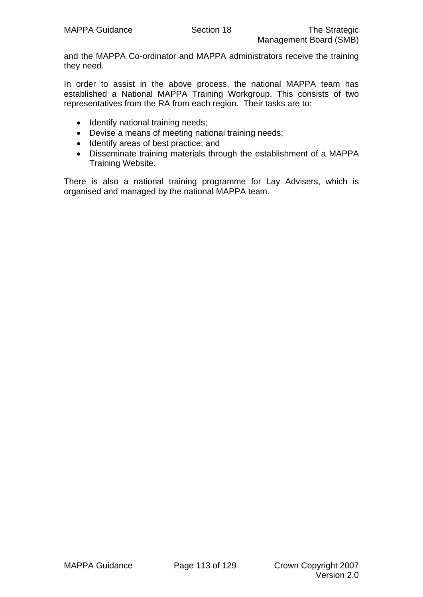and the MAPPA Co-ordinator and MAPPA administrators receive the training they need.

In order to assist in the above process, the national MAPPA team has established a National MAPPA Training Workgroup. This consists of two representatives from the RA from each region. Their tasks are to:

- Identify national training needs;
- Devise a means of meeting national training needs;
- Identify areas of best practice; and
- Disseminate training materials through the establishment of a MAPPA Training Website.

There is also a national training programme for Lay Advisers, which is organised and managed by the national MAPPA team.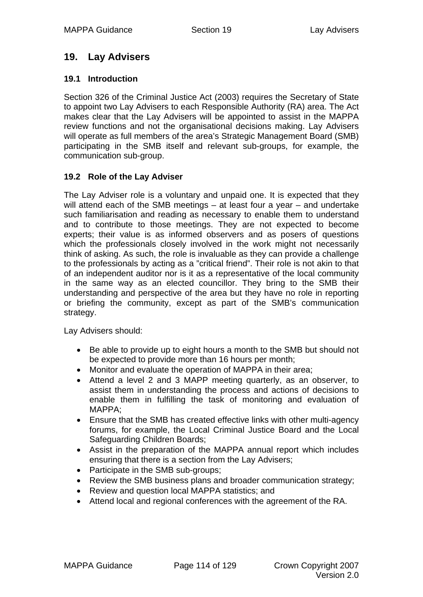## **19. Lay Advisers**

## **19.1 Introduction**

Section 326 of the Criminal Justice Act (2003) requires the Secretary of State to appoint two Lay Advisers to each Responsible Authority (RA) area. The Act makes clear that the Lay Advisers will be appointed to assist in the MAPPA review functions and not the organisational decisions making. Lay Advisers will operate as full members of the area's Strategic Management Board (SMB) participating in the SMB itself and relevant sub-groups, for example, the communication sub-group.

## **19.2 Role of the Lay Adviser**

The Lay Adviser role is a voluntary and unpaid one. It is expected that they will attend each of the SMB meetings – at least four a year – and undertake such familiarisation and reading as necessary to enable them to understand and to contribute to those meetings. They are not expected to become experts; their value is as informed observers and as posers of questions which the professionals closely involved in the work might not necessarily think of asking. As such, the role is invaluable as they can provide a challenge to the professionals by acting as a "critical friend". Their role is not akin to that of an independent auditor nor is it as a representative of the local community in the same way as an elected councillor. They bring to the SMB their understanding and perspective of the area but they have no role in reporting or briefing the community, except as part of the SMB's communication strategy.

Lay Advisers should:

- Be able to provide up to eight hours a month to the SMB but should not be expected to provide more than 16 hours per month;
- Monitor and evaluate the operation of MAPPA in their area:
- Attend a level 2 and 3 MAPP meeting quarterly, as an observer, to assist them in understanding the process and actions of decisions to enable them in fulfilling the task of monitoring and evaluation of MAPPA;
- Ensure that the SMB has created effective links with other multi-agency forums, for example, the Local Criminal Justice Board and the Local Safeguarding Children Boards;
- Assist in the preparation of the MAPPA annual report which includes ensuring that there is a section from the Lay Advisers;
- Participate in the SMB sub-groups;
- Review the SMB business plans and broader communication strategy;
- Review and question local MAPPA statistics; and
- Attend local and regional conferences with the agreement of the RA.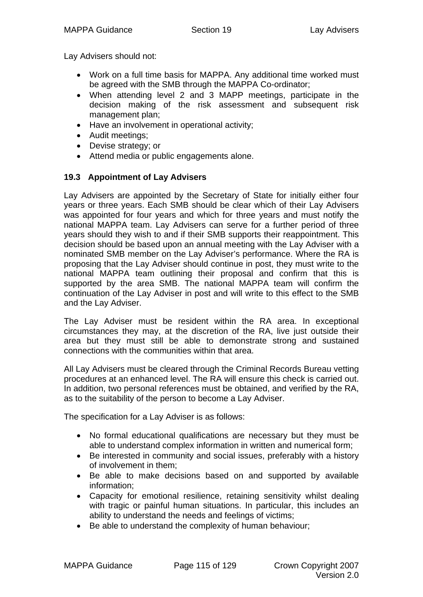Lay Advisers should not:

- Work on a full time basis for MAPPA. Any additional time worked must be agreed with the SMB through the MAPPA Co-ordinator;
- When attending level 2 and 3 MAPP meetings, participate in the decision making of the risk assessment and subsequent risk management plan;
- Have an involvement in operational activity;
- Audit meetings;
- Devise strategy; or
- Attend media or public engagements alone.

## **19.3 Appointment of Lay Advisers**

Lay Advisers are appointed by the Secretary of State for initially either four years or three years. Each SMB should be clear which of their Lay Advisers was appointed for four years and which for three years and must notify the national MAPPA team. Lay Advisers can serve for a further period of three years should they wish to and if their SMB supports their reappointment. This decision should be based upon an annual meeting with the Lay Adviser with a nominated SMB member on the Lay Adviser's performance. Where the RA is proposing that the Lay Adviser should continue in post, they must write to the national MAPPA team outlining their proposal and confirm that this is supported by the area SMB. The national MAPPA team will confirm the continuation of the Lay Adviser in post and will write to this effect to the SMB and the Lay Adviser.

The Lay Adviser must be resident within the RA area. In exceptional circumstances they may, at the discretion of the RA, live just outside their area but they must still be able to demonstrate strong and sustained connections with the communities within that area.

All Lay Advisers must be cleared through the Criminal Records Bureau vetting procedures at an enhanced level. The RA will ensure this check is carried out. In addition, two personal references must be obtained, and verified by the RA, as to the suitability of the person to become a Lay Adviser.

The specification for a Lay Adviser is as follows:

- No formal educational qualifications are necessary but they must be able to understand complex information in written and numerical form;
- Be interested in community and social issues, preferably with a history of involvement in them;
- Be able to make decisions based on and supported by available information;
- Capacity for emotional resilience, retaining sensitivity whilst dealing with tragic or painful human situations. In particular, this includes an ability to understand the needs and feelings of victims;
- Be able to understand the complexity of human behaviour;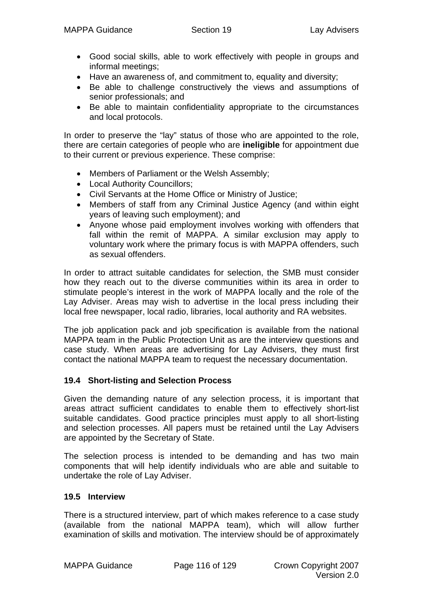- Good social skills, able to work effectively with people in groups and informal meetings;
- Have an awareness of, and commitment to, equality and diversity;
- Be able to challenge constructively the views and assumptions of senior professionals; and
- Be able to maintain confidentiality appropriate to the circumstances and local protocols.

In order to preserve the "lay" status of those who are appointed to the role, there are certain categories of people who are **ineligible** for appointment due to their current or previous experience. These comprise:

- Members of Parliament or the Welsh Assembly;
- Local Authority Councillors;
- Civil Servants at the Home Office or Ministry of Justice;
- Members of staff from any Criminal Justice Agency (and within eight years of leaving such employment); and
- Anyone whose paid employment involves working with offenders that fall within the remit of MAPPA. A similar exclusion may apply to voluntary work where the primary focus is with MAPPA offenders, such as sexual offenders.

In order to attract suitable candidates for selection, the SMB must consider how they reach out to the diverse communities within its area in order to stimulate people's interest in the work of MAPPA locally and the role of the Lay Adviser. Areas may wish to advertise in the local press including their local free newspaper, local radio, libraries, local authority and RA websites.

The job application pack and job specification is available from the national MAPPA team in the Public Protection Unit as are the interview questions and case study. When areas are advertising for Lay Advisers, they must first contact the national MAPPA team to request the necessary documentation.

#### **19.4 Short-listing and Selection Process**

Given the demanding nature of any selection process, it is important that areas attract sufficient candidates to enable them to effectively short-list suitable candidates. Good practice principles must apply to all short-listing and selection processes. All papers must be retained until the Lay Advisers are appointed by the Secretary of State.

The selection process is intended to be demanding and has two main components that will help identify individuals who are able and suitable to undertake the role of Lay Adviser.

#### **19.5 Interview**

There is a structured interview, part of which makes reference to a case study (available from the national MAPPA team), which will allow further examination of skills and motivation. The interview should be of approximately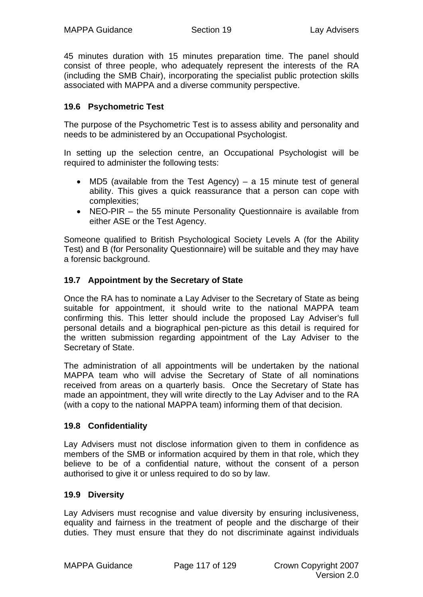45 minutes duration with 15 minutes preparation time. The panel should consist of three people, who adequately represent the interests of the RA (including the SMB Chair), incorporating the specialist public protection skills associated with MAPPA and a diverse community perspective.

## **19.6 Psychometric Test**

The purpose of the Psychometric Test is to assess ability and personality and needs to be administered by an Occupational Psychologist.

In setting up the selection centre, an Occupational Psychologist will be required to administer the following tests:

- MD5 (available from the Test Agency) a 15 minute test of general ability. This gives a quick reassurance that a person can cope with complexities;
- NEO-PIR the 55 minute Personality Questionnaire is available from either ASE or the Test Agency.

Someone qualified to British Psychological Society Levels A (for the Ability Test) and B (for Personality Questionnaire) will be suitable and they may have a forensic background.

## **19.7 Appointment by the Secretary of State**

Once the RA has to nominate a Lay Adviser to the Secretary of State as being suitable for appointment, it should write to the national MAPPA team confirming this. This letter should include the proposed Lay Adviser's full personal details and a biographical pen-picture as this detail is required for the written submission regarding appointment of the Lay Adviser to the Secretary of State.

The administration of all appointments will be undertaken by the national MAPPA team who will advise the Secretary of State of all nominations received from areas on a quarterly basis. Once the Secretary of State has made an appointment, they will write directly to the Lay Adviser and to the RA (with a copy to the national MAPPA team) informing them of that decision.

## **19.8 Confidentiality**

Lay Advisers must not disclose information given to them in confidence as members of the SMB or information acquired by them in that role, which they believe to be of a confidential nature, without the consent of a person authorised to give it or unless required to do so by law.

## **19.9 Diversity**

Lay Advisers must recognise and value diversity by ensuring inclusiveness, equality and fairness in the treatment of people and the discharge of their duties. They must ensure that they do not discriminate against individuals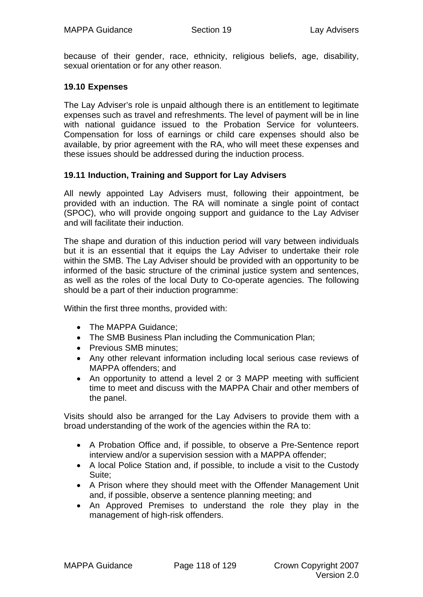because of their gender, race, ethnicity, religious beliefs, age, disability, sexual orientation or for any other reason.

#### **19.10 Expenses**

The Lay Adviser's role is unpaid although there is an entitlement to legitimate expenses such as travel and refreshments. The level of payment will be in line with national guidance issued to the Probation Service for volunteers. Compensation for loss of earnings or child care expenses should also be available, by prior agreement with the RA, who will meet these expenses and these issues should be addressed during the induction process.

#### **19.11 Induction, Training and Support for Lay Advisers**

All newly appointed Lay Advisers must, following their appointment, be provided with an induction. The RA will nominate a single point of contact (SPOC), who will provide ongoing support and guidance to the Lay Adviser and will facilitate their induction.

The shape and duration of this induction period will vary between individuals but it is an essential that it equips the Lay Adviser to undertake their role within the SMB. The Lay Adviser should be provided with an opportunity to be informed of the basic structure of the criminal justice system and sentences, as well as the roles of the local Duty to Co-operate agencies. The following should be a part of their induction programme:

Within the first three months, provided with:

- The MAPPA Guidance;
- The SMB Business Plan including the Communication Plan;
- Previous SMB minutes;
- Any other relevant information including local serious case reviews of MAPPA offenders; and
- An opportunity to attend a level 2 or 3 MAPP meeting with sufficient time to meet and discuss with the MAPPA Chair and other members of the panel.

Visits should also be arranged for the Lay Advisers to provide them with a broad understanding of the work of the agencies within the RA to:

- A Probation Office and, if possible, to observe a Pre-Sentence report interview and/or a supervision session with a MAPPA offender;
- A local Police Station and, if possible, to include a visit to the Custody Suite;
- A Prison where they should meet with the Offender Management Unit and, if possible, observe a sentence planning meeting; and
- An Approved Premises to understand the role they play in the management of high-risk offenders.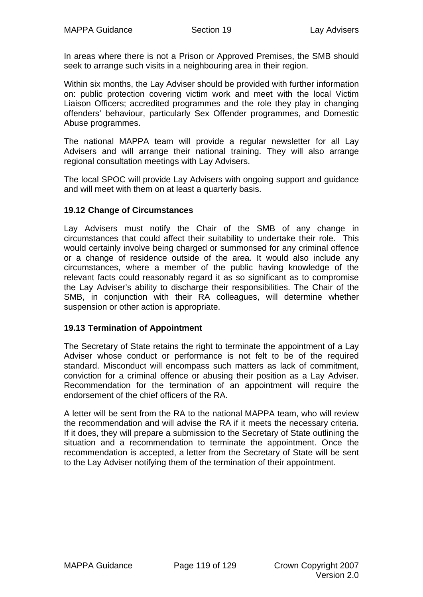In areas where there is not a Prison or Approved Premises, the SMB should seek to arrange such visits in a neighbouring area in their region.

Within six months, the Lay Adviser should be provided with further information on: public protection covering victim work and meet with the local Victim Liaison Officers; accredited programmes and the role they play in changing offenders' behaviour, particularly Sex Offender programmes, and Domestic Abuse programmes.

The national MAPPA team will provide a regular newsletter for all Lay Advisers and will arrange their national training. They will also arrange regional consultation meetings with Lay Advisers.

The local SPOC will provide Lay Advisers with ongoing support and guidance and will meet with them on at least a quarterly basis.

#### **19.12 Change of Circumstances**

Lay Advisers must notify the Chair of the SMB of any change in circumstances that could affect their suitability to undertake their role. This would certainly involve being charged or summonsed for any criminal offence or a change of residence outside of the area. It would also include any circumstances, where a member of the public having knowledge of the relevant facts could reasonably regard it as so significant as to compromise the Lay Adviser's ability to discharge their responsibilities. The Chair of the SMB, in conjunction with their RA colleagues, will determine whether suspension or other action is appropriate.

#### **19.13 Termination of Appointment**

The Secretary of State retains the right to terminate the appointment of a Lay Adviser whose conduct or performance is not felt to be of the required standard. Misconduct will encompass such matters as lack of commitment, conviction for a criminal offence or abusing their position as a Lay Adviser. Recommendation for the termination of an appointment will require the endorsement of the chief officers of the RA.

A letter will be sent from the RA to the national MAPPA team, who will review the recommendation and will advise the RA if it meets the necessary criteria. If it does, they will prepare a submission to the Secretary of State outlining the situation and a recommendation to terminate the appointment. Once the recommendation is accepted, a letter from the Secretary of State will be sent to the Lay Adviser notifying them of the termination of their appointment.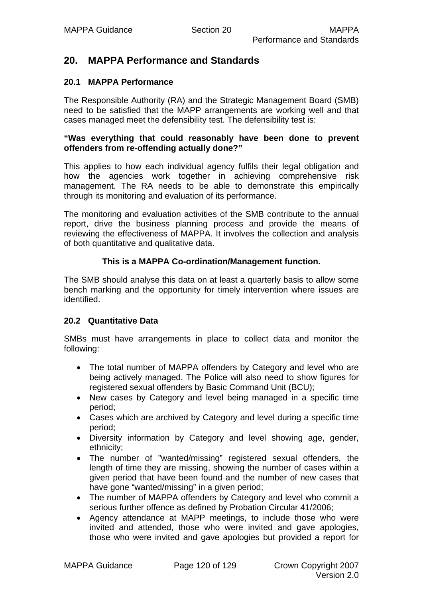## **20. MAPPA Performance and Standards**

#### **20.1 MAPPA Performance**

The Responsible Authority (RA) and the Strategic Management Board (SMB) need to be satisfied that the MAPP arrangements are working well and that cases managed meet the defensibility test. The defensibility test is:

#### **"Was everything that could reasonably have been done to prevent offenders from re-offending actually done?"**

This applies to how each individual agency fulfils their legal obligation and how the agencies work together in achieving comprehensive risk management. The RA needs to be able to demonstrate this empirically through its monitoring and evaluation of its performance.

The monitoring and evaluation activities of the SMB contribute to the annual report, drive the business planning process and provide the means of reviewing the effectiveness of MAPPA. It involves the collection and analysis of both quantitative and qualitative data.

#### **This is a MAPPA Co-ordination/Management function.**

The SMB should analyse this data on at least a quarterly basis to allow some bench marking and the opportunity for timely intervention where issues are identified.

#### **20.2 Quantitative Data**

SMBs must have arrangements in place to collect data and monitor the following:

- The total number of MAPPA offenders by Category and level who are being actively managed. The Police will also need to show figures for registered sexual offenders by Basic Command Unit (BCU);
- New cases by Category and level being managed in a specific time period;
- Cases which are archived by Category and level during a specific time period;
- Diversity information by Category and level showing age, gender, ethnicity;
- The number of "wanted/missing" registered sexual offenders, the length of time they are missing, showing the number of cases within a given period that have been found and the number of new cases that have gone "wanted/missing" in a given period;
- The number of MAPPA offenders by Category and level who commit a serious further offence as defined by Probation Circular 41/2006;
- Agency attendance at MAPP meetings, to include those who were invited and attended, those who were invited and gave apologies, those who were invited and gave apologies but provided a report for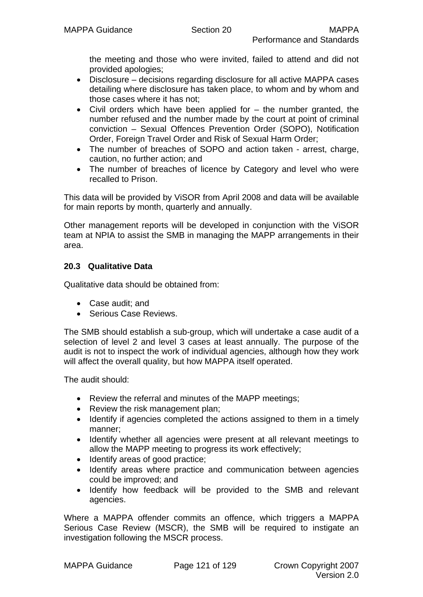the meeting and those who were invited, failed to attend and did not provided apologies;

- Disclosure decisions regarding disclosure for all active MAPPA cases detailing where disclosure has taken place, to whom and by whom and those cases where it has not;
- Civil orders which have been applied for the number granted, the number refused and the number made by the court at point of criminal conviction – Sexual Offences Prevention Order (SOPO), Notification Order, Foreign Travel Order and Risk of Sexual Harm Order;
- The number of breaches of SOPO and action taken arrest, charge, caution, no further action; and
- The number of breaches of licence by Category and level who were recalled to Prison.

This data will be provided by ViSOR from April 2008 and data will be available for main reports by month, quarterly and annually.

Other management reports will be developed in conjunction with the ViSOR team at NPIA to assist the SMB in managing the MAPP arrangements in their area.

## **20.3 Qualitative Data**

Qualitative data should be obtained from:

- Case audit; and
- Serious Case Reviews.

The SMB should establish a sub-group, which will undertake a case audit of a selection of level 2 and level 3 cases at least annually. The purpose of the audit is not to inspect the work of individual agencies, although how they work will affect the overall quality, but how MAPPA itself operated.

The audit should:

- Review the referral and minutes of the MAPP meetings;
- Review the risk management plan;
- Identify if agencies completed the actions assigned to them in a timely manner;
- Identify whether all agencies were present at all relevant meetings to allow the MAPP meeting to progress its work effectively;
- Identify areas of good practice;
- Identify areas where practice and communication between agencies could be improved; and
- Identify how feedback will be provided to the SMB and relevant agencies.

Where a MAPPA offender commits an offence, which triggers a MAPPA Serious Case Review (MSCR), the SMB will be required to instigate an investigation following the MSCR process.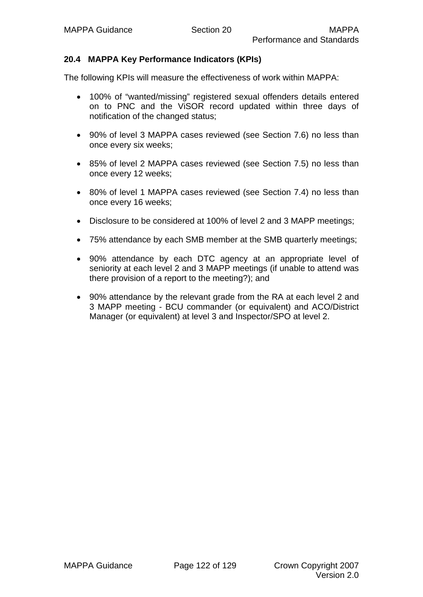## **20.4 MAPPA Key Performance Indicators (KPIs)**

The following KPIs will measure the effectiveness of work within MAPPA:

- 100% of "wanted/missing" registered sexual offenders details entered on to PNC and the ViSOR record updated within three days of notification of the changed status;
- 90% of level 3 MAPPA cases reviewed (see Section 7.6) no less than once every six weeks;
- 85% of level 2 MAPPA cases reviewed (see Section 7.5) no less than once every 12 weeks;
- 80% of level 1 MAPPA cases reviewed (see Section 7.4) no less than once every 16 weeks;
- Disclosure to be considered at 100% of level 2 and 3 MAPP meetings;
- 75% attendance by each SMB member at the SMB quarterly meetings;
- 90% attendance by each DTC agency at an appropriate level of seniority at each level 2 and 3 MAPP meetings (if unable to attend was there provision of a report to the meeting?); and
- 90% attendance by the relevant grade from the RA at each level 2 and 3 MAPP meeting - BCU commander (or equivalent) and ACO/District Manager (or equivalent) at level 3 and Inspector/SPO at level 2.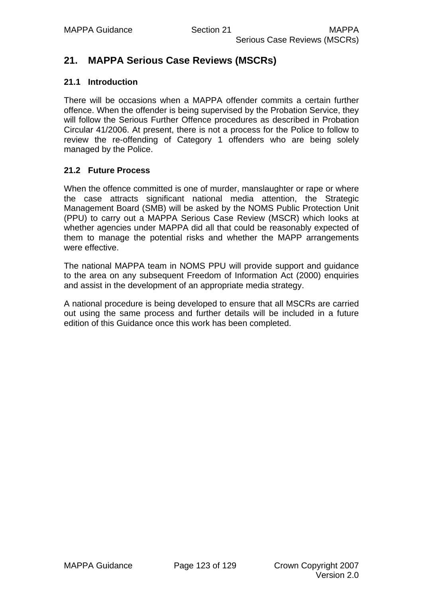## **21. MAPPA Serious Case Reviews (MSCRs)**

#### **21.1 Introduction**

There will be occasions when a MAPPA offender commits a certain further offence. When the offender is being supervised by the Probation Service, they will follow the Serious Further Offence procedures as described in Probation Circular 41/2006. At present, there is not a process for the Police to follow to review the re-offending of Category 1 offenders who are being solely managed by the Police.

## **21.2 Future Process**

When the offence committed is one of murder, manslaughter or rape or where the case attracts significant national media attention, the Strategic Management Board (SMB) will be asked by the NOMS Public Protection Unit (PPU) to carry out a MAPPA Serious Case Review (MSCR) which looks at whether agencies under MAPPA did all that could be reasonably expected of them to manage the potential risks and whether the MAPP arrangements were effective.

The national MAPPA team in NOMS PPU will provide support and guidance to the area on any subsequent Freedom of Information Act (2000) enquiries and assist in the development of an appropriate media strategy.

A national procedure is being developed to ensure that all MSCRs are carried out using the same process and further details will be included in a future edition of this Guidance once this work has been completed.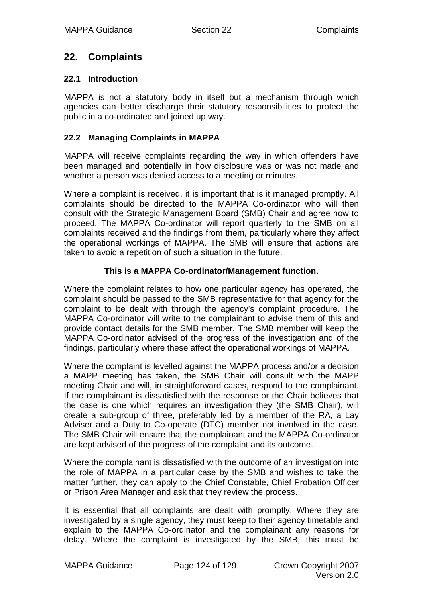## **22. Complaints**

## **22.1 Introduction**

MAPPA is not a statutory body in itself but a mechanism through which agencies can better discharge their statutory responsibilities to protect the public in a co-ordinated and joined up way.

## **22.2 Managing Complaints in MAPPA**

MAPPA will receive complaints regarding the way in which offenders have been managed and potentially in how disclosure was or was not made and whether a person was denied access to a meeting or minutes.

Where a complaint is received, it is important that is it managed promptly. All complaints should be directed to the MAPPA Co-ordinator who will then consult with the Strategic Management Board (SMB) Chair and agree how to proceed. The MAPPA Co-ordinator will report quarterly to the SMB on all complaints received and the findings from them, particularly where they affect the operational workings of MAPPA. The SMB will ensure that actions are taken to avoid a repetition of such a situation in the future.

## **This is a MAPPA Co-ordinator/Management function.**

Where the complaint relates to how one particular agency has operated, the complaint should be passed to the SMB representative for that agency for the complaint to be dealt with through the agency's complaint procedure. The MAPPA Co-ordinator will write to the complainant to advise them of this and provide contact details for the SMB member. The SMB member will keep the MAPPA Co-ordinator advised of the progress of the investigation and of the findings, particularly where these affect the operational workings of MAPPA.

Where the complaint is levelled against the MAPPA process and/or a decision a MAPP meeting has taken, the SMB Chair will consult with the MAPP meeting Chair and will, in straightforward cases, respond to the complainant. If the complainant is dissatisfied with the response or the Chair believes that the case is one which requires an investigation they (the SMB Chair), will create a sub-group of three, preferably led by a member of the RA, a Lay Adviser and a Duty to Co-operate (DTC) member not involved in the case. The SMB Chair will ensure that the complainant and the MAPPA Co-ordinator are kept advised of the progress of the complaint and its outcome.

Where the complainant is dissatisfied with the outcome of an investigation into the role of MAPPA in a particular case by the SMB and wishes to take the matter further, they can apply to the Chief Constable, Chief Probation Officer or Prison Area Manager and ask that they review the process.

It is essential that all complaints are dealt with promptly. Where they are investigated by a single agency, they must keep to their agency timetable and explain to the MAPPA Co-ordinator and the complainant any reasons for delay. Where the complaint is investigated by the SMB, this must be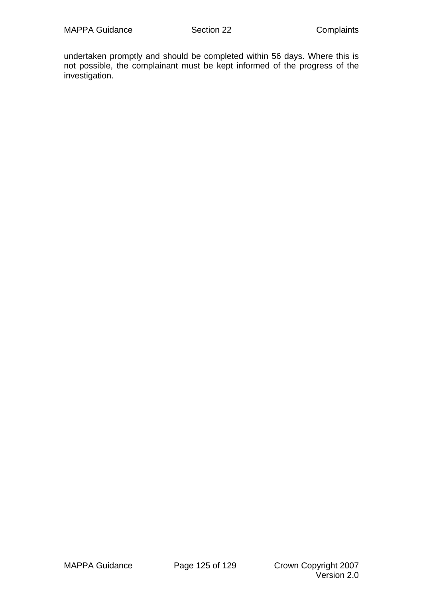undertaken promptly and should be completed within 56 days. Where this is not possible, the complainant must be kept informed of the progress of the investigation.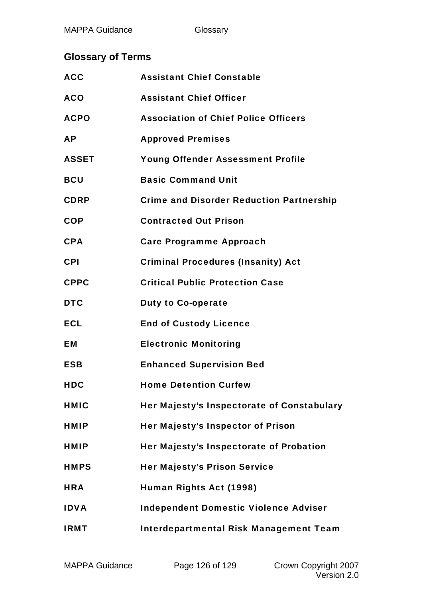# **Glossary of Terms**

| <b>ACC</b>   | <b>Assistant Chief Constable</b>                |
|--------------|-------------------------------------------------|
| <b>ACO</b>   | <b>Assistant Chief Officer</b>                  |
| <b>ACPO</b>  | <b>Association of Chief Police Officers</b>     |
| <b>AP</b>    | <b>Approved Premises</b>                        |
| <b>ASSET</b> | <b>Young Offender Assessment Profile</b>        |
| <b>BCU</b>   | <b>Basic Command Unit</b>                       |
| <b>CDRP</b>  | <b>Crime and Disorder Reduction Partnership</b> |
| <b>COP</b>   | <b>Contracted Out Prison</b>                    |
| <b>CPA</b>   | <b>Care Programme Approach</b>                  |
| <b>CPI</b>   | <b>Criminal Procedures (Insanity) Act</b>       |
| <b>CPPC</b>  | <b>Critical Public Protection Case</b>          |
| <b>DTC</b>   | <b>Duty to Co-operate</b>                       |
| <b>ECL</b>   | <b>End of Custody Licence</b>                   |
| EM           | <b>Electronic Monitoring</b>                    |
| <b>ESB</b>   | <b>Enhanced Supervision Bed</b>                 |
| <b>HDC</b>   | <b>Home Detention Curfew</b>                    |
| <b>HMIC</b>  | Her Majesty's Inspectorate of Constabulary      |
| <b>HMIP</b>  | Her Majesty's Inspector of Prison               |
| <b>HMIP</b>  | Her Majesty's Inspectorate of Probation         |
| <b>HMPS</b>  | <b>Her Majesty's Prison Service</b>             |
| <b>HRA</b>   | Human Rights Act (1998)                         |
| <b>IDVA</b>  | <b>Independent Domestic Violence Adviser</b>    |
| <b>IRMT</b>  | <b>Interdepartmental Risk Management Team</b>   |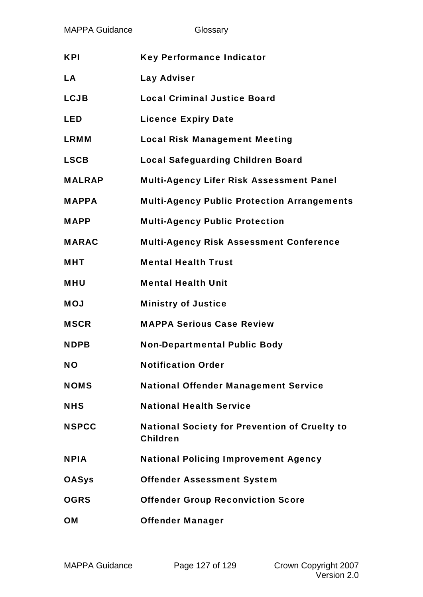| <b>MAPPA Guidance</b> | Glossary                                                                |
|-----------------------|-------------------------------------------------------------------------|
| <b>KPI</b>            | <b>Key Performance Indicator</b>                                        |
| <b>LA</b>             | <b>Lay Adviser</b>                                                      |
| <b>LCJB</b>           | <b>Local Criminal Justice Board</b>                                     |
| <b>LED</b>            | <b>Licence Expiry Date</b>                                              |
| <b>LRMM</b>           | <b>Local Risk Management Meeting</b>                                    |
| <b>LSCB</b>           | <b>Local Safeguarding Children Board</b>                                |
| <b>MALRAP</b>         | <b>Multi-Agency Lifer Risk Assessment Panel</b>                         |
| <b>MAPPA</b>          | <b>Multi-Agency Public Protection Arrangements</b>                      |
| <b>MAPP</b>           | <b>Multi-Agency Public Protection</b>                                   |
| <b>MARAC</b>          | <b>Multi-Agency Risk Assessment Conference</b>                          |
| <b>MHT</b>            | <b>Mental Health Trust</b>                                              |
| <b>MHU</b>            | <b>Mental Health Unit</b>                                               |
| <b>MOJ</b>            | <b>Ministry of Justice</b>                                              |
| <b>MSCR</b>           | <b>MAPPA Serious Case Review</b>                                        |
| <b>NDPB</b>           | <b>Non-Departmental Public Body</b>                                     |
| <b>NO</b>             | <b>Notification Order</b>                                               |
| <b>NOMS</b>           | <b>National Offender Management Service</b>                             |
| <b>NHS</b>            | <b>National Health Service</b>                                          |
| <b>NSPCC</b>          | <b>National Society for Prevention of Cruelty to</b><br><b>Children</b> |
| <b>NPIA</b>           | <b>National Policing Improvement Agency</b>                             |
| <b>OASys</b>          | <b>Offender Assessment System</b>                                       |
| <b>OGRS</b>           | <b>Offender Group Reconviction Score</b>                                |
| <b>OM</b>             | <b>Offender Manager</b>                                                 |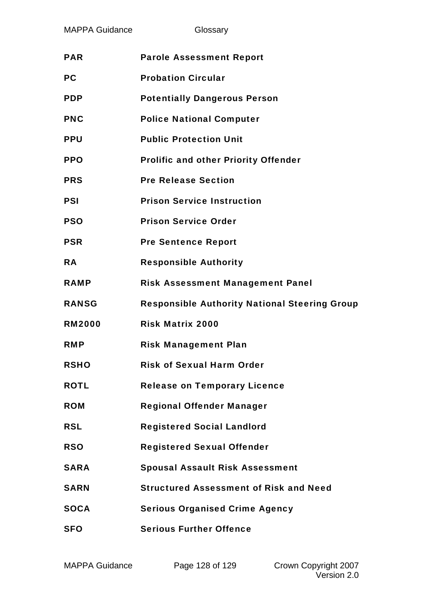Glossary

| <b>PAR</b>    | <b>Parole Assessment Report</b>                      |
|---------------|------------------------------------------------------|
| <b>PC</b>     | <b>Probation Circular</b>                            |
| <b>PDP</b>    | <b>Potentially Dangerous Person</b>                  |
| <b>PNC</b>    | <b>Police National Computer</b>                      |
| <b>PPU</b>    | <b>Public Protection Unit</b>                        |
| <b>PPO</b>    | <b>Prolific and other Priority Offender</b>          |
| <b>PRS</b>    | <b>Pre Release Section</b>                           |
| <b>PSI</b>    | <b>Prison Service Instruction</b>                    |
| <b>PSO</b>    | <b>Prison Service Order</b>                          |
| <b>PSR</b>    | <b>Pre Sentence Report</b>                           |
| <b>RA</b>     | <b>Responsible Authority</b>                         |
| <b>RAMP</b>   | <b>Risk Assessment Management Panel</b>              |
|               |                                                      |
| <b>RANSG</b>  | <b>Responsible Authority National Steering Group</b> |
| <b>RM2000</b> | <b>Risk Matrix 2000</b>                              |
| <b>RMP</b>    | <b>Risk Management Plan</b>                          |
| <b>RSHO</b>   | <b>Risk of Sexual Harm Order</b>                     |
| <b>ROTL</b>   | <b>Release on Temporary Licence</b>                  |
| <b>ROM</b>    | <b>Regional Offender Manager</b>                     |
| <b>RSL</b>    | <b>Registered Social Landlord</b>                    |
| <b>RSO</b>    | <b>Registered Sexual Offender</b>                    |
| <b>SARA</b>   | <b>Spousal Assault Risk Assessment</b>               |
| <b>SARN</b>   | <b>Structured Assessment of Risk and Need</b>        |
| <b>SOCA</b>   | <b>Serious Organised Crime Agency</b>                |